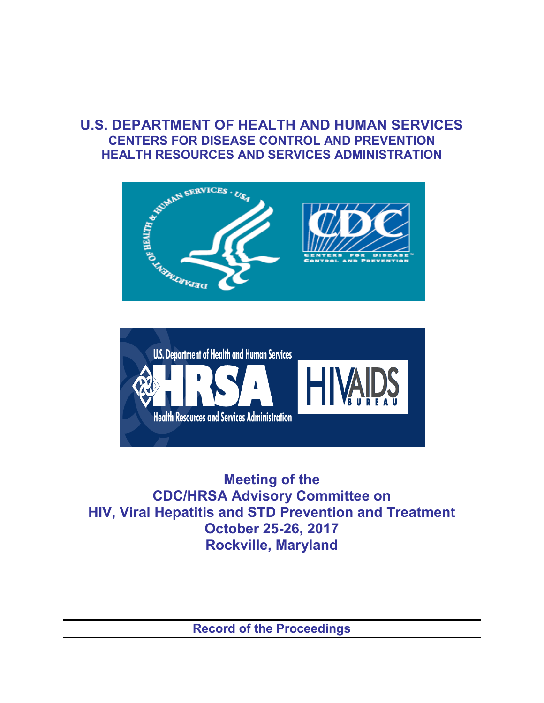## **U.S. DEPARTMENT OF HEALTH AND HUMAN SERVICES CENTERS FOR DISEASE CONTROL AND PREVENTION HEALTH RESOURCES AND SERVICES ADMINISTRATION**





**Meeting of the CDC/HRSA Advisory Committee on HIV, Viral Hepatitis and STD Prevention and Treatment October 25-26, 2017 Rockville, Maryland**

**Record of the Proceedings**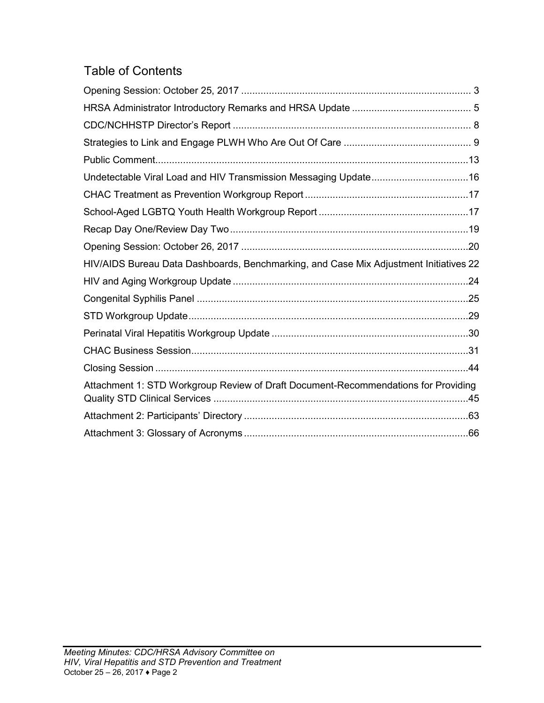## Table of Contents

| HIV/AIDS Bureau Data Dashboards, Benchmarking, and Case Mix Adjustment Initiatives 22 |
|---------------------------------------------------------------------------------------|
|                                                                                       |
|                                                                                       |
|                                                                                       |
|                                                                                       |
|                                                                                       |
|                                                                                       |
| Attachment 1: STD Workgroup Review of Draft Document-Recommendations for Providing    |
|                                                                                       |
|                                                                                       |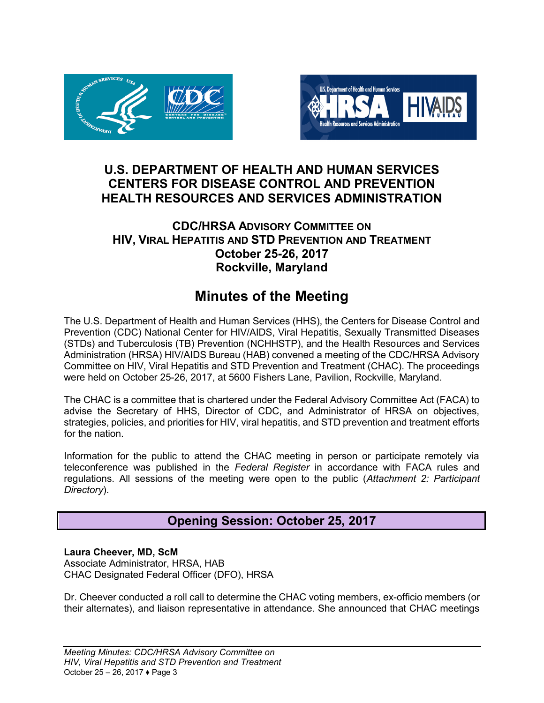



### **U.S. DEPARTMENT OF HEALTH AND HUMAN SERVICES CENTERS FOR DISEASE CONTROL AND PREVENTION HEALTH RESOURCES AND SERVICES ADMINISTRATION**

### **CDC/HRSA ADVISORY COMMITTEE ON HIV, VIRAL HEPATITIS AND STD PREVENTION AND TREATMENT October 25-26, 2017 Rockville, Maryland**

## **Minutes of the Meeting**

The U.S. Department of Health and Human Services (HHS), the Centers for Disease Control and Prevention (CDC) National Center for HIV/AIDS, Viral Hepatitis, Sexually Transmitted Diseases (STDs) and Tuberculosis (TB) Prevention (NCHHSTP), and the Health Resources and Services Administration (HRSA) HIV/AIDS Bureau (HAB) convened a meeting of the CDC/HRSA Advisory Committee on HIV, Viral Hepatitis and STD Prevention and Treatment (CHAC). The proceedings were held on October 25-26, 2017, at 5600 Fishers Lane, Pavilion, Rockville, Maryland.

The CHAC is a committee that is chartered under the Federal Advisory Committee Act (FACA) to advise the Secretary of HHS, Director of CDC, and Administrator of HRSA on objectives, strategies, policies, and priorities for HIV, viral hepatitis, and STD prevention and treatment efforts for the nation.

<span id="page-2-0"></span>Information for the public to attend the CHAC meeting in person or participate remotely via teleconference was published in the *Federal Register* in accordance with FACA rules and regulations. All sessions of the meeting were open to the public (*Attachment 2: Participant Directory*).

### **Opening Session: October 25, 2017**

#### **Laura Cheever, MD, ScM** Associate Administrator, HRSA, HAB CHAC Designated Federal Officer (DFO), HRSA

Dr. Cheever conducted a roll call to determine the CHAC voting members, ex-officio members (or their alternates), and liaison representative in attendance. She announced that CHAC meetings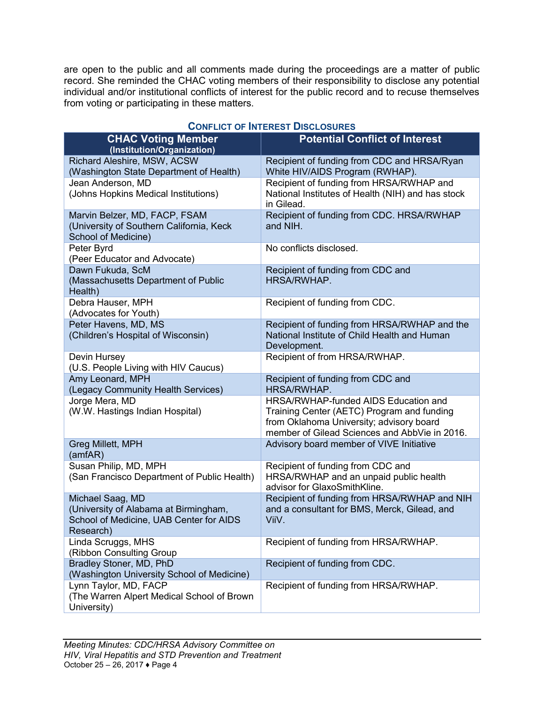are open to the public and all comments made during the proceedings are a matter of public record. She reminded the CHAC voting members of their responsibility to disclose any potential individual and/or institutional conflicts of interest for the public record and to recuse themselves from voting or participating in these matters.

| <b>CHAC Voting Member</b><br>(Institution/Organization)                                                           | <b>Potential Conflict of Interest</b>                                                                                                                                           |
|-------------------------------------------------------------------------------------------------------------------|---------------------------------------------------------------------------------------------------------------------------------------------------------------------------------|
| Richard Aleshire, MSW, ACSW<br>(Washington State Department of Health)                                            | Recipient of funding from CDC and HRSA/Ryan<br>White HIV/AIDS Program (RWHAP).                                                                                                  |
| Jean Anderson, MD<br>(Johns Hopkins Medical Institutions)                                                         | Recipient of funding from HRSA/RWHAP and<br>National Institutes of Health (NIH) and has stock<br>in Gilead.                                                                     |
| Marvin Belzer, MD, FACP, FSAM<br>(University of Southern California, Keck<br>School of Medicine)                  | Recipient of funding from CDC. HRSA/RWHAP<br>and NIH.                                                                                                                           |
| Peter Byrd<br>(Peer Educator and Advocate)                                                                        | No conflicts disclosed.                                                                                                                                                         |
| Dawn Fukuda, ScM<br>(Massachusetts Department of Public<br>Health)                                                | Recipient of funding from CDC and<br>HRSA/RWHAP.                                                                                                                                |
| Debra Hauser, MPH<br>(Advocates for Youth)                                                                        | Recipient of funding from CDC.                                                                                                                                                  |
| Peter Havens, MD, MS<br>(Children's Hospital of Wisconsin)                                                        | Recipient of funding from HRSA/RWHAP and the<br>National Institute of Child Health and Human<br>Development.                                                                    |
| Devin Hursey<br>(U.S. People Living with HIV Caucus)                                                              | Recipient of from HRSA/RWHAP.                                                                                                                                                   |
| Amy Leonard, MPH<br>(Legacy Community Health Services)                                                            | Recipient of funding from CDC and<br>HRSA/RWHAP.                                                                                                                                |
| Jorge Mera, MD<br>(W.W. Hastings Indian Hospital)                                                                 | HRSA/RWHAP-funded AIDS Education and<br>Training Center (AETC) Program and funding<br>from Oklahoma University; advisory board<br>member of Gilead Sciences and AbbVie in 2016. |
| Greg Millett, MPH<br>(amfAR)                                                                                      | Advisory board member of VIVE Initiative                                                                                                                                        |
| Susan Philip, MD, MPH<br>(San Francisco Department of Public Health)                                              | Recipient of funding from CDC and<br>HRSA/RWHAP and an unpaid public health<br>advisor for GlaxoSmithKline.                                                                     |
| Michael Saag, MD<br>(University of Alabama at Birmingham,<br>School of Medicine, UAB Center for AIDS<br>Research) | Recipient of funding from HRSA/RWHAP and NIH<br>and a consultant for BMS, Merck, Gilead, and<br>ViiV.                                                                           |
| Linda Scruggs, MHS<br>(Ribbon Consulting Group                                                                    | Recipient of funding from HRSA/RWHAP.                                                                                                                                           |
| Bradley Stoner, MD, PhD<br>(Washington University School of Medicine)                                             | Recipient of funding from CDC.                                                                                                                                                  |
| Lynn Taylor, MD, FACP<br>(The Warren Alpert Medical School of Brown<br>University)                                | Recipient of funding from HRSA/RWHAP.                                                                                                                                           |

#### **CONFLICT OF INTEREST DISCLOSURES**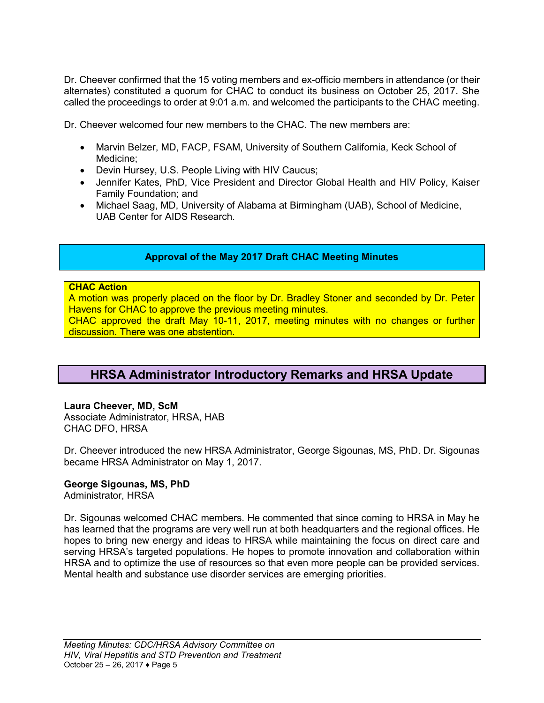Dr. Cheever confirmed that the 15 voting members and ex-officio members in attendance (or their alternates) constituted a quorum for CHAC to conduct its business on October 25, 2017. She called the proceedings to order at 9:01 a.m. and welcomed the participants to the CHAC meeting.

Dr. Cheever welcomed four new members to the CHAC. The new members are:

- Marvin Belzer, MD, FACP, FSAM, University of Southern California, Keck School of Medicine;
- Devin Hursey, U.S. People Living with HIV Caucus;
- Jennifer Kates, PhD, Vice President and Director Global Health and HIV Policy, Kaiser Family Foundation; and
- Michael Saag, MD, University of Alabama at Birmingham (UAB), School of Medicine, UAB Center for AIDS Research.

#### **Approval of the May 2017 Draft CHAC Meeting Minutes**

#### **CHAC Action**

A motion was properly placed on the floor by Dr. Bradley Stoner and seconded by Dr. Peter Havens for CHAC to approve the previous meeting minutes. CHAC approved the draft May 10-11, 2017, meeting minutes with no changes or further discussion. There was one abstention.

### <span id="page-4-0"></span>**HRSA Administrator Introductory Remarks and HRSA Update**

#### **Laura Cheever, MD, ScM**

Associate Administrator, HRSA, HAB CHAC DFO, HRSA

Dr. Cheever introduced the new HRSA Administrator, George Sigounas, MS, PhD. Dr. Sigounas became HRSA Administrator on May 1, 2017.

#### **George Sigounas, MS, PhD**

Administrator, HRSA

Dr. Sigounas welcomed CHAC members. He commented that since coming to HRSA in May he has learned that the programs are very well run at both headquarters and the regional offices. He hopes to bring new energy and ideas to HRSA while maintaining the focus on direct care and serving HRSA's targeted populations. He hopes to promote innovation and collaboration within HRSA and to optimize the use of resources so that even more people can be provided services. Mental health and substance use disorder services are emerging priorities.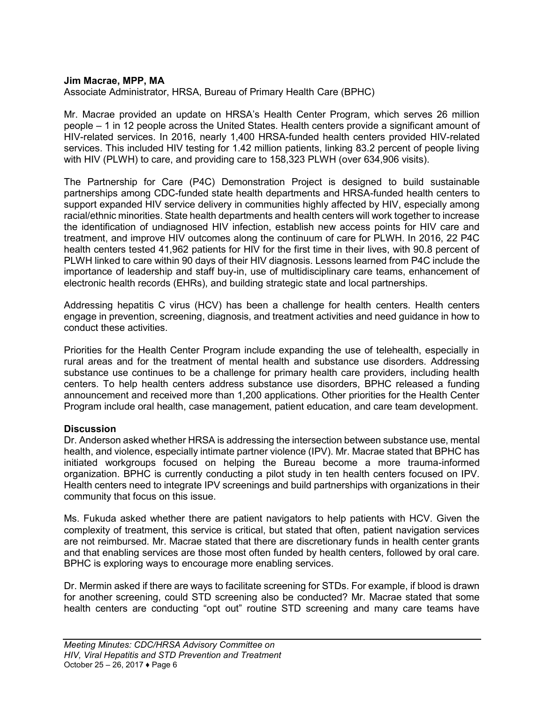#### **Jim Macrae, MPP, MA**

Associate Administrator, HRSA, Bureau of Primary Health Care (BPHC)

Mr. Macrae provided an update on HRSA's Health Center Program, which serves 26 million people – 1 in 12 people across the United States. Health centers provide a significant amount of HIV-related services. In 2016, nearly 1,400 HRSA-funded health centers provided HIV-related services. This included HIV testing for 1.42 million patients, linking 83.2 percent of people living with HIV (PLWH) to care, and providing care to 158,323 PLWH (over 634,906 visits).

The Partnership for Care (P4C) Demonstration Project is designed to build sustainable partnerships among CDC-funded state health departments and HRSA-funded health centers to support expanded HIV service delivery in communities highly affected by HIV, especially among racial/ethnic minorities. State health departments and health centers will work together to increase the identification of undiagnosed HIV infection, establish new access points for HIV care and treatment, and improve HIV outcomes along the continuum of care for PLWH. In 2016, 22 P4C health centers tested 41,962 patients for HIV for the first time in their lives, with 90.8 percent of PLWH linked to care within 90 days of their HIV diagnosis. Lessons learned from P4C include the importance of leadership and staff buy-in, use of multidisciplinary care teams, enhancement of electronic health records (EHRs), and building strategic state and local partnerships.

Addressing hepatitis C virus (HCV) has been a challenge for health centers. Health centers engage in prevention, screening, diagnosis, and treatment activities and need guidance in how to conduct these activities.

Priorities for the Health Center Program include expanding the use of telehealth, especially in rural areas and for the treatment of mental health and substance use disorders. Addressing substance use continues to be a challenge for primary health care providers, including health centers. To help health centers address substance use disorders, BPHC released a funding announcement and received more than 1,200 applications. Other priorities for the Health Center Program include oral health, case management, patient education, and care team development.

#### **Discussion**

Dr. Anderson asked whether HRSA is addressing the intersection between substance use, mental health, and violence, especially intimate partner violence (IPV). Mr. Macrae stated that BPHC has initiated workgroups focused on helping the Bureau become a more trauma-informed organization. BPHC is currently conducting a pilot study in ten health centers focused on IPV. Health centers need to integrate IPV screenings and build partnerships with organizations in their community that focus on this issue.

Ms. Fukuda asked whether there are patient navigators to help patients with HCV. Given the complexity of treatment, this service is critical, but stated that often, patient navigation services are not reimbursed. Mr. Macrae stated that there are discretionary funds in health center grants and that enabling services are those most often funded by health centers, followed by oral care. BPHC is exploring ways to encourage more enabling services.

Dr. Mermin asked if there are ways to facilitate screening for STDs. For example, if blood is drawn for another screening, could STD screening also be conducted? Mr. Macrae stated that some health centers are conducting "opt out" routine STD screening and many care teams have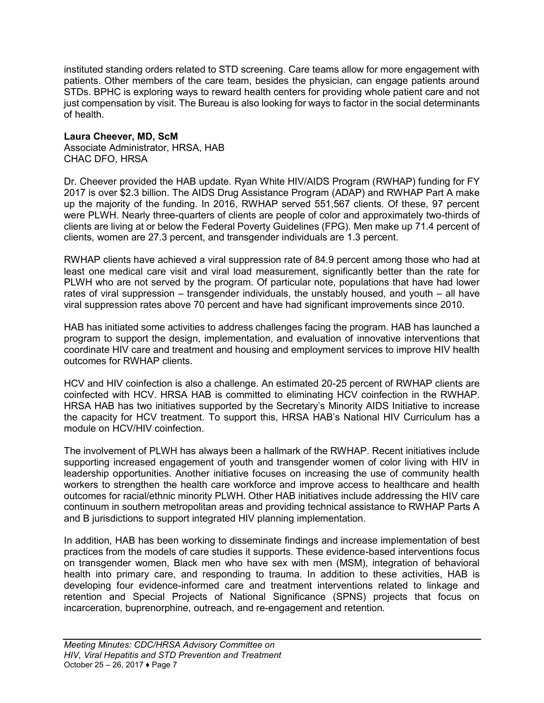instituted standing orders related to STD screening. Care teams allow for more engagement with patients. Other members of the care team, besides the physician, can engage patients around STDs. BPHC is exploring ways to reward health centers for providing whole patient care and not just compensation by visit. The Bureau is also looking for ways to factor in the social determinants of health.

#### **Laura Cheever, MD, ScM**

Associate Administrator, HRSA, HAB CHAC DFO, HRSA

Dr. Cheever provided the HAB update. Ryan White HIV/AIDS Program (RWHAP) funding for FY 2017 is over \$2.3 billion. The AIDS Drug Assistance Program (ADAP) and RWHAP Part A make up the majority of the funding. In 2016, RWHAP served 551,567 clients. Of these, 97 percent were PLWH. Nearly three-quarters of clients are people of color and approximately two-thirds of clients are living at or below the Federal Poverty Guidelines (FPG). Men make up 71.4 percent of clients, women are 27.3 percent, and transgender individuals are 1.3 percent.

RWHAP clients have achieved a viral suppression rate of 84.9 percent among those who had at least one medical care visit and viral load measurement, significantly better than the rate for PLWH who are not served by the program. Of particular note, populations that have had lower rates of viral suppression – transgender individuals, the unstably housed, and youth – all have viral suppression rates above 70 percent and have had significant improvements since 2010.

HAB has initiated some activities to address challenges facing the program. HAB has launched a program to support the design, implementation, and evaluation of innovative interventions that coordinate HIV care and treatment and housing and employment services to improve HIV health outcomes for RWHAP clients.

HCV and HIV coinfection is also a challenge. An estimated 20-25 percent of RWHAP clients are coinfected with HCV. HRSA HAB is committed to eliminating HCV coinfection in the RWHAP. HRSA HAB has two initiatives supported by the Secretary's Minority AIDS Initiative to increase the capacity for HCV treatment. To support this, HRSA HAB's National HIV Curriculum has a module on HCV/HIV coinfection.

The involvement of PLWH has always been a hallmark of the RWHAP. Recent initiatives include supporting increased engagement of youth and transgender women of color living with HIV in leadership opportunities. Another initiative focuses on increasing the use of community health workers to strengthen the health care workforce and improve access to healthcare and health outcomes for racial/ethnic minority PLWH. Other HAB initiatives include addressing the HIV care continuum in southern metropolitan areas and providing technical assistance to RWHAP Parts A and B jurisdictions to support integrated HIV planning implementation.

In addition, HAB has been working to disseminate findings and increase implementation of best practices from the models of care studies it supports. These evidence-based interventions focus on transgender women, Black men who have sex with men (MSM), integration of behavioral health into primary care, and responding to trauma. In addition to these activities, HAB is developing four evidence-informed care and treatment interventions related to linkage and retention and Special Projects of National Significance (SPNS) projects that focus on incarceration, buprenorphine, outreach, and re-engagement and retention.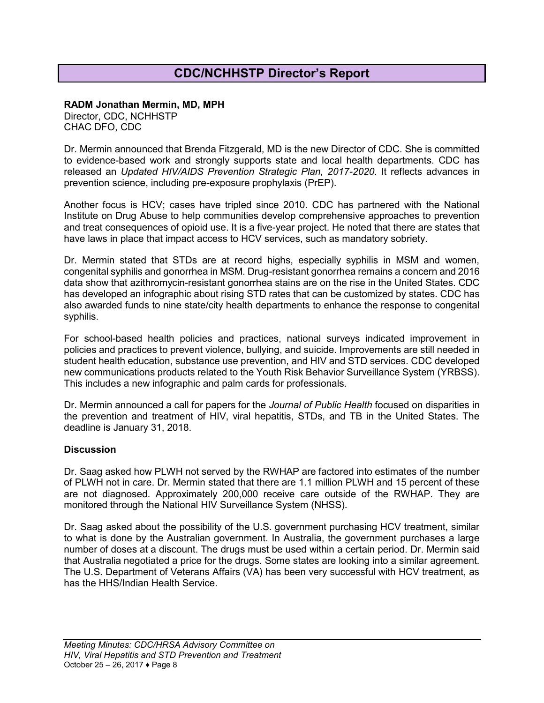## **CDC/NCHHSTP Director's Report**

#### <span id="page-7-0"></span>**RADM Jonathan Mermin, MD, MPH**

Director, CDC, NCHHSTP CHAC DFO, CDC

Dr. Mermin announced that Brenda Fitzgerald, MD is the new Director of CDC. She is committed to evidence-based work and strongly supports state and local health departments. CDC has released an *Updated HIV/AIDS Prevention Strategic Plan, 2017-2020*. It reflects advances in prevention science, including pre-exposure prophylaxis (PrEP).

Another focus is HCV; cases have tripled since 2010. CDC has partnered with the National Institute on Drug Abuse to help communities develop comprehensive approaches to prevention and treat consequences of opioid use. It is a five-year project. He noted that there are states that have laws in place that impact access to HCV services, such as mandatory sobriety.

Dr. Mermin stated that STDs are at record highs, especially syphilis in MSM and women, congenital syphilis and gonorrhea in MSM. Drug-resistant gonorrhea remains a concern and 2016 data show that azithromycin-resistant gonorrhea stains are on the rise in the United States. CDC has developed an infographic about rising STD rates that can be customized by states. CDC has also awarded funds to nine state/city health departments to enhance the response to congenital syphilis.

For school-based health policies and practices, national surveys indicated improvement in policies and practices to prevent violence, bullying, and suicide. Improvements are still needed in student health education, substance use prevention, and HIV and STD services. CDC developed new communications products related to the Youth Risk Behavior Surveillance System (YRBSS). This includes a new infographic and palm cards for professionals.

Dr. Mermin announced a call for papers for the *Journal of Public Health* focused on disparities in the prevention and treatment of HIV, viral hepatitis, STDs, and TB in the United States. The deadline is January 31, 2018.

#### **Discussion**

Dr. Saag asked how PLWH not served by the RWHAP are factored into estimates of the number of PLWH not in care. Dr. Mermin stated that there are 1.1 million PLWH and 15 percent of these are not diagnosed. Approximately 200,000 receive care outside of the RWHAP. They are monitored through the National HIV Surveillance System (NHSS).

Dr. Saag asked about the possibility of the U.S. government purchasing HCV treatment, similar to what is done by the Australian government. In Australia, the government purchases a large number of doses at a discount. The drugs must be used within a certain period. Dr. Mermin said that Australia negotiated a price for the drugs. Some states are looking into a similar agreement. The U.S. Department of Veterans Affairs (VA) has been very successful with HCV treatment, as has the HHS/Indian Health Service.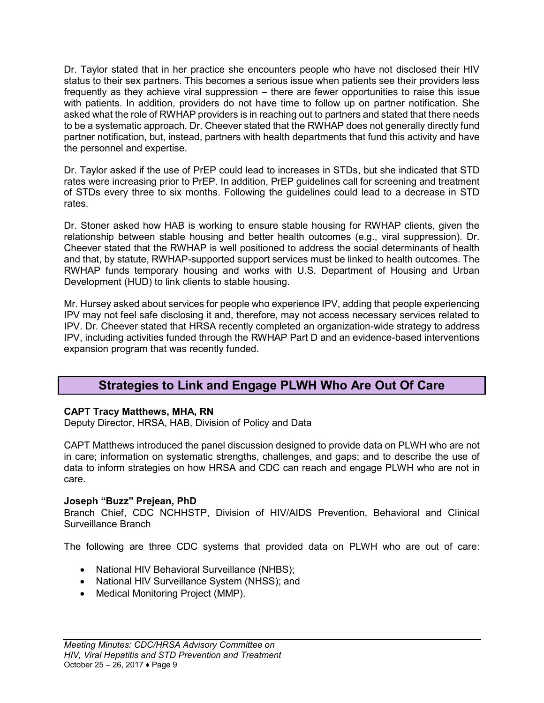Dr. Taylor stated that in her practice she encounters people who have not disclosed their HIV status to their sex partners. This becomes a serious issue when patients see their providers less frequently as they achieve viral suppression – there are fewer opportunities to raise this issue with patients. In addition, providers do not have time to follow up on partner notification. She asked what the role of RWHAP providers is in reaching out to partners and stated that there needs to be a systematic approach. Dr. Cheever stated that the RWHAP does not generally directly fund partner notification, but, instead, partners with health departments that fund this activity and have the personnel and expertise.

Dr. Taylor asked if the use of PrEP could lead to increases in STDs, but she indicated that STD rates were increasing prior to PrEP. In addition, PrEP guidelines call for screening and treatment of STDs every three to six months. Following the guidelines could lead to a decrease in STD rates.

Dr. Stoner asked how HAB is working to ensure stable housing for RWHAP clients, given the relationship between stable housing and better health outcomes (e.g., viral suppression). Dr. Cheever stated that the RWHAP is well positioned to address the social determinants of health and that, by statute, RWHAP-supported support services must be linked to health outcomes. The RWHAP funds temporary housing and works with U.S. Department of Housing and Urban Development (HUD) to link clients to stable housing.

Mr. Hursey asked about services for people who experience IPV, adding that people experiencing IPV may not feel safe disclosing it and, therefore, may not access necessary services related to IPV. Dr. Cheever stated that HRSA recently completed an organization-wide strategy to address IPV, including activities funded through the RWHAP Part D and an evidence-based interventions expansion program that was recently funded.

### **Strategies to Link and Engage PLWH Who Are Out Of Care**

### <span id="page-8-0"></span>**CAPT Tracy Matthews, MHA, RN**

Deputy Director, HRSA, HAB, Division of Policy and Data

CAPT Matthews introduced the panel discussion designed to provide data on PLWH who are not in care; information on systematic strengths, challenges, and gaps; and to describe the use of data to inform strategies on how HRSA and CDC can reach and engage PLWH who are not in care.

#### **Joseph "Buzz" Prejean, PhD**

Branch Chief, CDC NCHHSTP, Division of HIV/AIDS Prevention, Behavioral and Clinical Surveillance Branch

The following are three CDC systems that provided data on PLWH who are out of care:

- National HIV Behavioral Surveillance (NHBS);
- National HIV Surveillance System (NHSS); and
- Medical Monitoring Project (MMP).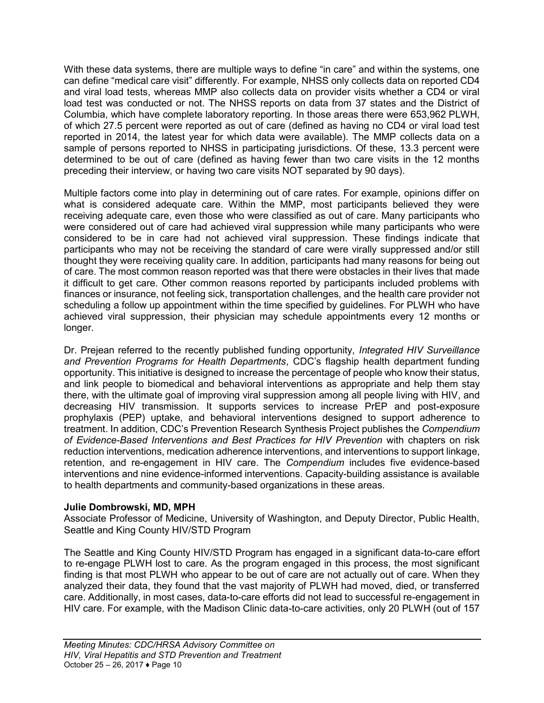With these data systems, there are multiple ways to define "in care" and within the systems, one can define "medical care visit" differently. For example, NHSS only collects data on reported CD4 and viral load tests, whereas MMP also collects data on provider visits whether a CD4 or viral load test was conducted or not. The NHSS reports on data from 37 states and the District of Columbia, which have complete laboratory reporting. In those areas there were 653,962 PLWH, of which 27.5 percent were reported as out of care (defined as having no CD4 or viral load test reported in 2014, the latest year for which data were available). The MMP collects data on a sample of persons reported to NHSS in participating jurisdictions. Of these, 13.3 percent were determined to be out of care (defined as having fewer than two care visits in the 12 months preceding their interview, or having two care visits NOT separated by 90 days).

Multiple factors come into play in determining out of care rates. For example, opinions differ on what is considered adequate care. Within the MMP, most participants believed they were receiving adequate care, even those who were classified as out of care. Many participants who were considered out of care had achieved viral suppression while many participants who were considered to be in care had not achieved viral suppression. These findings indicate that participants who may not be receiving the standard of care were virally suppressed and/or still thought they were receiving quality care. In addition, participants had many reasons for being out of care. The most common reason reported was that there were obstacles in their lives that made it difficult to get care. Other common reasons reported by participants included problems with finances or insurance, not feeling sick, transportation challenges, and the health care provider not scheduling a follow up appointment within the time specified by guidelines. For PLWH who have achieved viral suppression, their physician may schedule appointments every 12 months or longer.

Dr. Prejean referred to the recently published funding opportunity, *Integrated HIV Surveillance and Prevention Programs for Health Departments*, CDC's flagship health department funding opportunity. This initiative is designed to increase the percentage of people who know their status, and link people to biomedical and behavioral interventions as appropriate and help them stay there, with the ultimate goal of improving viral suppression among all people living with HIV, and decreasing HIV transmission. It supports services to increase PrEP and post-exposure prophylaxis (PEP) uptake, and behavioral interventions designed to support adherence to treatment. In addition, CDC's Prevention Research Synthesis Project publishes the *Compendium of Evidence-Based Interventions and Best Practices for HIV Prevention* with chapters on risk reduction interventions, medication adherence interventions, and interventions to support linkage, retention, and re-engagement in HIV care. The *Compendium* includes five evidence-based interventions and nine evidence-informed interventions. Capacity-building assistance is available to health departments and community-based organizations in these areas.

#### **Julie Dombrowski, MD, MPH**

Associate Professor of Medicine, University of Washington, and Deputy Director, Public Health, Seattle and King County HIV/STD Program

The Seattle and King County HIV/STD Program has engaged in a significant data-to-care effort to re-engage PLWH lost to care. As the program engaged in this process, the most significant finding is that most PLWH who appear to be out of care are not actually out of care. When they analyzed their data, they found that the vast majority of PLWH had moved, died, or transferred care. Additionally, in most cases, data-to-care efforts did not lead to successful re-engagement in HIV care. For example, with the Madison Clinic data-to-care activities, only 20 PLWH (out of 157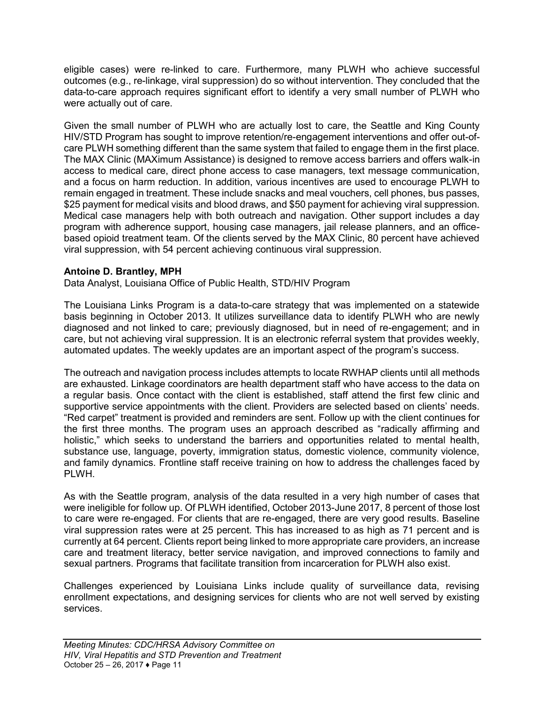eligible cases) were re-linked to care. Furthermore, many PLWH who achieve successful outcomes (e.g., re-linkage, viral suppression) do so without intervention. They concluded that the data-to-care approach requires significant effort to identify a very small number of PLWH who were actually out of care.

Given the small number of PLWH who are actually lost to care, the Seattle and King County HIV/STD Program has sought to improve retention/re-engagement interventions and offer out-ofcare PLWH something different than the same system that failed to engage them in the first place. The MAX Clinic (MAXimum Assistance) is designed to remove access barriers and offers walk-in access to medical care, direct phone access to case managers, text message communication, and a focus on harm reduction. In addition, various incentives are used to encourage PLWH to remain engaged in treatment. These include snacks and meal vouchers, cell phones, bus passes, \$25 payment for medical visits and blood draws, and \$50 payment for achieving viral suppression. Medical case managers help with both outreach and navigation. Other support includes a day program with adherence support, housing case managers, jail release planners, and an officebased opioid treatment team. Of the clients served by the MAX Clinic, 80 percent have achieved viral suppression, with 54 percent achieving continuous viral suppression.

#### **Antoine D. Brantley, MPH**

Data Analyst, Louisiana Office of Public Health, STD/HIV Program

The Louisiana Links Program is a data-to-care strategy that was implemented on a statewide basis beginning in October 2013. It utilizes surveillance data to identify PLWH who are newly diagnosed and not linked to care; previously diagnosed, but in need of re-engagement; and in care, but not achieving viral suppression. It is an electronic referral system that provides weekly, automated updates. The weekly updates are an important aspect of the program's success.

The outreach and navigation process includes attempts to locate RWHAP clients until all methods are exhausted. Linkage coordinators are health department staff who have access to the data on a regular basis. Once contact with the client is established, staff attend the first few clinic and supportive service appointments with the client. Providers are selected based on clients' needs. "Red carpet" treatment is provided and reminders are sent. Follow up with the client continues for the first three months. The program uses an approach described as "radically affirming and holistic," which seeks to understand the barriers and opportunities related to mental health, substance use, language, poverty, immigration status, domestic violence, community violence, and family dynamics. Frontline staff receive training on how to address the challenges faced by PLWH.

As with the Seattle program, analysis of the data resulted in a very high number of cases that were ineligible for follow up. Of PLWH identified, October 2013-June 2017, 8 percent of those lost to care were re-engaged. For clients that are re-engaged, there are very good results. Baseline viral suppression rates were at 25 percent. This has increased to as high as 71 percent and is currently at 64 percent. Clients report being linked to more appropriate care providers, an increase care and treatment literacy, better service navigation, and improved connections to family and sexual partners. Programs that facilitate transition from incarceration for PLWH also exist.

Challenges experienced by Louisiana Links include quality of surveillance data, revising enrollment expectations, and designing services for clients who are not well served by existing services.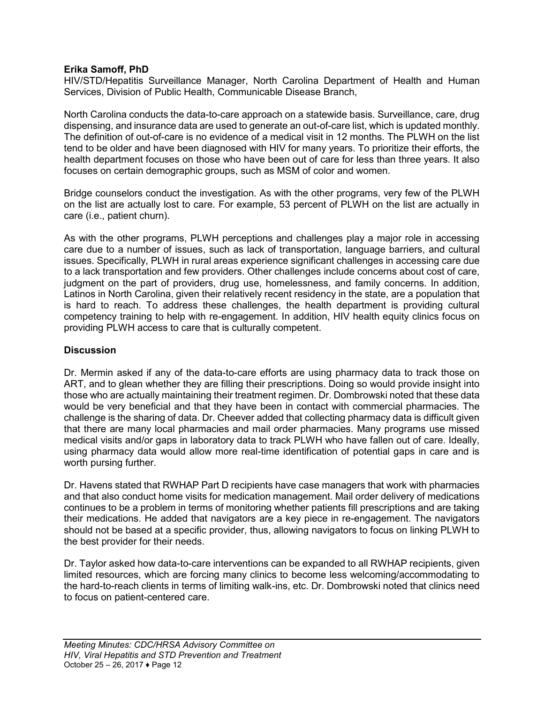#### **Erika Samoff, PhD**

HIV/STD/Hepatitis Surveillance Manager, North Carolina Department of Health and Human Services, Division of Public Health, Communicable Disease Branch,

North Carolina conducts the data-to-care approach on a statewide basis. Surveillance, care, drug dispensing, and insurance data are used to generate an out-of-care list, which is updated monthly. The definition of out-of-care is no evidence of a medical visit in 12 months. The PLWH on the list tend to be older and have been diagnosed with HIV for many years. To prioritize their efforts, the health department focuses on those who have been out of care for less than three years. It also focuses on certain demographic groups, such as MSM of color and women.

Bridge counselors conduct the investigation. As with the other programs, very few of the PLWH on the list are actually lost to care. For example, 53 percent of PLWH on the list are actually in care (i.e., patient churn).

As with the other programs, PLWH perceptions and challenges play a major role in accessing care due to a number of issues, such as lack of transportation, language barriers, and cultural issues. Specifically, PLWH in rural areas experience significant challenges in accessing care due to a lack transportation and few providers. Other challenges include concerns about cost of care, judgment on the part of providers, drug use, homelessness, and family concerns. In addition, Latinos in North Carolina, given their relatively recent residency in the state, are a population that is hard to reach. To address these challenges, the health department is providing cultural competency training to help with re-engagement. In addition, HIV health equity clinics focus on providing PLWH access to care that is culturally competent.

#### **Discussion**

Dr. Mermin asked if any of the data-to-care efforts are using pharmacy data to track those on ART, and to glean whether they are filling their prescriptions. Doing so would provide insight into those who are actually maintaining their treatment regimen. Dr. Dombrowski noted that these data would be very beneficial and that they have been in contact with commercial pharmacies. The challenge is the sharing of data. Dr. Cheever added that collecting pharmacy data is difficult given that there are many local pharmacies and mail order pharmacies. Many programs use missed medical visits and/or gaps in laboratory data to track PLWH who have fallen out of care. Ideally, using pharmacy data would allow more real-time identification of potential gaps in care and is worth pursing further.

Dr. Havens stated that RWHAP Part D recipients have case managers that work with pharmacies and that also conduct home visits for medication management. Mail order delivery of medications continues to be a problem in terms of monitoring whether patients fill prescriptions and are taking their medications. He added that navigators are a key piece in re-engagement. The navigators should not be based at a specific provider, thus, allowing navigators to focus on linking PLWH to the best provider for their needs.

Dr. Taylor asked how data-to-care interventions can be expanded to all RWHAP recipients, given limited resources, which are forcing many clinics to become less welcoming/accommodating to the hard-to-reach clients in terms of limiting walk-ins, etc. Dr. Dombrowski noted that clinics need to focus on patient-centered care.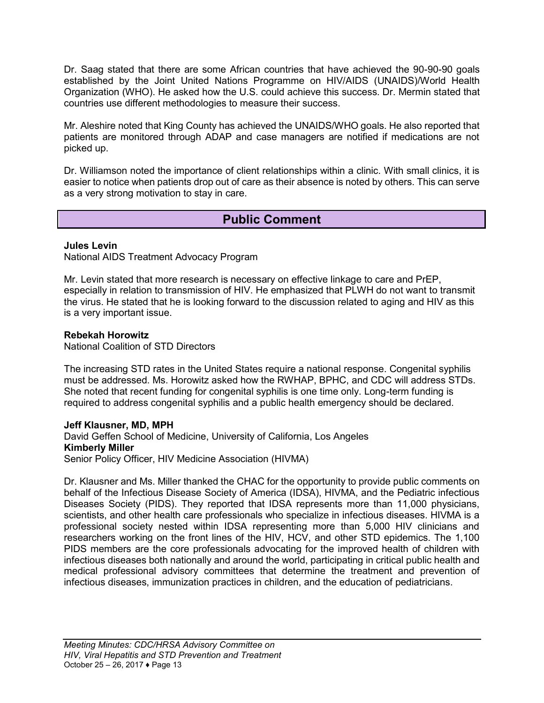Dr. Saag stated that there are some African countries that have achieved the 90-90-90 goals established by the Joint United Nations Programme on HIV/AIDS (UNAIDS)/World Health Organization (WHO). He asked how the U.S. could achieve this success. Dr. Mermin stated that countries use different methodologies to measure their success.

Mr. Aleshire noted that King County has achieved the UNAIDS/WHO goals. He also reported that patients are monitored through ADAP and case managers are notified if medications are not picked up.

Dr. Williamson noted the importance of client relationships within a clinic. With small clinics, it is easier to notice when patients drop out of care as their absence is noted by others. This can serve as a very strong motivation to stay in care.

### **Public Comment**

#### <span id="page-12-0"></span>**Jules Levin**

National AIDS Treatment Advocacy Program

Mr. Levin stated that more research is necessary on effective linkage to care and PrEP, especially in relation to transmission of HIV. He emphasized that PLWH do not want to transmit the virus. He stated that he is looking forward to the discussion related to aging and HIV as this is a very important issue.

#### **Rebekah Horowitz**

National Coalition of STD Directors

The increasing STD rates in the United States require a national response. Congenital syphilis must be addressed. Ms. Horowitz asked how the RWHAP, BPHC, and CDC will address STDs. She noted that recent funding for congenital syphilis is one time only. Long-term funding is required to address congenital syphilis and a public health emergency should be declared.

#### **Jeff Klausner, MD, MPH**

David Geffen School of Medicine, University of California, Los Angeles **Kimberly Miller** Senior Policy Officer, HIV Medicine Association (HIVMA)

Dr. Klausner and Ms. Miller thanked the CHAC for the opportunity to provide public comments on behalf of the Infectious Disease Society of America (IDSA), HIVMA, and the Pediatric infectious Diseases Society (PIDS). They reported that IDSA represents more than 11,000 physicians, scientists, and other health care professionals who specialize in infectious diseases. HIVMA is a professional society nested within IDSA representing more than 5,000 HIV clinicians and researchers working on the front lines of the HIV, HCV, and other STD epidemics. The 1,100 PIDS members are the core professionals advocating for the improved health of children with infectious diseases both nationally and around the world, participating in critical public health and medical professional advisory committees that determine the treatment and prevention of infectious diseases, immunization practices in children, and the education of pediatricians.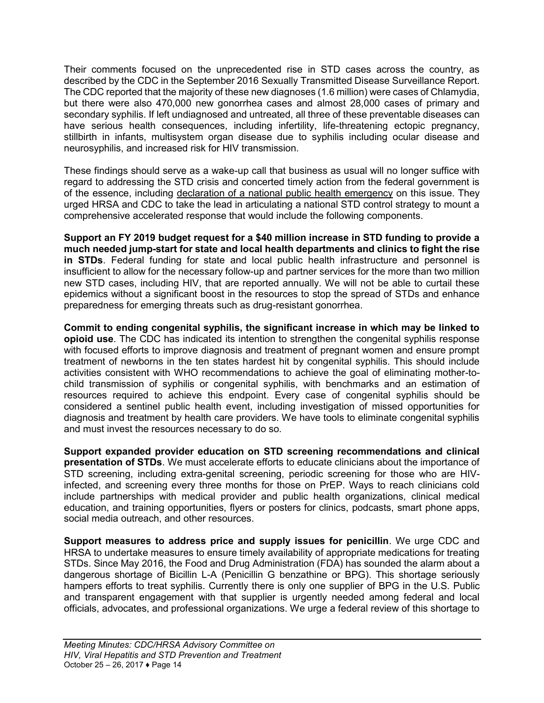Their comments focused on the unprecedented rise in STD cases across the country, as described by the CDC in the September 2016 Sexually Transmitted Disease Surveillance Report. The CDC reported that the majority of these new diagnoses (1.6 million) were cases of Chlamydia, but there were also 470,000 new gonorrhea cases and almost 28,000 cases of primary and secondary syphilis. If left undiagnosed and untreated, all three of these preventable diseases can have serious health consequences, including infertility, life-threatening ectopic pregnancy, stillbirth in infants, multisystem organ disease due to syphilis including ocular disease and neurosyphilis, and increased risk for HIV transmission.

These findings should serve as a wake-up call that business as usual will no longer suffice with regard to addressing the STD crisis and concerted timely action from the federal government is of the essence, including declaration of a national public health emergency on this issue. They urged HRSA and CDC to take the lead in articulating a national STD control strategy to mount a comprehensive accelerated response that would include the following components.

**Support an FY 2019 budget request for a \$40 million increase in STD funding to provide a much needed jump-start for state and local health departments and clinics to fight the rise in STDs**. Federal funding for state and local public health infrastructure and personnel is insufficient to allow for the necessary follow-up and partner services for the more than two million new STD cases, including HIV, that are reported annually. We will not be able to curtail these epidemics without a significant boost in the resources to stop the spread of STDs and enhance preparedness for emerging threats such as drug-resistant gonorrhea.

**Commit to ending congenital syphilis, the significant increase in which may be linked to opioid use**. The CDC has indicated its intention to strengthen the congenital syphilis response with focused efforts to improve diagnosis and treatment of pregnant women and ensure prompt treatment of newborns in the ten states hardest hit by congenital syphilis. This should include activities consistent with WHO recommendations to achieve the goal of eliminating mother-tochild transmission of syphilis or congenital syphilis, with benchmarks and an estimation of resources required to achieve this endpoint. Every case of congenital syphilis should be considered a sentinel public health event, including investigation of missed opportunities for diagnosis and treatment by health care providers. We have tools to eliminate congenital syphilis and must invest the resources necessary to do so.

**Support expanded provider education on STD screening recommendations and clinical presentation of STDs**. We must accelerate efforts to educate clinicians about the importance of STD screening, including extra-genital screening, periodic screening for those who are HIVinfected, and screening every three months for those on PrEP. Ways to reach clinicians cold include partnerships with medical provider and public health organizations, clinical medical education, and training opportunities, flyers or posters for clinics, podcasts, smart phone apps, social media outreach, and other resources.

**Support measures to address price and supply issues for penicillin**. We urge CDC and HRSA to undertake measures to ensure timely availability of appropriate medications for treating STDs. Since May 2016, the Food and Drug Administration (FDA) has sounded the alarm about a dangerous shortage of Bicillin L-A (Penicillin G benzathine or BPG). This shortage seriously hampers efforts to treat syphilis. Currently there is only one supplier of BPG in the U.S. Public and transparent engagement with that supplier is urgently needed among federal and local officials, advocates, and professional organizations. We urge a federal review of this shortage to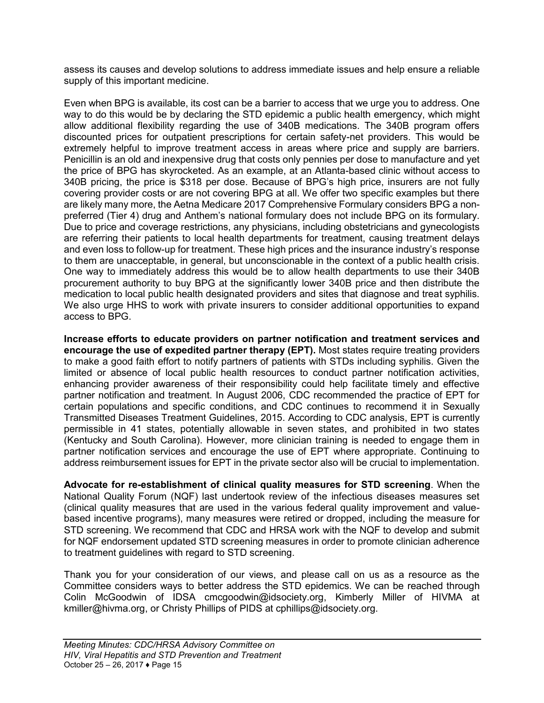assess its causes and develop solutions to address immediate issues and help ensure a reliable supply of this important medicine.

Even when BPG is available, its cost can be a barrier to access that we urge you to address. One way to do this would be by declaring the STD epidemic a public health emergency, which might allow additional flexibility regarding the use of 340B medications. The 340B program offers discounted prices for outpatient prescriptions for certain safety-net providers. This would be extremely helpful to improve treatment access in areas where price and supply are barriers. Penicillin is an old and inexpensive drug that costs only pennies per dose to manufacture and yet the price of BPG has skyrocketed. As an example, at an Atlanta-based clinic without access to 340B pricing, the price is \$318 per dose. Because of BPG's high price, insurers are not fully covering provider costs or are not covering BPG at all. We offer two specific examples but there are likely many more, the Aetna Medicare 2017 Comprehensive Formulary considers BPG a nonpreferred (Tier 4) drug and Anthem's national formulary does not include BPG on its formulary. Due to price and coverage restrictions, any physicians, including obstetricians and gynecologists are referring their patients to local health departments for treatment, causing treatment delays and even loss to follow-up for treatment. These high prices and the insurance industry's response to them are unacceptable, in general, but unconscionable in the context of a public health crisis. One way to immediately address this would be to allow health departments to use their 340B procurement authority to buy BPG at the significantly lower 340B price and then distribute the medication to local public health designated providers and sites that diagnose and treat syphilis. We also urge HHS to work with private insurers to consider additional opportunities to expand access to BPG.

**Increase efforts to educate providers on partner notification and treatment services and encourage the use of expedited partner therapy (EPT).** Most states require treating providers to make a good faith effort to notify partners of patients with STDs including syphilis. Given the limited or absence of local public health resources to conduct partner notification activities, enhancing provider awareness of their responsibility could help facilitate timely and effective partner notification and treatment. In August 2006, CDC recommended the practice of EPT for certain populations and specific conditions, and CDC continues to recommend it in Sexually Transmitted Diseases Treatment Guidelines, 2015. According to CDC analysis, EPT is currently permissible in 41 states, potentially allowable in seven states, and prohibited in two states (Kentucky and South Carolina). However, more clinician training is needed to engage them in partner notification services and encourage the use of EPT where appropriate. Continuing to address reimbursement issues for EPT in the private sector also will be crucial to implementation.

**Advocate for re-establishment of clinical quality measures for STD screening**. When the National Quality Forum (NQF) last undertook review of the infectious diseases measures set (clinical quality measures that are used in the various federal quality improvement and valuebased incentive programs), many measures were retired or dropped, including the measure for STD screening. We recommend that CDC and HRSA work with the NQF to develop and submit for NQF endorsement updated STD screening measures in order to promote clinician adherence to treatment guidelines with regard to STD screening.

Thank you for your consideration of our views, and please call on us as a resource as the Committee considers ways to better address the STD epidemics. We can be reached through Colin McGoodwin of IDSA cmcgoodwin@idsociety.org, Kimberly Miller of HIVMA at kmiller@hivma.org, or Christy Phillips of PIDS at cphillips@idsociety.org.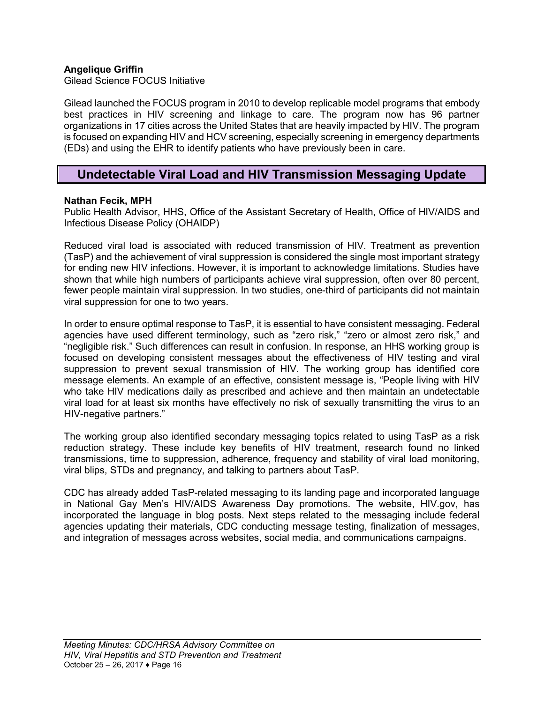#### **Angelique Griffin**

Gilead Science FOCUS Initiative

Gilead launched the FOCUS program in 2010 to develop replicable model programs that embody best practices in HIV screening and linkage to care. The program now has 96 partner organizations in 17 cities across the United States that are heavily impacted by HIV. The program is focused on expanding HIV and HCV screening, especially screening in emergency departments (EDs) and using the EHR to identify patients who have previously been in care.

### <span id="page-15-0"></span>**Undetectable Viral Load and HIV Transmission Messaging Update**

#### **Nathan Fecik, MPH**

Public Health Advisor, HHS, Office of the Assistant Secretary of Health, Office of HIV/AIDS and Infectious Disease Policy (OHAIDP)

Reduced viral load is associated with reduced transmission of HIV. Treatment as prevention (TasP) and the achievement of viral suppression is considered the single most important strategy for ending new HIV infections. However, it is important to acknowledge limitations. Studies have shown that while high numbers of participants achieve viral suppression, often over 80 percent, fewer people maintain viral suppression. In two studies, one-third of participants did not maintain viral suppression for one to two years.

In order to ensure optimal response to TasP, it is essential to have consistent messaging. Federal agencies have used different terminology, such as "zero risk," "zero or almost zero risk," and "negligible risk." Such differences can result in confusion. In response, an HHS working group is focused on developing consistent messages about the effectiveness of HIV testing and viral suppression to prevent sexual transmission of HIV. The working group has identified core message elements. An example of an effective, consistent message is, "People living with HIV who take HIV medications daily as prescribed and achieve and then maintain an undetectable viral load for at least six months have effectively no risk of sexually transmitting the virus to an HIV-negative partners."

The working group also identified secondary messaging topics related to using TasP as a risk reduction strategy. These include key benefits of HIV treatment, research found no linked transmissions, time to suppression, adherence, frequency and stability of viral load monitoring, viral blips, STDs and pregnancy, and talking to partners about TasP.

CDC has already added TasP-related messaging to its landing page and incorporated language in National Gay Men's HIV/AIDS Awareness Day promotions. The website, HIV.gov, has incorporated the language in blog posts. Next steps related to the messaging include federal agencies updating their materials, CDC conducting message testing, finalization of messages, and integration of messages across websites, social media, and communications campaigns.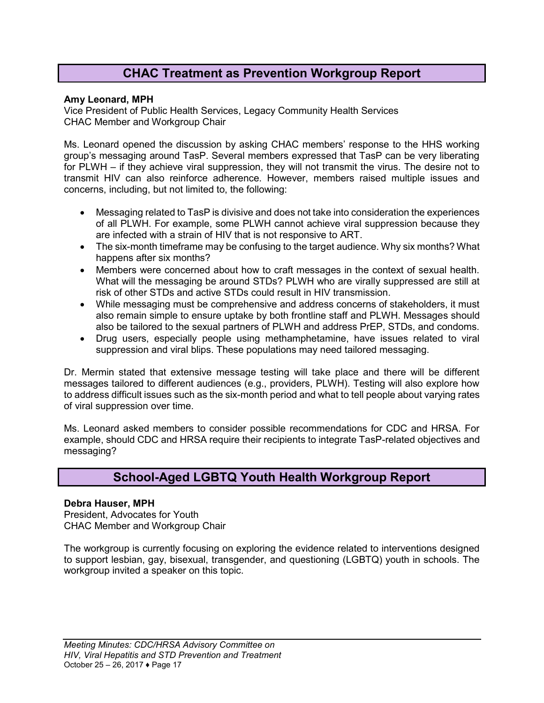## **CHAC Treatment as Prevention Workgroup Report**

#### <span id="page-16-0"></span>**Amy Leonard, MPH**

Vice President of Public Health Services, Legacy Community Health Services CHAC Member and Workgroup Chair

Ms. Leonard opened the discussion by asking CHAC members' response to the HHS working group's messaging around TasP. Several members expressed that TasP can be very liberating for PLWH – if they achieve viral suppression, they will not transmit the virus. The desire not to transmit HIV can also reinforce adherence. However, members raised multiple issues and concerns, including, but not limited to, the following:

- Messaging related to TasP is divisive and does not take into consideration the experiences of all PLWH. For example, some PLWH cannot achieve viral suppression because they are infected with a strain of HIV that is not responsive to ART.
- The six-month timeframe may be confusing to the target audience. Why six months? What happens after six months?
- Members were concerned about how to craft messages in the context of sexual health. What will the messaging be around STDs? PLWH who are virally suppressed are still at risk of other STDs and active STDs could result in HIV transmission.
- While messaging must be comprehensive and address concerns of stakeholders, it must also remain simple to ensure uptake by both frontline staff and PLWH. Messages should also be tailored to the sexual partners of PLWH and address PrEP, STDs, and condoms.
- Drug users, especially people using methamphetamine, have issues related to viral suppression and viral blips. These populations may need tailored messaging.

Dr. Mermin stated that extensive message testing will take place and there will be different messages tailored to different audiences (e.g., providers, PLWH). Testing will also explore how to address difficult issues such as the six-month period and what to tell people about varying rates of viral suppression over time.

Ms. Leonard asked members to consider possible recommendations for CDC and HRSA. For example, should CDC and HRSA require their recipients to integrate TasP-related objectives and messaging?

### **School-Aged LGBTQ Youth Health Workgroup Report**

#### <span id="page-16-1"></span>**Debra Hauser, MPH**

President, Advocates for Youth CHAC Member and Workgroup Chair

The workgroup is currently focusing on exploring the evidence related to interventions designed to support lesbian, gay, bisexual, transgender, and questioning (LGBTQ) youth in schools. The workgroup invited a speaker on this topic.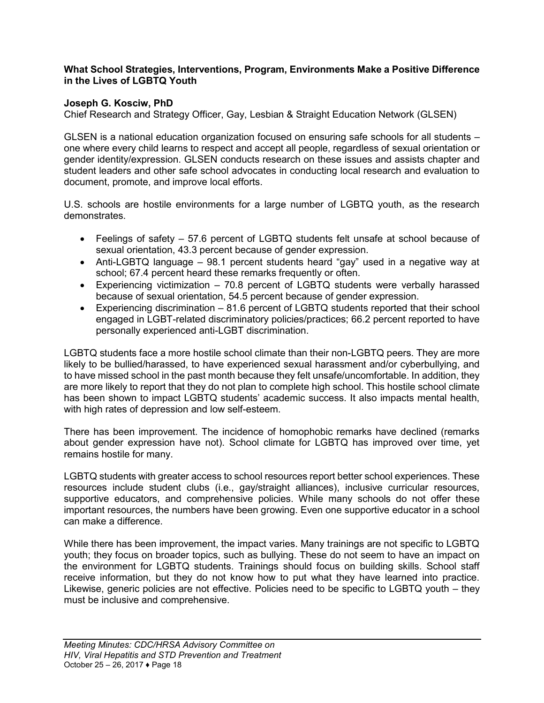#### **What School Strategies, Interventions, Program, Environments Make a Positive Difference in the Lives of LGBTQ Youth**

#### **Joseph G. Kosciw, PhD**

Chief Research and Strategy Officer, Gay, Lesbian & Straight Education Network (GLSEN)

GLSEN is a national education organization focused on ensuring safe schools for all students – one where every child learns to respect and accept all people, regardless of sexual orientation or gender identity/expression. GLSEN conducts research on these issues and assists chapter and student leaders and other safe school advocates in conducting local research and evaluation to document, promote, and improve local efforts.

U.S. schools are hostile environments for a large number of LGBTQ youth, as the research demonstrates.

- Feelings of safety 57.6 percent of LGBTQ students felt unsafe at school because of sexual orientation, 43.3 percent because of gender expression.
- Anti-LGBTQ language 98.1 percent students heard "gay" used in a negative way at school; 67.4 percent heard these remarks frequently or often.
- Experiencing victimization 70.8 percent of LGBTQ students were verbally harassed because of sexual orientation, 54.5 percent because of gender expression.
- Experiencing discrimination 81.6 percent of LGBTQ students reported that their school engaged in LGBT-related discriminatory policies/practices; 66.2 percent reported to have personally experienced anti-LGBT discrimination.

LGBTQ students face a more hostile school climate than their non-LGBTQ peers. They are more likely to be bullied/harassed, to have experienced sexual harassment and/or cyberbullying, and to have missed school in the past month because they felt unsafe/uncomfortable. In addition, they are more likely to report that they do not plan to complete high school. This hostile school climate has been shown to impact LGBTQ students' academic success. It also impacts mental health, with high rates of depression and low self-esteem.

There has been improvement. The incidence of homophobic remarks have declined (remarks about gender expression have not). School climate for LGBTQ has improved over time, yet remains hostile for many.

LGBTQ students with greater access to school resources report better school experiences. These resources include student clubs (i.e., gay/straight alliances), inclusive curricular resources, supportive educators, and comprehensive policies. While many schools do not offer these important resources, the numbers have been growing. Even one supportive educator in a school can make a difference.

While there has been improvement, the impact varies. Many trainings are not specific to LGBTQ youth; they focus on broader topics, such as bullying. These do not seem to have an impact on the environment for LGBTQ students. Trainings should focus on building skills. School staff receive information, but they do not know how to put what they have learned into practice. Likewise, generic policies are not effective. Policies need to be specific to LGBTQ youth – they must be inclusive and comprehensive.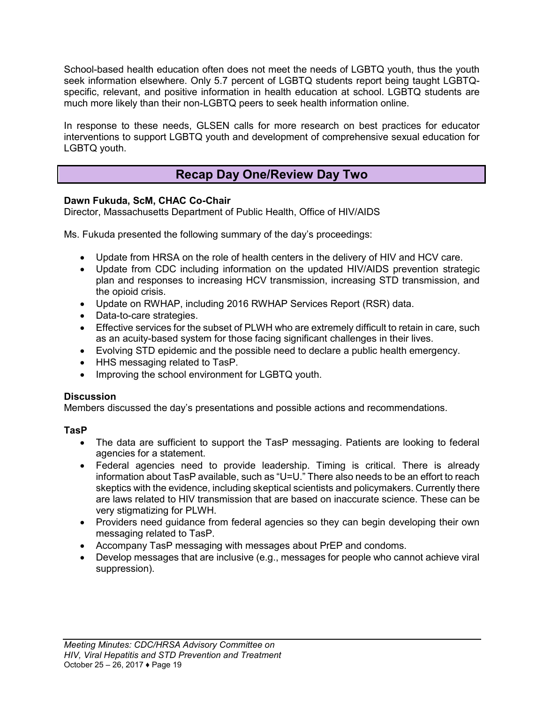School-based health education often does not meet the needs of LGBTQ youth, thus the youth seek information elsewhere. Only 5.7 percent of LGBTQ students report being taught LGBTQspecific, relevant, and positive information in health education at school. LGBTQ students are much more likely than their non-LGBTQ peers to seek health information online.

In response to these needs, GLSEN calls for more research on best practices for educator interventions to support LGBTQ youth and development of comprehensive sexual education for LGBTQ youth.

## **Recap Day One/Review Day Two**

### <span id="page-18-0"></span>**Dawn Fukuda, ScM, CHAC Co-Chair**

Director, Massachusetts Department of Public Health, Office of HIV/AIDS

Ms. Fukuda presented the following summary of the day's proceedings:

- Update from HRSA on the role of health centers in the delivery of HIV and HCV care.
- Update from CDC including information on the updated HIV/AIDS prevention strategic plan and responses to increasing HCV transmission, increasing STD transmission, and the opioid crisis.
- Update on RWHAP, including 2016 RWHAP Services Report (RSR) data.
- Data-to-care strategies.
- **Effective services for the subset of PLWH who are extremely difficult to retain in care, such** as an acuity-based system for those facing significant challenges in their lives.
- Evolving STD epidemic and the possible need to declare a public health emergency.
- HHS messaging related to TasP.
- Improving the school environment for LGBTQ youth.

#### **Discussion**

Members discussed the day's presentations and possible actions and recommendations.

#### **TasP**

- The data are sufficient to support the TasP messaging. Patients are looking to federal agencies for a statement.
- Federal agencies need to provide leadership. Timing is critical. There is already information about TasP available, such as "U=U." There also needs to be an effort to reach skeptics with the evidence, including skeptical scientists and policymakers. Currently there are laws related to HIV transmission that are based on inaccurate science. These can be very stigmatizing for PLWH.
- Providers need guidance from federal agencies so they can begin developing their own messaging related to TasP.
- Accompany TasP messaging with messages about PrEP and condoms.
- Develop messages that are inclusive (e.g., messages for people who cannot achieve viral suppression).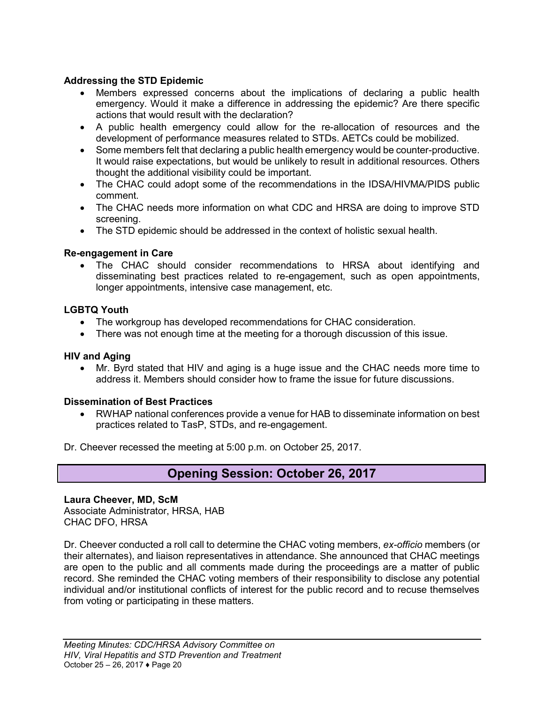#### **Addressing the STD Epidemic**

- Members expressed concerns about the implications of declaring a public health emergency. Would it make a difference in addressing the epidemic? Are there specific actions that would result with the declaration?
- A public health emergency could allow for the re-allocation of resources and the development of performance measures related to STDs. AETCs could be mobilized.
- Some members felt that declaring a public health emergency would be counter-productive. It would raise expectations, but would be unlikely to result in additional resources. Others thought the additional visibility could be important.
- The CHAC could adopt some of the recommendations in the IDSA/HIVMA/PIDS public comment.
- The CHAC needs more information on what CDC and HRSA are doing to improve STD screening.
- The STD epidemic should be addressed in the context of holistic sexual health.

#### **Re-engagement in Care**

 The CHAC should consider recommendations to HRSA about identifying and disseminating best practices related to re-engagement, such as open appointments, longer appointments, intensive case management, etc.

#### **LGBTQ Youth**

- The workgroup has developed recommendations for CHAC consideration.
- There was not enough time at the meeting for a thorough discussion of this issue.

#### **HIV and Aging**

 Mr. Byrd stated that HIV and aging is a huge issue and the CHAC needs more time to address it. Members should consider how to frame the issue for future discussions.

#### **Dissemination of Best Practices**

 RWHAP national conferences provide a venue for HAB to disseminate information on best practices related to TasP, STDs, and re-engagement.

<span id="page-19-0"></span>Dr. Cheever recessed the meeting at 5:00 p.m. on October 25, 2017.

### **Opening Session: October 26, 2017**

#### **Laura Cheever, MD, ScM**

Associate Administrator, HRSA, HAB CHAC DFO, HRSA

Dr. Cheever conducted a roll call to determine the CHAC voting members, *ex-officio* members (or their alternates), and liaison representatives in attendance. She announced that CHAC meetings are open to the public and all comments made during the proceedings are a matter of public record. She reminded the CHAC voting members of their responsibility to disclose any potential individual and/or institutional conflicts of interest for the public record and to recuse themselves from voting or participating in these matters.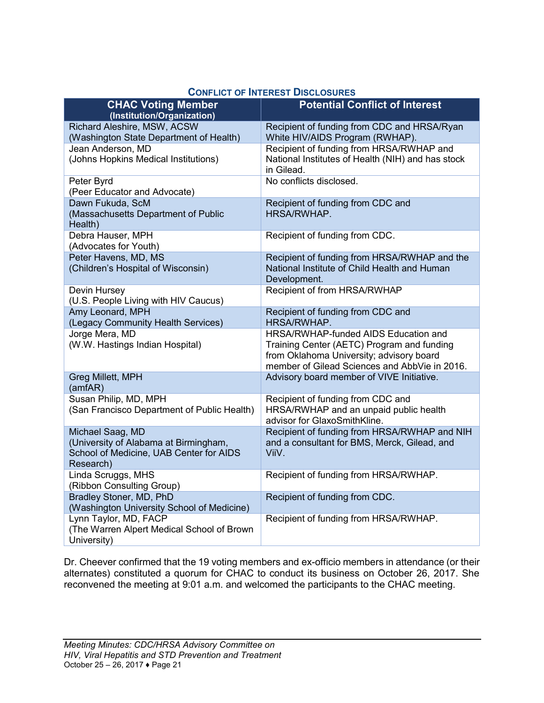|                                                                                                                   | <b>UUNFLIUT UF INTEREST DISULUSURES</b>                                                                                                                                         |
|-------------------------------------------------------------------------------------------------------------------|---------------------------------------------------------------------------------------------------------------------------------------------------------------------------------|
| <b>CHAC Voting Member</b><br>(Institution/Organization)                                                           | <b>Potential Conflict of Interest</b>                                                                                                                                           |
| Richard Aleshire, MSW, ACSW<br>(Washington State Department of Health)                                            | Recipient of funding from CDC and HRSA/Ryan<br>White HIV/AIDS Program (RWHAP).                                                                                                  |
| Jean Anderson, MD<br>(Johns Hopkins Medical Institutions)                                                         | Recipient of funding from HRSA/RWHAP and<br>National Institutes of Health (NIH) and has stock<br>in Gilead.                                                                     |
| Peter Byrd<br>(Peer Educator and Advocate)                                                                        | No conflicts disclosed.                                                                                                                                                         |
| Dawn Fukuda, ScM<br>(Massachusetts Department of Public<br>Health)                                                | Recipient of funding from CDC and<br>HRSA/RWHAP.                                                                                                                                |
| Debra Hauser, MPH<br>(Advocates for Youth)                                                                        | Recipient of funding from CDC.                                                                                                                                                  |
| Peter Havens, MD, MS<br>(Children's Hospital of Wisconsin)                                                        | Recipient of funding from HRSA/RWHAP and the<br>National Institute of Child Health and Human<br>Development.                                                                    |
| Devin Hursey<br>(U.S. People Living with HIV Caucus)                                                              | Recipient of from HRSA/RWHAP                                                                                                                                                    |
| Amy Leonard, MPH<br>(Legacy Community Health Services)                                                            | Recipient of funding from CDC and<br>HRSA/RWHAP.                                                                                                                                |
| Jorge Mera, MD<br>(W.W. Hastings Indian Hospital)                                                                 | HRSA/RWHAP-funded AIDS Education and<br>Training Center (AETC) Program and funding<br>from Oklahoma University; advisory board<br>member of Gilead Sciences and AbbVie in 2016. |
| Greg Millett, MPH<br>(amfAR)                                                                                      | Advisory board member of VIVE Initiative.                                                                                                                                       |
| Susan Philip, MD, MPH<br>(San Francisco Department of Public Health)                                              | Recipient of funding from CDC and<br>HRSA/RWHAP and an unpaid public health<br>advisor for GlaxoSmithKline.                                                                     |
| Michael Saag, MD<br>(University of Alabama at Birmingham,<br>School of Medicine, UAB Center for AIDS<br>Research) | Recipient of funding from HRSA/RWHAP and NIH<br>and a consultant for BMS, Merck, Gilead, and<br>ViiV.                                                                           |
| Linda Scruggs, MHS<br>(Ribbon Consulting Group)                                                                   | Recipient of funding from HRSA/RWHAP.                                                                                                                                           |
| Bradley Stoner, MD, PhD<br>(Washington University School of Medicine)                                             | Recipient of funding from CDC.                                                                                                                                                  |
| Lynn Taylor, MD, FACP<br>(The Warren Alpert Medical School of Brown<br>University)                                | Recipient of funding from HRSA/RWHAP.                                                                                                                                           |

#### **CONFLICT OF INTEREST DISCLOSURES**

Dr. Cheever confirmed that the 19 voting members and ex-officio members in attendance (or their alternates) constituted a quorum for CHAC to conduct its business on October 26, 2017. She reconvened the meeting at 9:01 a.m. and welcomed the participants to the CHAC meeting.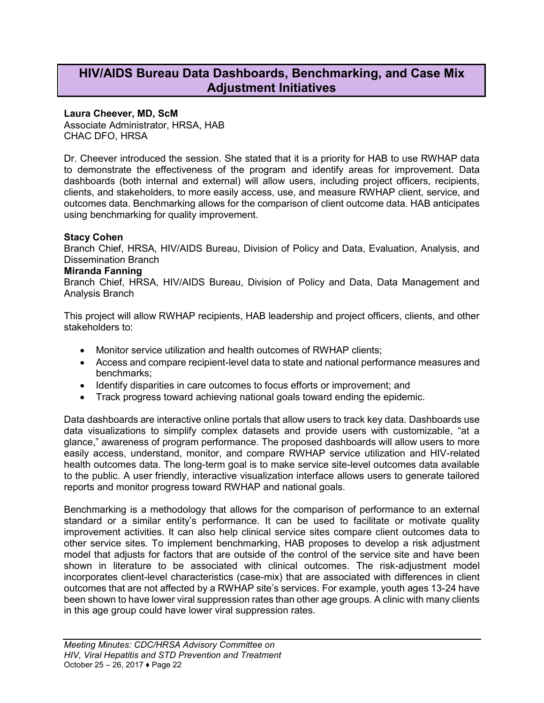### <span id="page-21-0"></span>**HIV/AIDS Bureau Data Dashboards, Benchmarking, and Case Mix Adjustment Initiatives**

#### **Laura Cheever, MD, ScM**

Associate Administrator, HRSA, HAB CHAC DFO, HRSA

Dr. Cheever introduced the session. She stated that it is a priority for HAB to use RWHAP data to demonstrate the effectiveness of the program and identify areas for improvement. Data dashboards (both internal and external) will allow users, including project officers, recipients, clients, and stakeholders, to more easily access, use, and measure RWHAP client, service, and outcomes data. Benchmarking allows for the comparison of client outcome data. HAB anticipates using benchmarking for quality improvement.

#### **Stacy Cohen**

Branch Chief, HRSA, HIV/AIDS Bureau, Division of Policy and Data, Evaluation, Analysis, and Dissemination Branch

#### **Miranda Fanning**

Branch Chief, HRSA, HIV/AIDS Bureau, Division of Policy and Data, Data Management and Analysis Branch

This project will allow RWHAP recipients, HAB leadership and project officers, clients, and other stakeholders to:

- Monitor service utilization and health outcomes of RWHAP clients:
- Access and compare recipient-level data to state and national performance measures and benchmarks;
- Identify disparities in care outcomes to focus efforts or improvement; and
- Track progress toward achieving national goals toward ending the epidemic.

Data dashboards are interactive online portals that allow users to track key data. Dashboards use data visualizations to simplify complex datasets and provide users with customizable, "at a glance," awareness of program performance. The proposed dashboards will allow users to more easily access, understand, monitor, and compare RWHAP service utilization and HIV-related health outcomes data. The long-term goal is to make service site-level outcomes data available to the public. A user friendly, interactive visualization interface allows users to generate tailored reports and monitor progress toward RWHAP and national goals.

Benchmarking is a methodology that allows for the comparison of performance to an external standard or a similar entity's performance. It can be used to facilitate or motivate quality improvement activities. It can also help clinical service sites compare client outcomes data to other service sites. To implement benchmarking, HAB proposes to develop a risk adjustment model that adjusts for factors that are outside of the control of the service site and have been shown in literature to be associated with clinical outcomes. The risk-adjustment model incorporates client-level characteristics (case-mix) that are associated with differences in client outcomes that are not affected by a RWHAP site's services. For example, youth ages 13-24 have been shown to have lower viral suppression rates than other age groups. A clinic with many clients in this age group could have lower viral suppression rates.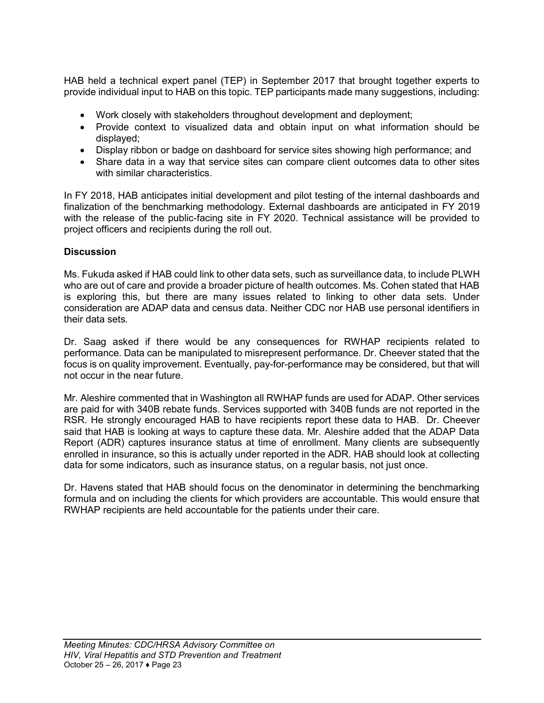HAB held a technical expert panel (TEP) in September 2017 that brought together experts to provide individual input to HAB on this topic. TEP participants made many suggestions, including:

- Work closely with stakeholders throughout development and deployment;
- Provide context to visualized data and obtain input on what information should be displayed;
- Display ribbon or badge on dashboard for service sites showing high performance; and
- Share data in a way that service sites can compare client outcomes data to other sites with similar characteristics.

In FY 2018, HAB anticipates initial development and pilot testing of the internal dashboards and finalization of the benchmarking methodology. External dashboards are anticipated in FY 2019 with the release of the public-facing site in FY 2020. Technical assistance will be provided to project officers and recipients during the roll out.

#### **Discussion**

Ms. Fukuda asked if HAB could link to other data sets, such as surveillance data, to include PLWH who are out of care and provide a broader picture of health outcomes. Ms. Cohen stated that HAB is exploring this, but there are many issues related to linking to other data sets. Under consideration are ADAP data and census data. Neither CDC nor HAB use personal identifiers in their data sets.

Dr. Saag asked if there would be any consequences for RWHAP recipients related to performance. Data can be manipulated to misrepresent performance. Dr. Cheever stated that the focus is on quality improvement. Eventually, pay-for-performance may be considered, but that will not occur in the near future.

Mr. Aleshire commented that in Washington all RWHAP funds are used for ADAP. Other services are paid for with 340B rebate funds. Services supported with 340B funds are not reported in the RSR. He strongly encouraged HAB to have recipients report these data to HAB. Dr. Cheever said that HAB is looking at ways to capture these data. Mr. Aleshire added that the ADAP Data Report (ADR) captures insurance status at time of enrollment. Many clients are subsequently enrolled in insurance, so this is actually under reported in the ADR. HAB should look at collecting data for some indicators, such as insurance status, on a regular basis, not just once.

Dr. Havens stated that HAB should focus on the denominator in determining the benchmarking formula and on including the clients for which providers are accountable. This would ensure that RWHAP recipients are held accountable for the patients under their care.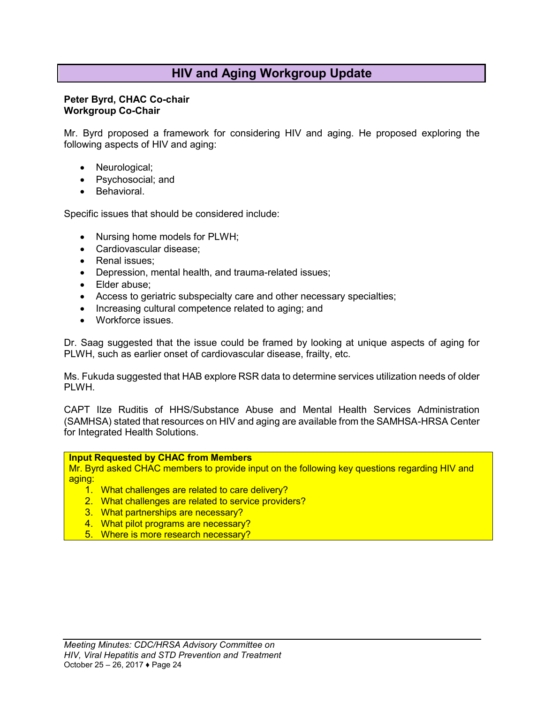## **HIV and Aging Workgroup Update**

#### <span id="page-23-0"></span>**Peter Byrd, CHAC Co-chair Workgroup Co-Chair**

Mr. Byrd proposed a framework for considering HIV and aging. He proposed exploring the following aspects of HIV and aging:

- Neurological;
- Psychosocial; and
- Behavioral.

Specific issues that should be considered include:

- Nursing home models for PLWH;
- Cardiovascular disease;
- Renal issues:
- Depression, mental health, and trauma-related issues;
- Elder abuse;
- Access to geriatric subspecialty care and other necessary specialties;
- Increasing cultural competence related to aging; and
- Workforce issues.

Dr. Saag suggested that the issue could be framed by looking at unique aspects of aging for PLWH, such as earlier onset of cardiovascular disease, frailty, etc.

Ms. Fukuda suggested that HAB explore RSR data to determine services utilization needs of older PLWH.

CAPT Ilze Ruditis of HHS/Substance Abuse and Mental Health Services Administration (SAMHSA) stated that resources on HIV and aging are available from the SAMHSA-HRSA Center for Integrated Health Solutions.

#### **Input Requested by CHAC from Members**

Mr. Byrd asked CHAC members to provide input on the following key questions regarding HIV and aging:

- 1. What challenges are related to care delivery?
- 2. What challenges are related to service providers?
- 3. What partnerships are necessary?
- 4. What pilot programs are necessary?
- 5. Where is more research necessary?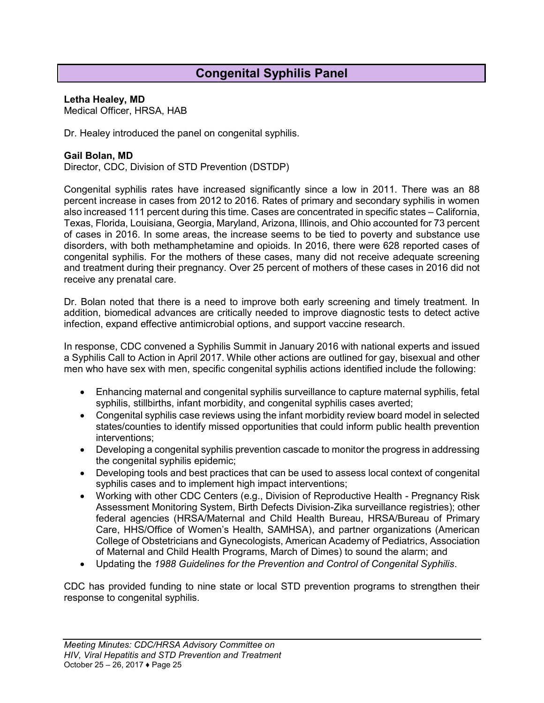## **Congenital Syphilis Panel**

#### <span id="page-24-0"></span>**Letha Healey, MD**

Medical Officer, HRSA, HAB

Dr. Healey introduced the panel on congenital syphilis.

#### **Gail Bolan, MD**

Director, CDC, Division of STD Prevention (DSTDP)

Congenital syphilis rates have increased significantly since a low in 2011. There was an 88 percent increase in cases from 2012 to 2016. Rates of primary and secondary syphilis in women also increased 111 percent during this time. Cases are concentrated in specific states – California, Texas, Florida, Louisiana, Georgia, Maryland, Arizona, Illinois, and Ohio accounted for 73 percent of cases in 2016. In some areas, the increase seems to be tied to poverty and substance use disorders, with both methamphetamine and opioids. In 2016, there were 628 reported cases of congenital syphilis. For the mothers of these cases, many did not receive adequate screening and treatment during their pregnancy. Over 25 percent of mothers of these cases in 2016 did not receive any prenatal care.

Dr. Bolan noted that there is a need to improve both early screening and timely treatment. In addition, biomedical advances are critically needed to improve diagnostic tests to detect active infection, expand effective antimicrobial options, and support vaccine research.

In response, CDC convened a Syphilis Summit in January 2016 with national experts and issued a Syphilis Call to Action in April 2017. While other actions are outlined for gay, bisexual and other men who have sex with men, specific congenital syphilis actions identified include the following:

- Enhancing maternal and congenital syphilis surveillance to capture maternal syphilis, fetal syphilis, stillbirths, infant morbidity, and congenital syphilis cases averted;
- Congenital syphilis case reviews using the infant morbidity review board model in selected states/counties to identify missed opportunities that could inform public health prevention interventions;
- Developing a congenital syphilis prevention cascade to monitor the progress in addressing the congenital syphilis epidemic;
- Developing tools and best practices that can be used to assess local context of congenital syphilis cases and to implement high impact interventions;
- Working with other CDC Centers (e.g., Division of Reproductive Health Pregnancy Risk Assessment Monitoring System, Birth Defects Division-Zika surveillance registries); other federal agencies (HRSA/Maternal and Child Health Bureau, HRSA/Bureau of Primary Care, HHS/Office of Women's Health, SAMHSA), and partner organizations (American College of Obstetricians and Gynecologists, American Academy of Pediatrics, Association of Maternal and Child Health Programs, March of Dimes) to sound the alarm; and
- Updating the *1988 Guidelines for the Prevention and Control of Congenital Syphilis*.

CDC has provided funding to nine state or local STD prevention programs to strengthen their response to congenital syphilis.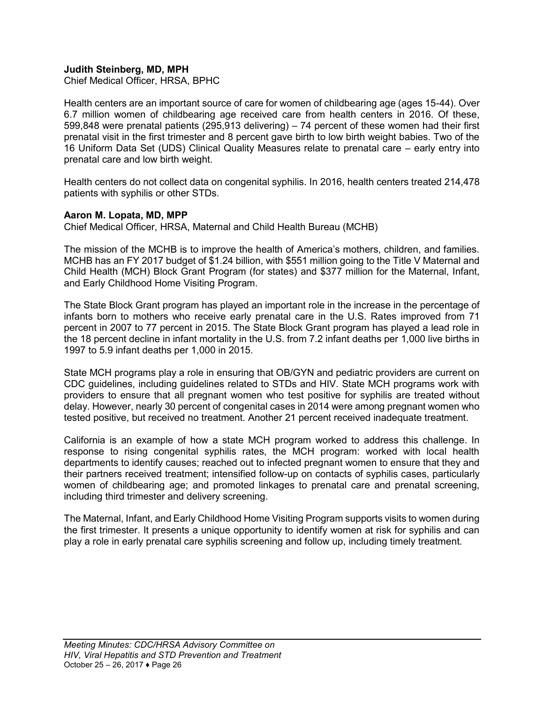#### **Judith Steinberg, MD, MPH**

Chief Medical Officer, HRSA, BPHC

Health centers are an important source of care for women of childbearing age (ages 15-44). Over 6.7 million women of childbearing age received care from health centers in 2016. Of these, 599,848 were prenatal patients (295,913 delivering) – 74 percent of these women had their first prenatal visit in the first trimester and 8 percent gave birth to low birth weight babies. Two of the 16 Uniform Data Set (UDS) Clinical Quality Measures relate to prenatal care – early entry into prenatal care and low birth weight.

Health centers do not collect data on congenital syphilis. In 2016, health centers treated 214,478 patients with syphilis or other STDs.

#### **Aaron M. Lopata, MD, MPP**

Chief Medical Officer, HRSA, Maternal and Child Health Bureau (MCHB)

The mission of the MCHB is to improve the health of America's mothers, children, and families. MCHB has an FY 2017 budget of \$1.24 billion, with \$551 million going to the Title V Maternal and Child Health (MCH) Block Grant Program (for states) and \$377 million for the Maternal, Infant, and Early Childhood Home Visiting Program.

The State Block Grant program has played an important role in the increase in the percentage of infants born to mothers who receive early prenatal care in the U.S. Rates improved from 71 percent in 2007 to 77 percent in 2015. The State Block Grant program has played a lead role in the 18 percent decline in infant mortality in the U.S. from 7.2 infant deaths per 1,000 live births in 1997 to 5.9 infant deaths per 1,000 in 2015.

State MCH programs play a role in ensuring that OB/GYN and pediatric providers are current on CDC guidelines, including guidelines related to STDs and HIV. State MCH programs work with providers to ensure that all pregnant women who test positive for syphilis are treated without delay. However, nearly 30 percent of congenital cases in 2014 were among pregnant women who tested positive, but received no treatment. Another 21 percent received inadequate treatment.

California is an example of how a state MCH program worked to address this challenge. In response to rising congenital syphilis rates, the MCH program: worked with local health departments to identify causes; reached out to infected pregnant women to ensure that they and their partners received treatment; intensified follow-up on contacts of syphilis cases, particularly women of childbearing age; and promoted linkages to prenatal care and prenatal screening, including third trimester and delivery screening.

The Maternal, Infant, and Early Childhood Home Visiting Program supports visits to women during the first trimester. It presents a unique opportunity to identify women at risk for syphilis and can play a role in early prenatal care syphilis screening and follow up, including timely treatment.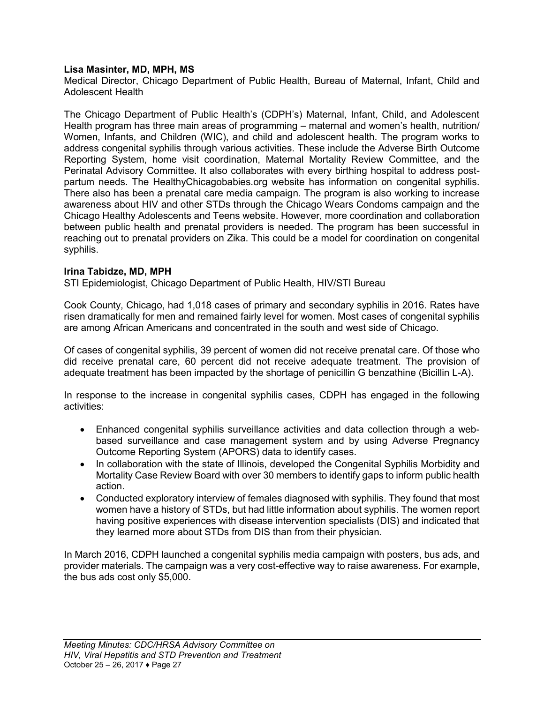#### **Lisa Masinter, MD, MPH, MS**

Medical Director, Chicago Department of Public Health, Bureau of Maternal, Infant, Child and Adolescent Health

The Chicago Department of Public Health's (CDPH's) Maternal, Infant, Child, and Adolescent Health program has three main areas of programming – maternal and women's health, nutrition/ Women, Infants, and Children (WIC), and child and adolescent health. The program works to address congenital syphilis through various activities. These include the Adverse Birth Outcome Reporting System, home visit coordination, Maternal Mortality Review Committee, and the Perinatal Advisory Committee. It also collaborates with every birthing hospital to address postpartum needs. The HealthyChicagobabies.org website has information on congenital syphilis. There also has been a prenatal care media campaign. The program is also working to increase awareness about HIV and other STDs through the Chicago Wears Condoms campaign and the Chicago Healthy Adolescents and Teens website. However, more coordination and collaboration between public health and prenatal providers is needed. The program has been successful in reaching out to prenatal providers on Zika. This could be a model for coordination on congenital syphilis.

#### **Irina Tabidze, MD, MPH**

STI Epidemiologist, Chicago Department of Public Health, HIV/STI Bureau

Cook County, Chicago, had 1,018 cases of primary and secondary syphilis in 2016. Rates have risen dramatically for men and remained fairly level for women. Most cases of congenital syphilis are among African Americans and concentrated in the south and west side of Chicago.

Of cases of congenital syphilis, 39 percent of women did not receive prenatal care. Of those who did receive prenatal care, 60 percent did not receive adequate treatment. The provision of adequate treatment has been impacted by the shortage of penicillin G benzathine (Bicillin L-A).

In response to the increase in congenital syphilis cases, CDPH has engaged in the following activities:

- Enhanced congenital syphilis surveillance activities and data collection through a webbased surveillance and case management system and by using Adverse Pregnancy Outcome Reporting System (APORS) data to identify cases.
- In collaboration with the state of Illinois, developed the Congenital Syphilis Morbidity and Mortality Case Review Board with over 30 members to identify gaps to inform public health action.
- Conducted exploratory interview of females diagnosed with syphilis. They found that most women have a history of STDs, but had little information about syphilis. The women report having positive experiences with disease intervention specialists (DIS) and indicated that they learned more about STDs from DIS than from their physician.

In March 2016, CDPH launched a congenital syphilis media campaign with posters, bus ads, and provider materials. The campaign was a very cost-effective way to raise awareness. For example, the bus ads cost only \$5,000.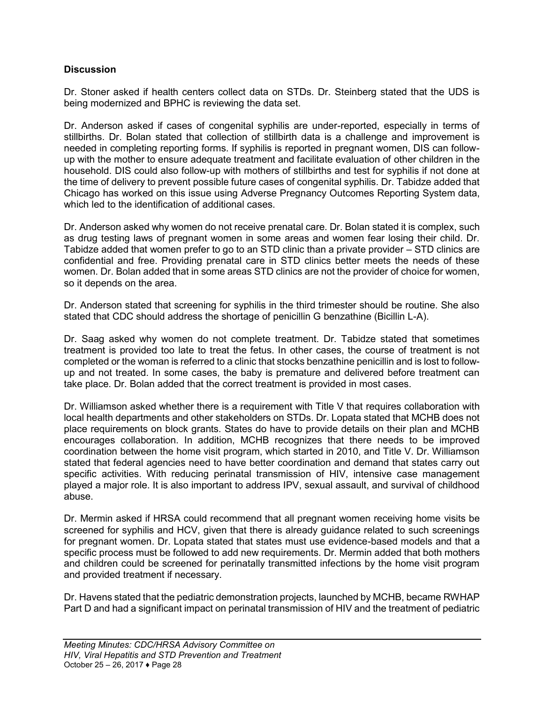#### **Discussion**

Dr. Stoner asked if health centers collect data on STDs. Dr. Steinberg stated that the UDS is being modernized and BPHC is reviewing the data set.

Dr. Anderson asked if cases of congenital syphilis are under-reported, especially in terms of stillbirths. Dr. Bolan stated that collection of stillbirth data is a challenge and improvement is needed in completing reporting forms. If syphilis is reported in pregnant women, DIS can followup with the mother to ensure adequate treatment and facilitate evaluation of other children in the household. DIS could also follow-up with mothers of stillbirths and test for syphilis if not done at the time of delivery to prevent possible future cases of congenital syphilis. Dr. Tabidze added that Chicago has worked on this issue using Adverse Pregnancy Outcomes Reporting System data, which led to the identification of additional cases.

Dr. Anderson asked why women do not receive prenatal care. Dr. Bolan stated it is complex, such as drug testing laws of pregnant women in some areas and women fear losing their child. Dr. Tabidze added that women prefer to go to an STD clinic than a private provider – STD clinics are confidential and free. Providing prenatal care in STD clinics better meets the needs of these women. Dr. Bolan added that in some areas STD clinics are not the provider of choice for women, so it depends on the area.

Dr. Anderson stated that screening for syphilis in the third trimester should be routine. She also stated that CDC should address the shortage of penicillin G benzathine (Bicillin L-A).

Dr. Saag asked why women do not complete treatment. Dr. Tabidze stated that sometimes treatment is provided too late to treat the fetus. In other cases, the course of treatment is not completed or the woman is referred to a clinic that stocks benzathine penicillin and is lost to followup and not treated. In some cases, the baby is premature and delivered before treatment can take place. Dr. Bolan added that the correct treatment is provided in most cases.

Dr. Williamson asked whether there is a requirement with Title V that requires collaboration with local health departments and other stakeholders on STDs. Dr. Lopata stated that MCHB does not place requirements on block grants. States do have to provide details on their plan and MCHB encourages collaboration. In addition, MCHB recognizes that there needs to be improved coordination between the home visit program, which started in 2010, and Title V. Dr. Williamson stated that federal agencies need to have better coordination and demand that states carry out specific activities. With reducing perinatal transmission of HIV, intensive case management played a major role. It is also important to address IPV, sexual assault, and survival of childhood abuse.

Dr. Mermin asked if HRSA could recommend that all pregnant women receiving home visits be screened for syphilis and HCV, given that there is already guidance related to such screenings for pregnant women. Dr. Lopata stated that states must use evidence-based models and that a specific process must be followed to add new requirements. Dr. Mermin added that both mothers and children could be screened for perinatally transmitted infections by the home visit program and provided treatment if necessary.

Dr. Havens stated that the pediatric demonstration projects, launched by MCHB, became RWHAP Part D and had a significant impact on perinatal transmission of HIV and the treatment of pediatric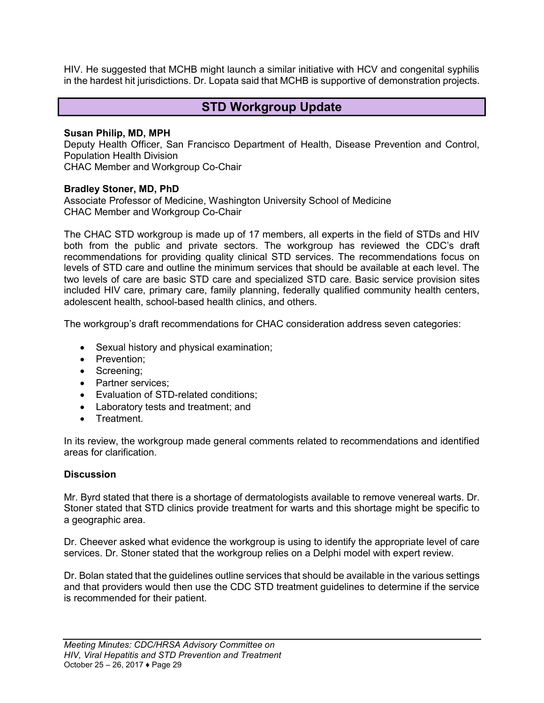HIV. He suggested that MCHB might launch a similar initiative with HCV and congenital syphilis in the hardest hit jurisdictions. Dr. Lopata said that MCHB is supportive of demonstration projects.

### **STD Workgroup Update**

#### <span id="page-28-0"></span>**Susan Philip, MD, MPH**

Deputy Health Officer, San Francisco Department of Health, Disease Prevention and Control, Population Health Division

CHAC Member and Workgroup Co-Chair

#### **Bradley Stoner, MD, PhD**

Associate Professor of Medicine, Washington University School of Medicine CHAC Member and Workgroup Co-Chair

The CHAC STD workgroup is made up of 17 members, all experts in the field of STDs and HIV both from the public and private sectors. The workgroup has reviewed the CDC's draft recommendations for providing quality clinical STD services. The recommendations focus on levels of STD care and outline the minimum services that should be available at each level. The two levels of care are basic STD care and specialized STD care. Basic service provision sites included HIV care, primary care, family planning, federally qualified community health centers, adolescent health, school-based health clinics, and others.

The workgroup's draft recommendations for CHAC consideration address seven categories:

- Sexual history and physical examination;
- Prevention;
- Screening;
- Partner services:
- Evaluation of STD-related conditions;
- Laboratory tests and treatment; and
- Treatment.

In its review, the workgroup made general comments related to recommendations and identified areas for clarification.

#### **Discussion**

Mr. Byrd stated that there is a shortage of dermatologists available to remove venereal warts. Dr. Stoner stated that STD clinics provide treatment for warts and this shortage might be specific to a geographic area.

Dr. Cheever asked what evidence the workgroup is using to identify the appropriate level of care services. Dr. Stoner stated that the workgroup relies on a Delphi model with expert review.

Dr. Bolan stated that the guidelines outline services that should be available in the various settings and that providers would then use the CDC STD treatment guidelines to determine if the service is recommended for their patient.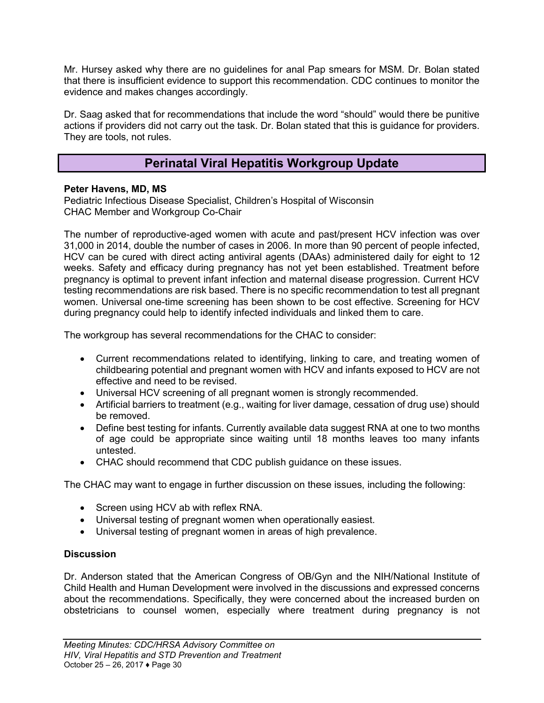Mr. Hursey asked why there are no guidelines for anal Pap smears for MSM. Dr. Bolan stated that there is insufficient evidence to support this recommendation. CDC continues to monitor the evidence and makes changes accordingly.

Dr. Saag asked that for recommendations that include the word "should" would there be punitive actions if providers did not carry out the task. Dr. Bolan stated that this is guidance for providers. They are tools, not rules.

### **Perinatal Viral Hepatitis Workgroup Update**

#### <span id="page-29-0"></span>**Peter Havens, MD, MS**

Pediatric Infectious Disease Specialist, Children's Hospital of Wisconsin CHAC Member and Workgroup Co-Chair

The number of reproductive-aged women with acute and past/present HCV infection was over 31,000 in 2014, double the number of cases in 2006. In more than 90 percent of people infected, HCV can be cured with direct acting antiviral agents (DAAs) administered daily for eight to 12 weeks. Safety and efficacy during pregnancy has not yet been established. Treatment before pregnancy is optimal to prevent infant infection and maternal disease progression. Current HCV testing recommendations are risk based. There is no specific recommendation to test all pregnant women. Universal one-time screening has been shown to be cost effective. Screening for HCV during pregnancy could help to identify infected individuals and linked them to care.

The workgroup has several recommendations for the CHAC to consider:

- Current recommendations related to identifying, linking to care, and treating women of childbearing potential and pregnant women with HCV and infants exposed to HCV are not effective and need to be revised.
- Universal HCV screening of all pregnant women is strongly recommended.
- Artificial barriers to treatment (e.g., waiting for liver damage, cessation of drug use) should be removed.
- Define best testing for infants. Currently available data suggest RNA at one to two months of age could be appropriate since waiting until 18 months leaves too many infants untested.
- CHAC should recommend that CDC publish guidance on these issues.

The CHAC may want to engage in further discussion on these issues, including the following:

- Screen using HCV ab with reflex RNA.
- Universal testing of pregnant women when operationally easiest.
- Universal testing of pregnant women in areas of high prevalence.

#### **Discussion**

Dr. Anderson stated that the American Congress of OB/Gyn and the NIH/National Institute of Child Health and Human Development were involved in the discussions and expressed concerns about the recommendations. Specifically, they were concerned about the increased burden on obstetricians to counsel women, especially where treatment during pregnancy is not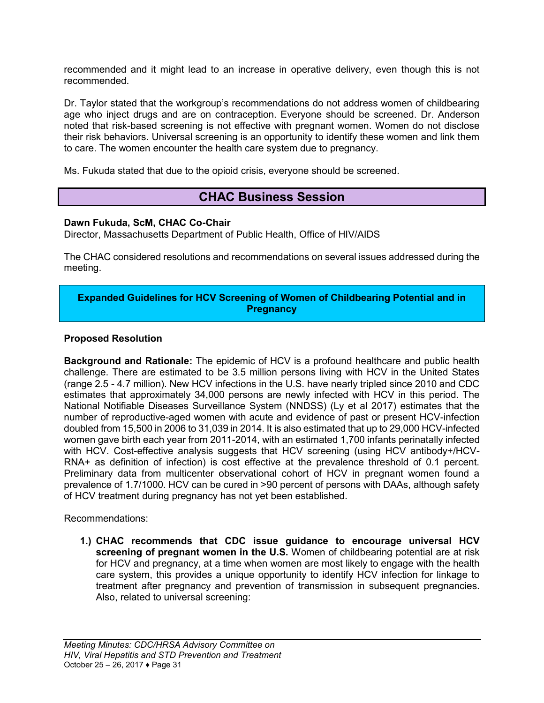recommended and it might lead to an increase in operative delivery, even though this is not recommended.

Dr. Taylor stated that the workgroup's recommendations do not address women of childbearing age who inject drugs and are on contraception. Everyone should be screened. Dr. Anderson noted that risk-based screening is not effective with pregnant women. Women do not disclose their risk behaviors. Universal screening is an opportunity to identify these women and link them to care. The women encounter the health care system due to pregnancy.

<span id="page-30-0"></span>Ms. Fukuda stated that due to the opioid crisis, everyone should be screened.

### **CHAC Business Session**

#### **Dawn Fukuda, ScM, CHAC Co-Chair**

Director, Massachusetts Department of Public Health, Office of HIV/AIDS

The CHAC considered resolutions and recommendations on several issues addressed during the meeting.

#### **Expanded Guidelines for HCV Screening of Women of Childbearing Potential and in Pregnancy**

#### **Proposed Resolution**

**Background and Rationale:** The epidemic of HCV is a profound healthcare and public health challenge. There are estimated to be 3.5 million persons living with HCV in the United States (range 2.5 - 4.7 million). New HCV infections in the U.S. have nearly tripled since 2010 and CDC estimates that approximately 34,000 persons are newly infected with HCV in this period. The National Notifiable Diseases Surveillance System (NNDSS) (Ly et al 2017) estimates that the number of reproductive-aged women with acute and evidence of past or present HCV-infection doubled from 15,500 in 2006 to 31,039 in 2014. It is also estimated that up to 29,000 HCV-infected women gave birth each year from 2011-2014, with an estimated 1,700 infants perinatally infected with HCV. Cost-effective analysis suggests that HCV screening (using HCV antibody+/HCV-RNA+ as definition of infection) is cost effective at the prevalence threshold of 0.1 percent. Preliminary data from multicenter observational cohort of HCV in pregnant women found a prevalence of 1.7/1000. HCV can be cured in >90 percent of persons with DAAs, although safety of HCV treatment during pregnancy has not yet been established.

Recommendations:

**1.) CHAC recommends that CDC issue guidance to encourage universal HCV screening of pregnant women in the U.S.** Women of childbearing potential are at risk for HCV and pregnancy, at a time when women are most likely to engage with the health care system, this provides a unique opportunity to identify HCV infection for linkage to treatment after pregnancy and prevention of transmission in subsequent pregnancies. Also, related to universal screening: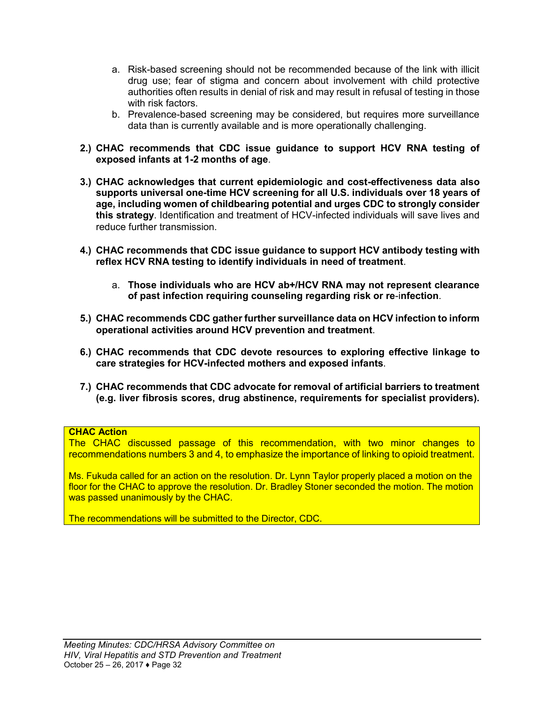- a. Risk-based screening should not be recommended because of the link with illicit drug use; fear of stigma and concern about involvement with child protective authorities often results in denial of risk and may result in refusal of testing in those with risk factors.
- b. Prevalence-based screening may be considered, but requires more surveillance data than is currently available and is more operationally challenging.
- **2.) CHAC recommends that CDC issue guidance to support HCV RNA testing of exposed infants at 1-2 months of age**.
- **3.) CHAC acknowledges that current epidemiologic and cost-effectiveness data also supports universal one-time HCV screening for all U.S. individuals over 18 years of age, including women of childbearing potential and urges CDC to strongly consider this strategy**. Identification and treatment of HCV-infected individuals will save lives and reduce further transmission.
- **4.) CHAC recommends that CDC issue guidance to support HCV antibody testing with reflex HCV RNA testing to identify individuals in need of treatment**.
	- a. **Those individuals who are HCV ab+/HCV RNA may not represent clearance of past infection requiring counseling regarding risk or re**-i**nfection**.
- **5.) CHAC recommends CDC gather further surveillance data on HCV infection to inform operational activities around HCV prevention and treatment**.
- **6.) CHAC recommends that CDC devote resources to exploring effective linkage to care strategies for HCV-infected mothers and exposed infants**.
- **7.) CHAC recommends that CDC advocate for removal of artificial barriers to treatment (e.g. liver fibrosis scores, drug abstinence, requirements for specialist providers).**

#### **CHAC Action**

The CHAC discussed passage of this recommendation, with two minor changes to recommendations numbers 3 and 4, to emphasize the importance of linking to opioid treatment.

Ms. Fukuda called for an action on the resolution. Dr. Lynn Taylor properly placed a motion on the floor for the CHAC to approve the resolution. Dr. Bradley Stoner seconded the motion. The motion was passed unanimously by the CHAC.

The recommendations will be submitted to the Director, CDC.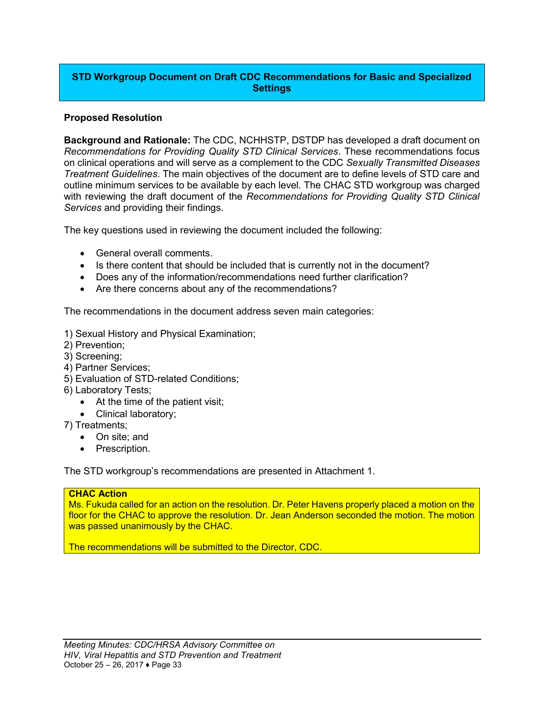#### **STD Workgroup Document on Draft CDC Recommendations for Basic and Specialized Settings**

#### **Proposed Resolution**

**Background and Rationale:** The CDC, NCHHSTP, DSTDP has developed a draft document on *Recommendations for Providing Quality STD Clinical Services*. These recommendations focus on clinical operations and will serve as a complement to the CDC *Sexually Transmitted Diseases Treatment Guidelines*. The main objectives of the document are to define levels of STD care and outline minimum services to be available by each level. The CHAC STD workgroup was charged with reviewing the draft document of the *Recommendations for Providing Quality STD Clinical Services* and providing their findings.

The key questions used in reviewing the document included the following:

- General overall comments.
- Is there content that should be included that is currently not in the document?
- Does any of the information/recommendations need further clarification?
- Are there concerns about any of the recommendations?

The recommendations in the document address seven main categories:

- 1) Sexual History and Physical Examination;
- 2) Prevention;
- 3) Screening;
- 4) Partner Services;
- 5) Evaluation of STD-related Conditions;
- 6) Laboratory Tests;
	- At the time of the patient visit;
	- Clinical laboratory;
- 7) Treatments;
	- On site; and
	- Prescription.

The STD workgroup's recommendations are presented in Attachment 1.

#### **CHAC Action**

Ms. Fukuda called for an action on the resolution. Dr. Peter Havens properly placed a motion on the floor for the CHAC to approve the resolution. Dr. Jean Anderson seconded the motion. The motion was passed unanimously by the CHAC.

The recommendations will be submitted to the Director, CDC.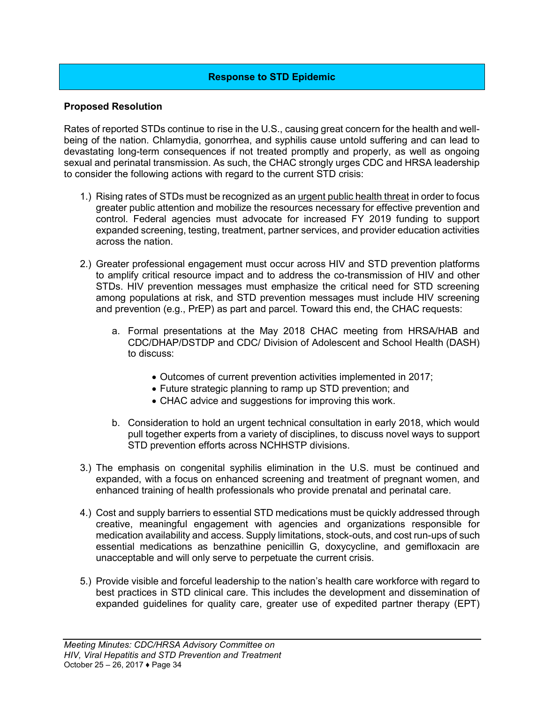#### **Response to STD Epidemic**

#### **Proposed Resolution**

Rates of reported STDs continue to rise in the U.S., causing great concern for the health and wellbeing of the nation. Chlamydia, gonorrhea, and syphilis cause untold suffering and can lead to devastating long-term consequences if not treated promptly and properly, as well as ongoing sexual and perinatal transmission. As such, the CHAC strongly urges CDC and HRSA leadership to consider the following actions with regard to the current STD crisis:

- 1.) Rising rates of STDs must be recognized as an urgent public health threat in order to focus greater public attention and mobilize the resources necessary for effective prevention and control. Federal agencies must advocate for increased FY 2019 funding to support expanded screening, testing, treatment, partner services, and provider education activities across the nation.
- 2.) Greater professional engagement must occur across HIV and STD prevention platforms to amplify critical resource impact and to address the co-transmission of HIV and other STDs. HIV prevention messages must emphasize the critical need for STD screening among populations at risk, and STD prevention messages must include HIV screening and prevention (e.g., PrEP) as part and parcel. Toward this end, the CHAC requests:
	- a. Formal presentations at the May 2018 CHAC meeting from HRSA/HAB and CDC/DHAP/DSTDP and CDC/ Division of Adolescent and School Health (DASH) to discuss:
		- Outcomes of current prevention activities implemented in 2017;
		- Future strategic planning to ramp up STD prevention; and
		- CHAC advice and suggestions for improving this work.
	- b. Consideration to hold an urgent technical consultation in early 2018, which would pull together experts from a variety of disciplines, to discuss novel ways to support STD prevention efforts across NCHHSTP divisions.
- 3.) The emphasis on congenital syphilis elimination in the U.S. must be continued and expanded, with a focus on enhanced screening and treatment of pregnant women, and enhanced training of health professionals who provide prenatal and perinatal care.
- 4.) Cost and supply barriers to essential STD medications must be quickly addressed through creative, meaningful engagement with agencies and organizations responsible for medication availability and access. Supply limitations, stock-outs, and cost run-ups of such essential medications as benzathine penicillin G, doxycycline, and gemifloxacin are unacceptable and will only serve to perpetuate the current crisis.
- 5.) Provide visible and forceful leadership to the nation's health care workforce with regard to best practices in STD clinical care. This includes the development and dissemination of expanded guidelines for quality care, greater use of expedited partner therapy (EPT)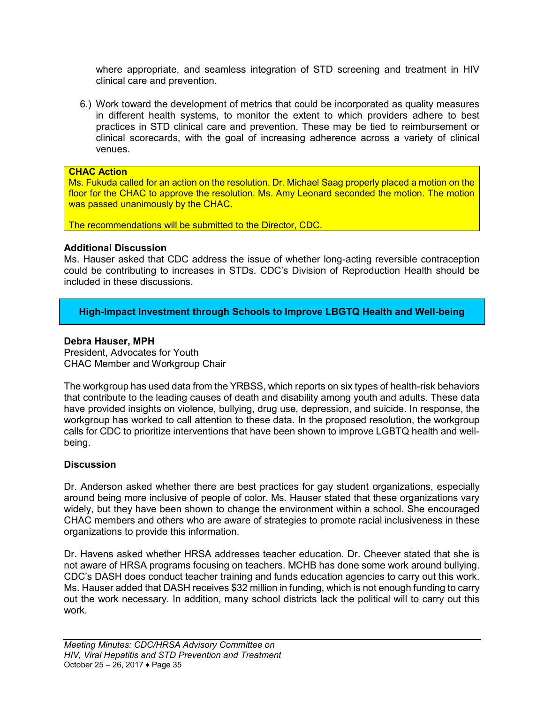where appropriate, and seamless integration of STD screening and treatment in HIV clinical care and prevention.

6.) Work toward the development of metrics that could be incorporated as quality measures in different health systems, to monitor the extent to which providers adhere to best practices in STD clinical care and prevention. These may be tied to reimbursement or clinical scorecards, with the goal of increasing adherence across a variety of clinical venues.

#### **CHAC Action**

Ms. Fukuda called for an action on the resolution. Dr. Michael Saag properly placed a motion on the floor for the CHAC to approve the resolution. Ms. Amy Leonard seconded the motion. The motion was passed unanimously by the CHAC.

The recommendations will be submitted to the Director, CDC.

#### **Additional Discussion**

Ms. Hauser asked that CDC address the issue of whether long-acting reversible contraception could be contributing to increases in STDs. CDC's Division of Reproduction Health should be included in these discussions.

**High-Impact Investment through Schools to Improve LBGTQ Health and Well-being** 

#### **Debra Hauser, MPH**

President, Advocates for Youth CHAC Member and Workgroup Chair

The workgroup has used data from the YRBSS, which reports on six types of health-risk behaviors that contribute to the leading causes of death and disability among youth and adults. These data have provided insights on violence, bullying, drug use, depression, and suicide. In response, the workgroup has worked to call attention to these data. In the proposed resolution, the workgroup calls for CDC to prioritize interventions that have been shown to improve LGBTQ health and wellbeing.

#### **Discussion**

Dr. Anderson asked whether there are best practices for gay student organizations, especially around being more inclusive of people of color. Ms. Hauser stated that these organizations vary widely, but they have been shown to change the environment within a school. She encouraged CHAC members and others who are aware of strategies to promote racial inclusiveness in these organizations to provide this information.

Dr. Havens asked whether HRSA addresses teacher education. Dr. Cheever stated that she is not aware of HRSA programs focusing on teachers. MCHB has done some work around bullying. CDC's DASH does conduct teacher training and funds education agencies to carry out this work. Ms. Hauser added that DASH receives \$32 million in funding, which is not enough funding to carry out the work necessary. In addition, many school districts lack the political will to carry out this work.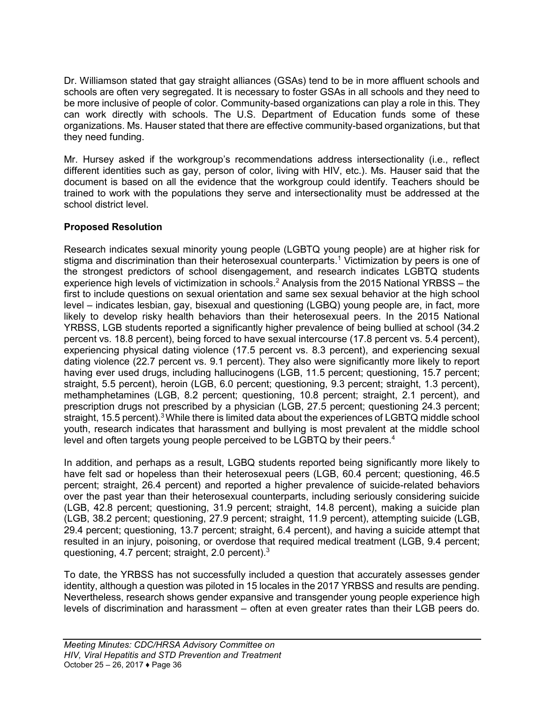Dr. Williamson stated that gay straight alliances (GSAs) tend to be in more affluent schools and schools are often very segregated. It is necessary to foster GSAs in all schools and they need to be more inclusive of people of color. Community-based organizations can play a role in this. They can work directly with schools. The U.S. Department of Education funds some of these organizations. Ms. Hauser stated that there are effective community-based organizations, but that they need funding.

Mr. Hursey asked if the workgroup's recommendations address intersectionality (i.e., reflect different identities such as gay, person of color, living with HIV, etc.). Ms. Hauser said that the document is based on all the evidence that the workgroup could identify. Teachers should be trained to work with the populations they serve and intersectionality must be addressed at the school district level.

### **Proposed Resolution**

Research indicates sexual minority young people (LGBTQ young people) are at higher risk for stigma and discrimination than their heterosexual counterparts.<sup>1</sup> Victimization by peers is one of the strongest predictors of school disengagement, and research indicates LGBTQ students experience high levels of victimization in schools.<sup>2</sup> Analysis from the 2015 National YRBSS – the first to include questions on sexual orientation and same sex sexual behavior at the high school level – indicates lesbian, gay, bisexual and questioning (LGBQ) young people are, in fact, more likely to develop risky health behaviors than their heterosexual peers. In the 2015 National YRBSS, LGB students reported a significantly higher prevalence of being bullied at school (34.2 percent vs. 18.8 percent), being forced to have sexual intercourse (17.8 percent vs. 5.4 percent), experiencing physical dating violence (17.5 percent vs. 8.3 percent), and experiencing sexual dating violence (22.7 percent vs. 9.1 percent). They also were significantly more likely to report having ever used drugs, including hallucinogens (LGB, 11.5 percent; questioning, 15.7 percent; straight, 5.5 percent), heroin (LGB, 6.0 percent; questioning, 9.3 percent; straight, 1.3 percent), methamphetamines (LGB, 8.2 percent; questioning, 10.8 percent; straight, 2.1 percent), and prescription drugs not prescribed by a physician (LGB, 27.5 percent; questioning 24.3 percent; straight, 15.5 percent).<sup>3</sup> While there is limited data about the experiences of LGBTQ middle school youth, research indicates that harassment and bullying is most prevalent at the middle school level and often targets young people perceived to be LGBTQ by their peers.<sup>4</sup>

In addition, and perhaps as a result, LGBQ students reported being significantly more likely to have felt sad or hopeless than their heterosexual peers (LGB, 60.4 percent; questioning, 46.5 percent; straight, 26.4 percent) and reported a higher prevalence of suicide-related behaviors over the past year than their heterosexual counterparts, including seriously considering suicide (LGB, 42.8 percent; questioning, 31.9 percent; straight, 14.8 percent), making a suicide plan (LGB, 38.2 percent; questioning, 27.9 percent; straight, 11.9 percent), attempting suicide (LGB, 29.4 percent; questioning, 13.7 percent; straight, 6.4 percent), and having a suicide attempt that resulted in an injury, poisoning, or overdose that required medical treatment (LGB, 9.4 percent; questioning, 4.7 percent; straight, 2.0 percent).<sup>3</sup>

To date, the YRBSS has not successfully included a question that accurately assesses gender identity, although a question was piloted in 15 locales in the 2017 YRBSS and results are pending. Nevertheless, research shows gender expansive and transgender young people experience high levels of discrimination and harassment – often at even greater rates than their LGB peers do.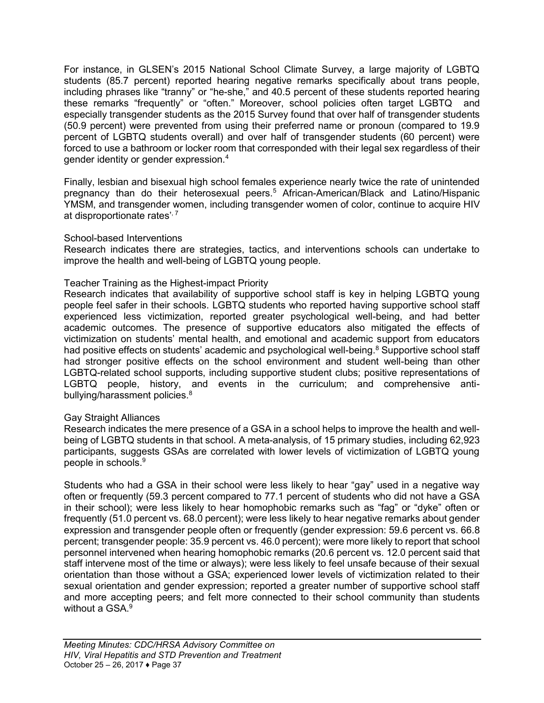For instance, in GLSEN's 2015 National School Climate Survey, a large majority of LGBTQ students (85.7 percent) reported hearing negative remarks specifically about trans people, including phrases like "tranny" or "he-she," and 40.5 percent of these students reported hearing these remarks "frequently" or "often." Moreover, school policies often target LGBTQ and especially transgender students as the 2015 Survey found that over half of transgender students (50.9 percent) were prevented from using their preferred name or pronoun (compared to 19.9 percent of LGBTQ students overall) and over half of transgender students (60 percent) were forced to use a bathroom or locker room that corresponded with their legal sex regardless of their gender identity or gender expression.<sup>4</sup>

Finally, lesbian and bisexual high school females experience nearly twice the rate of unintended pregnancy than do their heterosexual peers.<sup>5</sup> African-American/Black and Latino/Hispanic YMSM, and transgender women, including transgender women of color, continue to acquire HIV at disproportionate rates', 7

#### School-based Interventions

Research indicates there are strategies, tactics, and interventions schools can undertake to improve the health and well-being of LGBTQ young people.

#### Teacher Training as the Highest-impact Priority

Research indicates that availability of supportive school staff is key in helping LGBTQ young people feel safer in their schools. LGBTQ students who reported having supportive school staff experienced less victimization, reported greater psychological well-being, and had better academic outcomes. The presence of supportive educators also mitigated the effects of victimization on students' mental health, and emotional and academic support from educators had positive effects on students' academic and psychological well-being.<sup>8</sup> Supportive school staff had stronger positive effects on the school environment and student well-being than other LGBTQ-related school supports, including supportive student clubs; positive representations of LGBTQ people, history, and events in the curriculum; and comprehensive antibullying/harassment policies.<sup>8</sup>

#### Gay Straight Alliances

Research indicates the mere presence of a GSA in a school helps to improve the health and wellbeing of LGBTQ students in that school. A meta-analysis, of 15 primary studies, including 62,923 participants, suggests GSAs are correlated with lower levels of victimization of LGBTQ young people in schools.<sup>9</sup>

Students who had a GSA in their school were less likely to hear "gay" used in a negative way often or frequently (59.3 percent compared to 77.1 percent of students who did not have a GSA in their school); were less likely to hear homophobic remarks such as "fag" or "dyke" often or frequently (51.0 percent vs. 68.0 percent); were less likely to hear negative remarks about gender expression and transgender people often or frequently (gender expression: 59.6 percent vs. 66.8 percent; transgender people: 35.9 percent vs. 46.0 percent); were more likely to report that school personnel intervened when hearing homophobic remarks (20.6 percent vs. 12.0 percent said that staff intervene most of the time or always); were less likely to feel unsafe because of their sexual orientation than those without a GSA; experienced lower levels of victimization related to their sexual orientation and gender expression; reported a greater number of supportive school staff and more accepting peers; and felt more connected to their school community than students without a GSA.<sup>9</sup>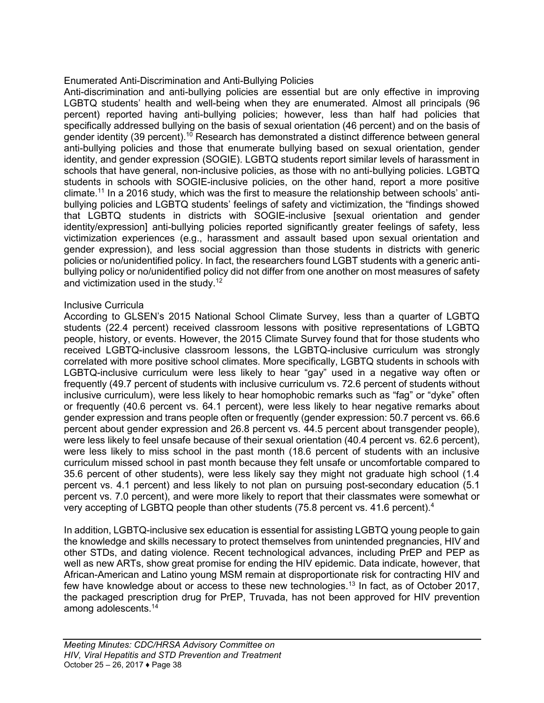#### Enumerated Anti-Discrimination and Anti-Bullying Policies

Anti-discrimination and anti-bullying policies are essential but are only effective in improving LGBTQ students' health and well-being when they are enumerated. Almost all principals (96 percent) reported having anti-bullying policies; however, less than half had policies that specifically addressed bullying on the basis of sexual orientation (46 percent) and on the basis of gender identity (39 percent).<sup>10</sup> Research has demonstrated a distinct difference between general anti-bullying policies and those that enumerate bullying based on sexual orientation, gender identity, and gender expression (SOGIE). LGBTQ students report similar levels of harassment in schools that have general, non-inclusive policies, as those with no anti-bullying policies. LGBTQ students in schools with SOGIE-inclusive policies, on the other hand, report a more positive climate.<sup>11</sup> In a 2016 study, which was the first to measure the relationship between schools' antibullying policies and LGBTQ students' feelings of safety and victimization, the "findings showed that LGBTQ students in districts with SOGIE-inclusive [sexual orientation and gender identity/expression] anti-bullying policies reported significantly greater feelings of safety, less victimization experiences (e.g., harassment and assault based upon sexual orientation and gender expression), and less social aggression than those students in districts with generic policies or no/unidentified policy. In fact, the researchers found LGBT students with a generic antibullying policy or no/unidentified policy did not differ from one another on most measures of safety and victimization used in the study.<sup>12</sup>

#### Inclusive Curricula

According to GLSEN's 2015 National School Climate Survey, less than a quarter of LGBTQ students (22.4 percent) received classroom lessons with positive representations of LGBTQ people, history, or events. However, the 2015 Climate Survey found that for those students who received LGBTQ-inclusive classroom lessons, the LGBTQ-inclusive curriculum was strongly correlated with more positive school climates. More specifically, LGBTQ students in schools with LGBTQ-inclusive curriculum were less likely to hear "gay" used in a negative way often or frequently (49.7 percent of students with inclusive curriculum vs. 72.6 percent of students without inclusive curriculum), were less likely to hear homophobic remarks such as "fag" or "dyke" often or frequently (40.6 percent vs. 64.1 percent), were less likely to hear negative remarks about gender expression and trans people often or frequently (gender expression: 50.7 percent vs. 66.6 percent about gender expression and 26.8 percent vs. 44.5 percent about transgender people), were less likely to feel unsafe because of their sexual orientation (40.4 percent vs. 62.6 percent), were less likely to miss school in the past month (18.6 percent of students with an inclusive curriculum missed school in past month because they felt unsafe or uncomfortable compared to 35.6 percent of other students), were less likely say they might not graduate high school (1.4 percent vs. 4.1 percent) and less likely to not plan on pursuing post-secondary education (5.1 percent vs. 7.0 percent), and were more likely to report that their classmates were somewhat or very accepting of LGBTQ people than other students (75.8 percent vs. 41.6 percent).<sup>4</sup>

In addition, LGBTQ-inclusive sex education is essential for assisting LGBTQ young people to gain the knowledge and skills necessary to protect themselves from unintended pregnancies, HIV and other STDs, and dating violence. Recent technological advances, including PrEP and PEP as well as new ARTs, show great promise for ending the HIV epidemic. Data indicate, however, that African-American and Latino young MSM remain at disproportionate risk for contracting HIV and few have knowledge about or access to these new technologies.<sup>13</sup> In fact, as of October 2017, the packaged prescription drug for PrEP, Truvada, has not been approved for HIV prevention among adolescents.14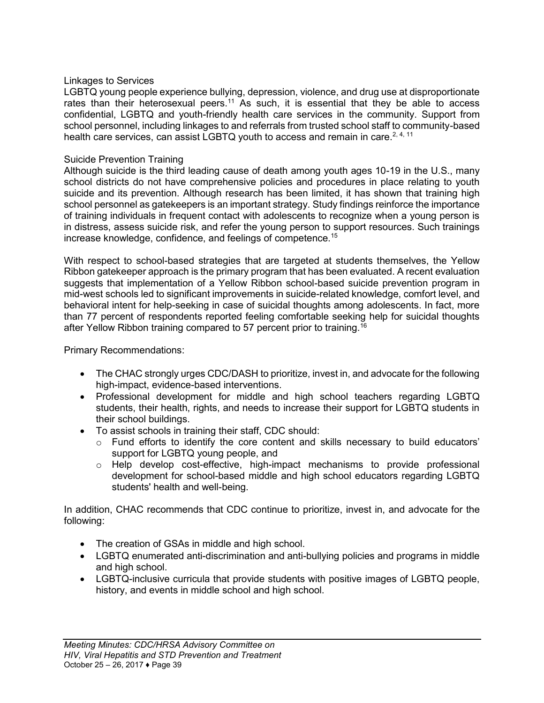#### Linkages to Services

LGBTQ young people experience bullying, depression, violence, and drug use at disproportionate rates than their heterosexual peers.<sup>11</sup> As such, it is essential that they be able to access confidential, LGBTQ and youth-friendly health care services in the community. Support from school personnel, including linkages to and referrals from trusted school staff to community-based health care services, can assist LGBTQ youth to access and remain in care.<sup>2, 4, 11</sup>

#### Suicide Prevention Training

Although suicide is the third leading cause of death among youth ages 10-19 in the U.S., many school districts do not have comprehensive policies and procedures in place relating to youth suicide and its prevention. Although research has been limited, it has shown that training high school personnel as gatekeepers is an important strategy. Study findings reinforce the importance of training individuals in frequent contact with adolescents to recognize when a young person is in distress, assess suicide risk, and refer the young person to support resources. Such trainings increase knowledge, confidence, and feelings of competence.<sup>15</sup>

With respect to school-based strategies that are targeted at students themselves, the Yellow Ribbon gatekeeper approach is the primary program that has been evaluated. A recent evaluation suggests that implementation of a Yellow Ribbon school-based suicide prevention program in mid-west schools led to significant improvements in suicide-related knowledge, comfort level, and behavioral intent for help-seeking in case of suicidal thoughts among adolescents. In fact, more than 77 percent of respondents reported feeling comfortable seeking help for suicidal thoughts after Yellow Ribbon training compared to 57 percent prior to training.<sup>16</sup>

Primary Recommendations:

- The CHAC strongly urges CDC/DASH to prioritize, invest in, and advocate for the following high-impact, evidence-based interventions.
- Professional development for middle and high school teachers regarding LGBTQ students, their health, rights, and needs to increase their support for LGBTQ students in their school buildings.
- To assist schools in training their staff, CDC should:
	- $\circ$  Fund efforts to identify the core content and skills necessary to build educators' support for LGBTQ young people, and
	- o Help develop cost-effective, high-impact mechanisms to provide professional development for school-based middle and high school educators regarding LGBTQ students' health and well-being.

In addition, CHAC recommends that CDC continue to prioritize, invest in, and advocate for the following:

- The creation of GSAs in middle and high school.
- LGBTQ enumerated anti-discrimination and anti-bullying policies and programs in middle and high school.
- LGBTQ-inclusive curricula that provide students with positive images of LGBTQ people, history, and events in middle school and high school.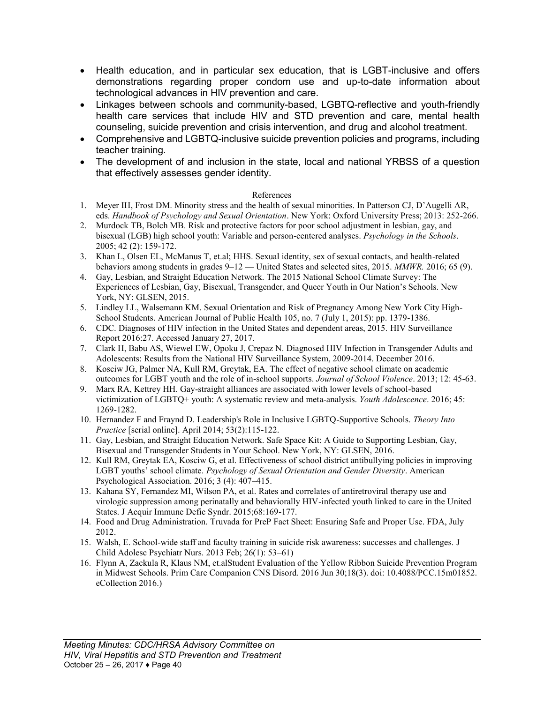- Health education, and in particular sex education, that is LGBT-inclusive and offers demonstrations regarding proper condom use and up-to-date information about technological advances in HIV prevention and care.
- Linkages between schools and community-based, LGBTQ-reflective and youth-friendly health care services that include HIV and STD prevention and care, mental health counseling, suicide prevention and crisis intervention, and drug and alcohol treatment.
- Comprehensive and LGBTQ-inclusive suicide prevention policies and programs, including teacher training.
- The development of and inclusion in the state, local and national YRBSS of a question that effectively assesses gender identity.

#### References

- 1. Meyer IH, Frost DM. Minority stress and the health of sexual minorities. In Patterson CJ, D'Augelli AR, eds. *Handbook of Psychology and Sexual Orientation*. New York: Oxford University Press; 2013: 252-266.
- 2. Murdock TB, Bolch MB. Risk and protective factors for poor school adjustment in lesbian, gay, and bisexual (LGB) high school youth: Variable and person-centered analyses. *Psychology in the Schools*. 2005; 42 (2): 159-172.
- 3. Khan L, Olsen EL, McManus T, et.al; HHS. Sexual identity, sex of sexual contacts, and health-related behaviors among students in grades 9–12 — United States and selected sites, 2015. *MMWR.* 2016; 65 (9).
- 4. Gay, Lesbian, and Straight Education Network. The 2015 National School Climate Survey: The Experiences of Lesbian, Gay, Bisexual, Transgender, and Queer Youth in Our Nation's Schools. New York, NY: GLSEN, 2015.
- 5. Lindley LL, Walsemann KM. Sexual Orientation and Risk of Pregnancy Among New York City High-School Students. American Journal of Public Health 105, no. 7 (July 1, 2015): pp. 1379-1386.
- 6. CDC. Diagnoses of HIV infection in the United States and dependent areas, 2015. HIV Surveillance Report 2016:27. Accessed January 27, 2017.
- 7. Clark H, Babu AS, Wiewel EW, Opoku J, Crepaz N. Diagnosed HIV Infection in Transgender Adults and Adolescents: Results from the National HIV Surveillance System, 2009-2014. December 2016.
- 8. Kosciw JG, Palmer NA, Kull RM, Greytak, EA. The effect of negative school climate on academic outcomes for LGBT youth and the role of in-school supports. *Journal of School Violence*. 2013; 12: 45-63.
- 9. Marx RA, Kettrey HH. Gay-straight alliances are associated with lower levels of school-based victimization of LGBTQ+ youth: A systematic review and meta-analysis. *Youth Adolescence*. 2016; 45: 1269-1282.
- 10. Hernandez F and Fraynd D. Leadership's Role in Inclusive LGBTQ-Supportive Schools. *Theory Into Practice* [serial online]. April 2014; 53(2):115-122.
- 11. Gay, Lesbian, and Straight Education Network. Safe Space Kit: A Guide to Supporting Lesbian, Gay, Bisexual and Transgender Students in Your School. New York, NY: GLSEN, 2016.
- 12. Kull RM, Greytak EA, Kosciw G, et al. Effectiveness of school district antibullying policies in improving LGBT youths' school climate. *Psychology of Sexual Orientation and Gender Diversity*. American Psychological Association. 2016; 3 (4): 407–415.
- 13. Kahana SY, Fernandez MI, Wilson PA, et al. Rates and correlates of antiretroviral therapy use and virologic suppression among perinatally and behaviorally HIV-infected youth linked to care in the United States. J Acquir Immune Defic Syndr. 2015;68:169-177.
- 14. Food and Drug Administration. Truvada for PreP Fact Sheet: Ensuring Safe and Proper Use. FDA, July 2012.
- 15. Walsh, E. School-wide staff and faculty training in suicide risk awareness: successes and challenges. J Child Adolesc Psychiatr Nurs. 2013 Feb; 26(1): 53–61)
- 16. Flynn A, Zackula R, Klaus NM, et.alStudent Evaluation of the Yellow Ribbon Suicide Prevention Program in Midwest Schools. Prim Care Companion CNS Disord. 2016 Jun 30;18(3). doi: 10.4088/PCC.15m01852. eCollection 2016.)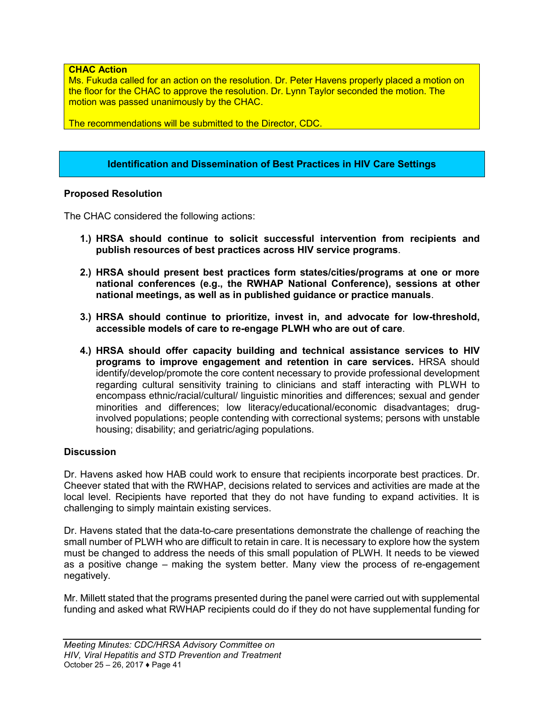#### **CHAC Action**

Ms. Fukuda called for an action on the resolution. Dr. Peter Havens properly placed a motion on the floor for the CHAC to approve the resolution. Dr. Lynn Taylor seconded the motion. The motion was passed unanimously by the CHAC.

The recommendations will be submitted to the Director, CDC.

#### **Identification and Dissemination of Best Practices in HIV Care Settings**

#### **Proposed Resolution**

The CHAC considered the following actions:

- **1.) HRSA should continue to solicit successful intervention from recipients and publish resources of best practices across HIV service programs**.
- **2.) HRSA should present best practices form states/cities/programs at one or more national conferences (e.g., the RWHAP National Conference), sessions at other national meetings, as well as in published guidance or practice manuals**.
- **3.) HRSA should continue to prioritize, invest in, and advocate for low-threshold, accessible models of care to re-engage PLWH who are out of care**.
- **4.) HRSA should offer capacity building and technical assistance services to HIV programs to improve engagement and retention in care services.** HRSA should identify/develop/promote the core content necessary to provide professional development regarding cultural sensitivity training to clinicians and staff interacting with PLWH to encompass ethnic/racial/cultural/ linguistic minorities and differences; sexual and gender minorities and differences; low literacy/educational/economic disadvantages; druginvolved populations; people contending with correctional systems; persons with unstable housing; disability; and geriatric/aging populations.

#### **Discussion**

Dr. Havens asked how HAB could work to ensure that recipients incorporate best practices. Dr. Cheever stated that with the RWHAP, decisions related to services and activities are made at the local level. Recipients have reported that they do not have funding to expand activities. It is challenging to simply maintain existing services.

Dr. Havens stated that the data-to-care presentations demonstrate the challenge of reaching the small number of PLWH who are difficult to retain in care. It is necessary to explore how the system must be changed to address the needs of this small population of PLWH. It needs to be viewed as a positive change – making the system better. Many view the process of re-engagement negatively.

Mr. Millett stated that the programs presented during the panel were carried out with supplemental funding and asked what RWHAP recipients could do if they do not have supplemental funding for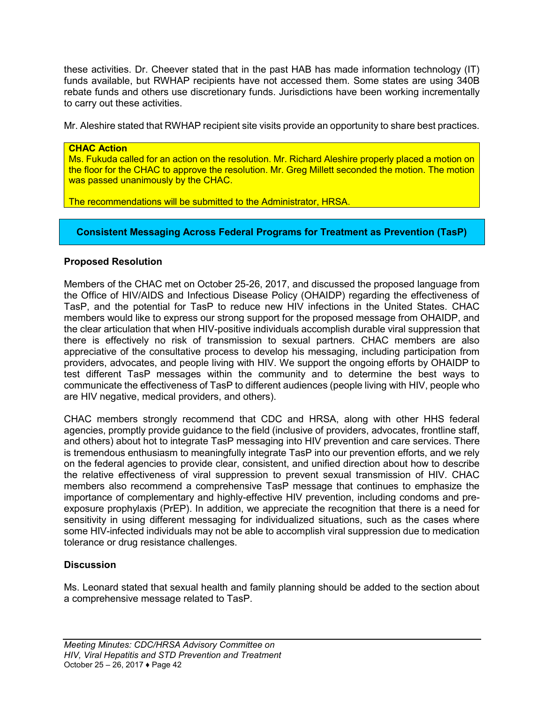these activities. Dr. Cheever stated that in the past HAB has made information technology (IT) funds available, but RWHAP recipients have not accessed them. Some states are using 340B rebate funds and others use discretionary funds. Jurisdictions have been working incrementally to carry out these activities.

Mr. Aleshire stated that RWHAP recipient site visits provide an opportunity to share best practices.

#### **CHAC Action**

Ms. Fukuda called for an action on the resolution. Mr. Richard Aleshire properly placed a motion on the floor for the CHAC to approve the resolution. Mr. Greg Millett seconded the motion. The motion was passed unanimously by the CHAC.

The recommendations will be submitted to the Administrator, HRSA.

#### **Consistent Messaging Across Federal Programs for Treatment as Prevention (TasP)**

#### **Proposed Resolution**

Members of the CHAC met on October 25-26, 2017, and discussed the proposed language from the Office of HIV/AIDS and Infectious Disease Policy (OHAIDP) regarding the effectiveness of TasP, and the potential for TasP to reduce new HIV infections in the United States. CHAC members would like to express our strong support for the proposed message from OHAIDP, and the clear articulation that when HIV-positive individuals accomplish durable viral suppression that there is effectively no risk of transmission to sexual partners. CHAC members are also appreciative of the consultative process to develop his messaging, including participation from providers, advocates, and people living with HIV. We support the ongoing efforts by OHAIDP to test different TasP messages within the community and to determine the best ways to communicate the effectiveness of TasP to different audiences (people living with HIV, people who are HIV negative, medical providers, and others).

CHAC members strongly recommend that CDC and HRSA, along with other HHS federal agencies, promptly provide guidance to the field (inclusive of providers, advocates, frontline staff, and others) about hot to integrate TasP messaging into HIV prevention and care services. There is tremendous enthusiasm to meaningfully integrate TasP into our prevention efforts, and we rely on the federal agencies to provide clear, consistent, and unified direction about how to describe the relative effectiveness of viral suppression to prevent sexual transmission of HIV. CHAC members also recommend a comprehensive TasP message that continues to emphasize the importance of complementary and highly-effective HIV prevention, including condoms and preexposure prophylaxis (PrEP). In addition, we appreciate the recognition that there is a need for sensitivity in using different messaging for individualized situations, such as the cases where some HIV-infected individuals may not be able to accomplish viral suppression due to medication tolerance or drug resistance challenges.

#### **Discussion**

Ms. Leonard stated that sexual health and family planning should be added to the section about a comprehensive message related to TasP.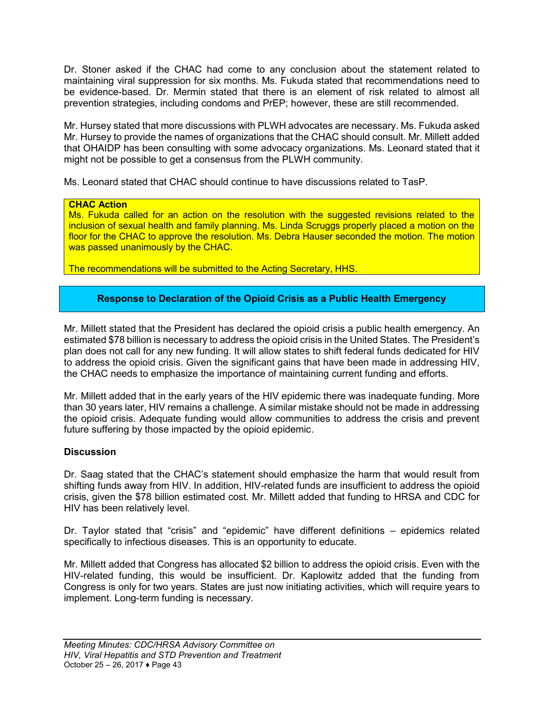Dr. Stoner asked if the CHAC had come to any conclusion about the statement related to maintaining viral suppression for six months. Ms. Fukuda stated that recommendations need to be evidence-based. Dr. Mermin stated that there is an element of risk related to almost all prevention strategies, including condoms and PrEP; however, these are still recommended.

Mr. Hursey stated that more discussions with PLWH advocates are necessary. Ms. Fukuda asked Mr. Hursey to provide the names of organizations that the CHAC should consult. Mr. Millett added that OHAIDP has been consulting with some advocacy organizations. Ms. Leonard stated that it might not be possible to get a consensus from the PLWH community.

Ms. Leonard stated that CHAC should continue to have discussions related to TasP.

#### **CHAC Action**

Ms. Fukuda called for an action on the resolution with the suggested revisions related to the inclusion of sexual health and family planning. Ms. Linda Scruggs properly placed a motion on the floor for the CHAC to approve the resolution. Ms. Debra Hauser seconded the motion. The motion was passed unanimously by the CHAC.

The recommendations will be submitted to the Acting Secretary, HHS.

#### **Response to Declaration of the Opioid Crisis as a Public Health Emergency**

Mr. Millett stated that the President has declared the opioid crisis a public health emergency. An estimated \$78 billion is necessary to address the opioid crisis in the United States. The President's plan does not call for any new funding. It will allow states to shift federal funds dedicated for HIV to address the opioid crisis. Given the significant gains that have been made in addressing HIV, the CHAC needs to emphasize the importance of maintaining current funding and efforts.

Mr. Millett added that in the early years of the HIV epidemic there was inadequate funding. More than 30 years later, HIV remains a challenge. A similar mistake should not be made in addressing the opioid crisis. Adequate funding would allow communities to address the crisis and prevent future suffering by those impacted by the opioid epidemic.

#### **Discussion**

Dr. Saag stated that the CHAC's statement should emphasize the harm that would result from shifting funds away from HIV. In addition, HIV-related funds are insufficient to address the opioid crisis, given the \$78 billion estimated cost. Mr. Millett added that funding to HRSA and CDC for HIV has been relatively level.

Dr. Taylor stated that "crisis" and "epidemic" have different definitions – epidemics related specifically to infectious diseases. This is an opportunity to educate.

Mr. Millett added that Congress has allocated \$2 billion to address the opioid crisis. Even with the HIV-related funding, this would be insufficient. Dr. Kaplowitz added that the funding from Congress is only for two years. States are just now initiating activities, which will require years to implement. Long-term funding is necessary.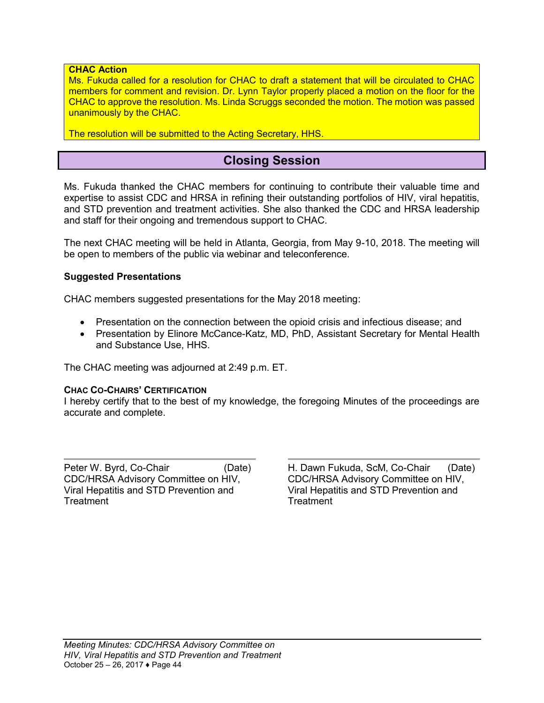#### **CHAC Action**

Ms. Fukuda called for a resolution for CHAC to draft a statement that will be circulated to CHAC members for comment and revision. Dr. Lynn Taylor properly placed a motion on the floor for the CHAC to approve the resolution. Ms. Linda Scruggs seconded the motion. The motion was passed unanimously by the CHAC.

<span id="page-43-0"></span>The resolution will be submitted to the Acting Secretary, HHS.

### **Closing Session**

Ms. Fukuda thanked the CHAC members for continuing to contribute their valuable time and expertise to assist CDC and HRSA in refining their outstanding portfolios of HIV, viral hepatitis, and STD prevention and treatment activities. She also thanked the CDC and HRSA leadership and staff for their ongoing and tremendous support to CHAC.

The next CHAC meeting will be held in Atlanta, Georgia, from May 9-10, 2018. The meeting will be open to members of the public via webinar and teleconference.

#### **Suggested Presentations**

CHAC members suggested presentations for the May 2018 meeting:

- Presentation on the connection between the opioid crisis and infectious disease; and
- Presentation by Elinore McCance-Katz, MD, PhD, Assistant Secretary for Mental Health and Substance Use, HHS.

The CHAC meeting was adjourned at 2:49 p.m. ET.

#### **CHAC CO-CHAIRS' CERTIFICATION**

I hereby certify that to the best of my knowledge, the foregoing Minutes of the proceedings are accurate and complete.

Peter W. Byrd, Co-Chair CDC/HRSA Advisory Committee on HIV, Viral Hepatitis and STD Prevention and **Treatment** 

(Date) H. Dawn Fukuda, ScM, Co-Chair CDC/HRSA Advisory Committee on HIV, Viral Hepatitis and STD Prevention and **Treatment** (Date)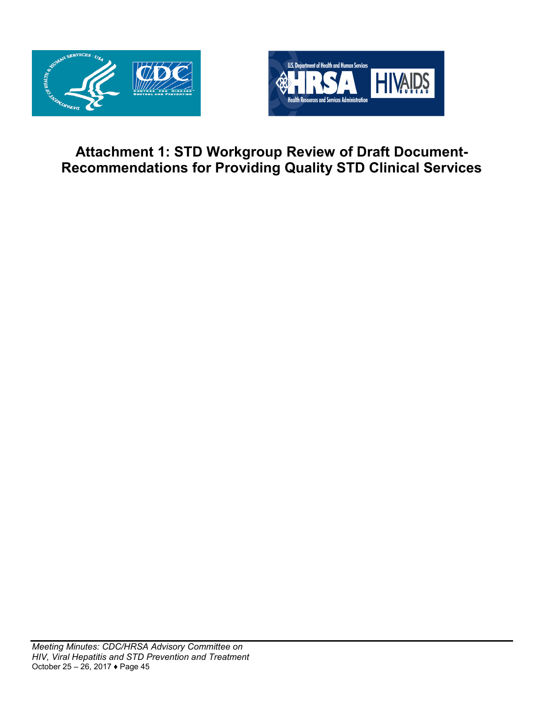



## <span id="page-44-0"></span>**Attachment 1: STD Workgroup Review of Draft Document-Recommendations for Providing Quality STD Clinical Services**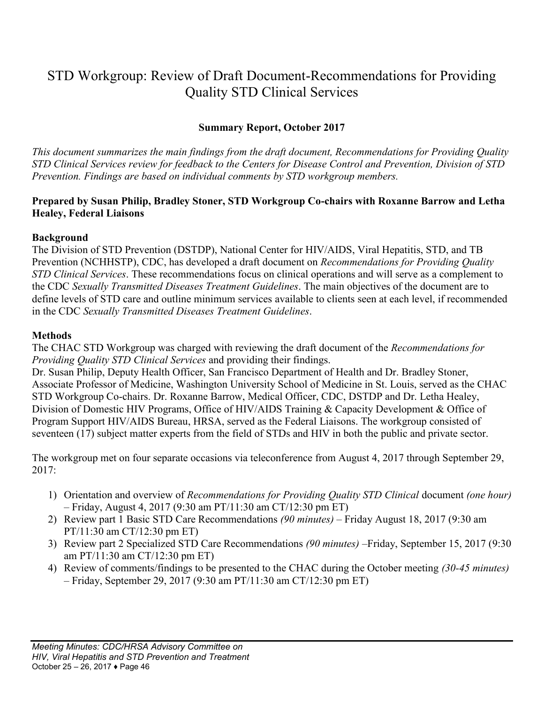## STD Workgroup: Review of Draft Document-Recommendations for Providing Quality STD Clinical Services

### **Summary Report, October 2017**

*This document summarizes the main findings from the draft document, Recommendations for Providing Quality STD Clinical Services review for feedback to the Centers for Disease Control and Prevention, Division of STD Prevention. Findings are based on individual comments by STD workgroup members.*

#### **Prepared by Susan Philip, Bradley Stoner, STD Workgroup Co-chairs with Roxanne Barrow and Letha Healey, Federal Liaisons**

#### **Background**

The Division of STD Prevention (DSTDP), National Center for HIV/AIDS, Viral Hepatitis, STD, and TB Prevention (NCHHSTP), CDC, has developed a draft document on *Recommendations for Providing Quality STD Clinical Services*. These recommendations focus on clinical operations and will serve as a complement to the CDC *Sexually Transmitted Diseases Treatment Guidelines*. The main objectives of the document are to define levels of STD care and outline minimum services available to clients seen at each level, if recommended in the CDC *Sexually Transmitted Diseases Treatment Guidelines*.

#### **Methods**

The CHAC STD Workgroup was charged with reviewing the draft document of the *Recommendations for Providing Quality STD Clinical Services* and providing their findings.

Dr. Susan Philip, Deputy Health Officer, San Francisco Department of Health and Dr. Bradley Stoner, Associate Professor of Medicine, Washington University School of Medicine in St. Louis, served as the CHAC STD Workgroup Co-chairs. Dr. Roxanne Barrow, Medical Officer, CDC, DSTDP and Dr. Letha Healey, Division of Domestic HIV Programs, Office of HIV/AIDS Training & Capacity Development & Office of Program Support HIV/AIDS Bureau, HRSA, served as the Federal Liaisons. The workgroup consisted of seventeen (17) subject matter experts from the field of STDs and HIV in both the public and private sector.

The workgroup met on four separate occasions via teleconference from August 4, 2017 through September 29, 2017:

- 1) Orientation and overview of *Recommendations for Providing Quality STD Clinical* document *(one hour)* – Friday, August 4, 2017 (9:30 am PT/11:30 am CT/12:30 pm ET)
- 2) Review part 1 Basic STD Care Recommendations *(90 minutes)* Friday August 18, 2017 (9:30 am PT/11:30 am CT/12:30 pm ET)
- 3) Review part 2 Specialized STD Care Recommendations *(90 minutes)* –Friday, September 15, 2017 (9:30 am PT/11:30 am CT/12:30 pm ET)
- 4) Review of comments/findings to be presented to the CHAC during the October meeting *(30-45 minutes)* – Friday, September 29, 2017 (9:30 am PT/11:30 am CT/12:30 pm ET)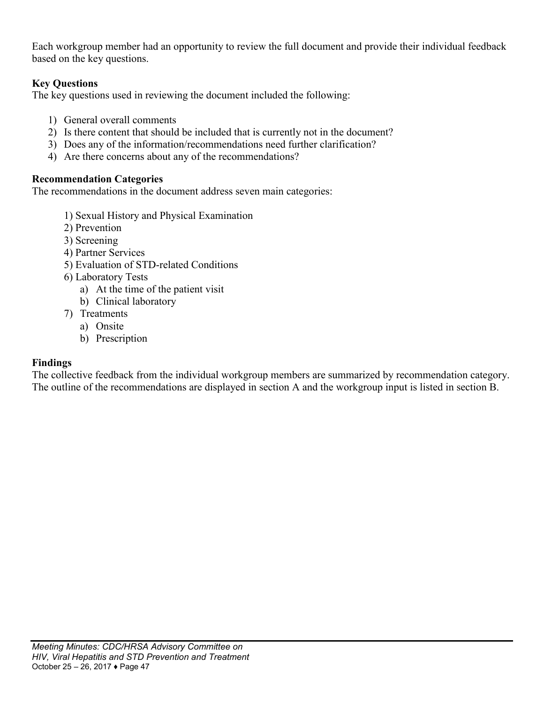Each workgroup member had an opportunity to review the full document and provide their individual feedback based on the key questions.

### **Key Questions**

The key questions used in reviewing the document included the following:

- 1) General overall comments
- 2) Is there content that should be included that is currently not in the document?
- 3) Does any of the information/recommendations need further clarification?
- 4) Are there concerns about any of the recommendations?

### **Recommendation Categories**

The recommendations in the document address seven main categories:

- 1) Sexual History and Physical Examination
- 2) Prevention
- 3) Screening
- 4) Partner Services
- 5) Evaluation of STD-related Conditions
- 6) Laboratory Tests
	- a) At the time of the patient visit
	- b) Clinical laboratory
- 7) Treatments
	- a) Onsite
	- b) Prescription

### **Findings**

The collective feedback from the individual workgroup members are summarized by recommendation category. The outline of the recommendations are displayed in section A and the workgroup input is listed in section B.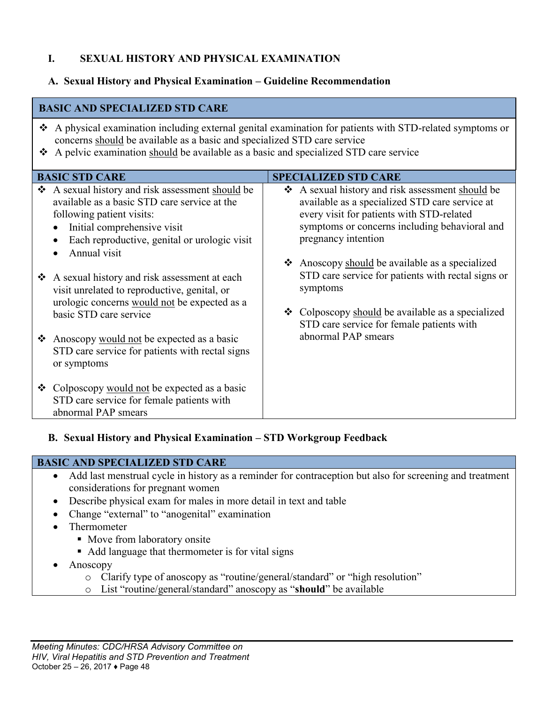### **I. SEXUAL HISTORY AND PHYSICAL EXAMINATION**

### **A. Sexual History and Physical Examination – Guideline Recommendation**

#### **BASIC AND SPECIALIZED STD CARE**

- A physical examination including external genital examination for patients with STD-related symptoms or concerns should be available as a basic and specialized STD care service
- A pelvic examination should be available as a basic and specialized STD care service

|        | <b>BASIC STD CARE</b>                                                                                                                                                                                                                                                                                                                                | <b>SPECIALIZED STD CARE</b>                                                                                                                                                                                                                                                                                                                |
|--------|------------------------------------------------------------------------------------------------------------------------------------------------------------------------------------------------------------------------------------------------------------------------------------------------------------------------------------------------------|--------------------------------------------------------------------------------------------------------------------------------------------------------------------------------------------------------------------------------------------------------------------------------------------------------------------------------------------|
| ❖<br>❖ | A sexual history and risk assessment should be<br>available as a basic STD care service at the<br>following patient visits:<br>Initial comprehensive visit<br>$\bullet$<br>Each reproductive, genital or urologic visit<br>$\bullet$<br>Annual visit<br>A sexual history and risk assessment at each<br>visit unrelated to reproductive, genital, or | ❖ A sexual history and risk assessment should be<br>available as a specialized STD care service at<br>every visit for patients with STD-related<br>symptoms or concerns including behavioral and<br>pregnancy intention<br>Anoscopy should be available as a specialized<br>STD care service for patients with rectal signs or<br>symptoms |
| ❖      | urologic concerns would not be expected as a<br>basic STD care service<br>Anoscopy would not be expected as a basic<br>STD care service for patients with rectal signs<br>or symptoms                                                                                                                                                                | ❖ Colposcopy should be available as a specialized<br>STD care service for female patients with<br>abnormal PAP smears                                                                                                                                                                                                                      |
|        | ❖ Colposcopy would not be expected as a basic<br>STD care service for female patients with<br>abnormal PAP smears                                                                                                                                                                                                                                    |                                                                                                                                                                                                                                                                                                                                            |

### **B. Sexual History and Physical Examination – STD Workgroup Feedback**

#### **BASIC AND SPECIALIZED STD CARE**

- Add last menstrual cycle in history as a reminder for contraception but also for screening and treatment considerations for pregnant women
- Describe physical exam for males in more detail in text and table
- Change "external" to "anogenital" examination
- Thermometer
	- Move from laboratory onsite
	- Add language that thermometer is for vital signs
- Anoscopy
	- o Clarify type of anoscopy as "routine/general/standard" or "high resolution"
	- o List "routine/general/standard" anoscopy as "**should**" be available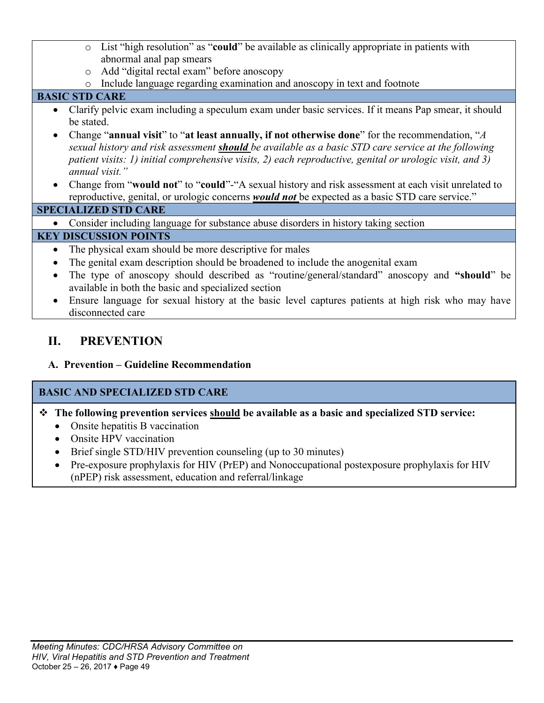- o List "high resolution" as "**could**" be available as clinically appropriate in patients with abnormal anal pap smears
- o Add "digital rectal exam" before anoscopy
- o Include language regarding examination and anoscopy in text and footnote

### **BASIC STD CARE**

- Clarify pelvic exam including a speculum exam under basic services. If it means Pap smear, it should be stated.
- Change "**annual visit**" to "**at least annually, if not otherwise done**" for the recommendation, "*A sexual history and risk assessment should be available as a basic STD care service at the following patient visits: 1) initial comprehensive visits, 2) each reproductive, genital or urologic visit, and 3) annual visit."*
- Change from "**would not**" to "**could**"-"A sexual history and risk assessment at each visit unrelated to reproductive, genital, or urologic concerns *would not* be expected as a basic STD care service."

### **SPECIALIZED STD CARE**

Consider including language for substance abuse disorders in history taking section

### **KEY DISCUSSION POINTS**

- The physical exam should be more descriptive for males
- The genital exam description should be broadened to include the anogenital exam
- The type of anoscopy should described as "routine/general/standard" anoscopy and **"should**" be available in both the basic and specialized section
- Ensure language for sexual history at the basic level captures patients at high risk who may have disconnected care

## **II. PREVENTION**

**A. Prevention – Guideline Recommendation**

### **BASIC AND SPECIALIZED STD CARE**

- **The following prevention services should be available as a basic and specialized STD service:**
	- Onsite hepatitis B vaccination
	- Onsite HPV vaccination
	- Brief single STD/HIV prevention counseling (up to 30 minutes)
	- Pre-exposure prophylaxis for HIV (PrEP) and Nonoccupational postexposure prophylaxis for HIV (nPEP) risk assessment, education and referral/linkage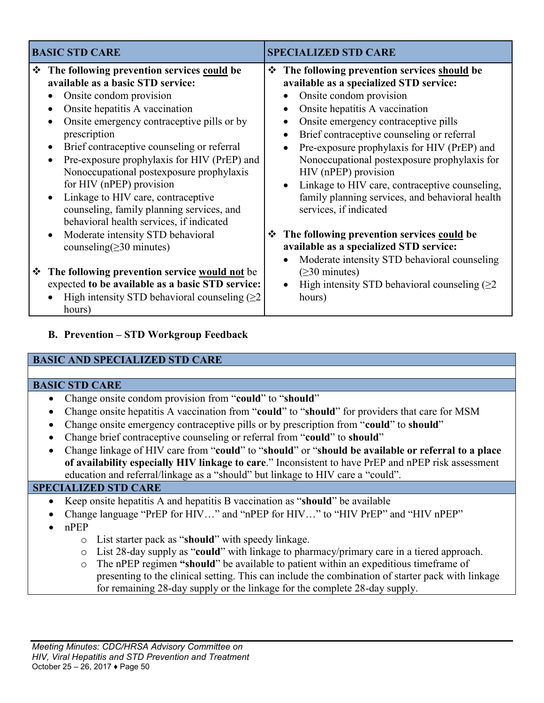|   | <b>BASIC STD CARE</b>                                                                                                                                                                                                                                                                                                                                                                                                                                                                                                                                                                              |   | <b>SPECIALIZED STD CARE</b>                                                                                                                                                                                                                                                                                                                                                                                                                                                                                                                                                                                                                                                                           |
|---|----------------------------------------------------------------------------------------------------------------------------------------------------------------------------------------------------------------------------------------------------------------------------------------------------------------------------------------------------------------------------------------------------------------------------------------------------------------------------------------------------------------------------------------------------------------------------------------------------|---|-------------------------------------------------------------------------------------------------------------------------------------------------------------------------------------------------------------------------------------------------------------------------------------------------------------------------------------------------------------------------------------------------------------------------------------------------------------------------------------------------------------------------------------------------------------------------------------------------------------------------------------------------------------------------------------------------------|
| ❖ | The following prevention services could be<br>available as a basic STD service:<br>Onsite condom provision<br>Onsite hepatitis A vaccination<br>$\bullet$<br>Onsite emergency contraceptive pills or by<br>prescription<br>Brief contraceptive counseling or referral<br>Pre-exposure prophylaxis for HIV (PrEP) and<br>Nonoccupational postexposure prophylaxis<br>for HIV (nPEP) provision<br>Linkage to HIV care, contraceptive<br>counseling, family planning services, and<br>behavioral health services, if indicated<br>Moderate intensity STD behavioral<br>counseling( $\geq$ 30 minutes) | ❖ | The following prevention services should be<br>available as a specialized STD service:<br>Onsite condom provision<br>Onsite hepatitis A vaccination<br>$\bullet$<br>Onsite emergency contraceptive pills<br>$\bullet$<br>Brief contraceptive counseling or referral<br>Pre-exposure prophylaxis for HIV (PrEP) and<br>Nonoccupational postexposure prophylaxis for<br>HIV (nPEP) provision<br>Linkage to HIV care, contraceptive counseling,<br>$\bullet$<br>family planning services, and behavioral health<br>services, if indicated<br><b>❖</b> The following prevention services could be<br>available as a specialized STD service:<br>Moderate intensity STD behavioral counseling<br>$\bullet$ |
| ❖ | The following prevention service would not be<br>expected to be available as a basic STD service:<br>High intensity STD behavioral counseling $(\geq 2)$<br>hours)                                                                                                                                                                                                                                                                                                                                                                                                                                 |   | $(\geq 30$ minutes)<br>High intensity STD behavioral counseling $(\geq 2)$<br>hours)                                                                                                                                                                                                                                                                                                                                                                                                                                                                                                                                                                                                                  |

### **B. Prevention – STD Workgroup Feedback**

#### **BASIC AND SPECIALIZED STD CARE**

#### **BASIC STD CARE**

- Change onsite condom provision from "**could**" to "**should**"
- Change onsite hepatitis A vaccination from "**could**" to "**should**" for providers that care for MSM
- Change onsite emergency contraceptive pills or by prescription from "**could**" to **should**"
- Change brief contraceptive counseling or referral from "**could**" to **should**"
- Change linkage of HIV care from "**could**" to "**should**" or "**should be available or referral to a place of availability especially HIV linkage to care**." Inconsistent to have PrEP and nPEP risk assessment education and referral/linkage as a "should" but linkage to HIV care a "could".

#### **SPECIALIZED STD CARE**

- Keep onsite hepatitis A and hepatitis B vaccination as "**should**" be available
- Change language "PrEP for HIV…" and "nPEP for HIV…" to "HIV PrEP" and "HIV nPEP"
- nPEP
	- o List starter pack as "**should**" with speedy linkage.
	- o List 28-day supply as "**could**" with linkage to pharmacy/primary care in a tiered approach.
	- o The nPEP regimen **"should**" be available to patient within an expeditious timeframe of presenting to the clinical setting. This can include the combination of starter pack with linkage for remaining 28-day supply or the linkage for the complete 28-day supply.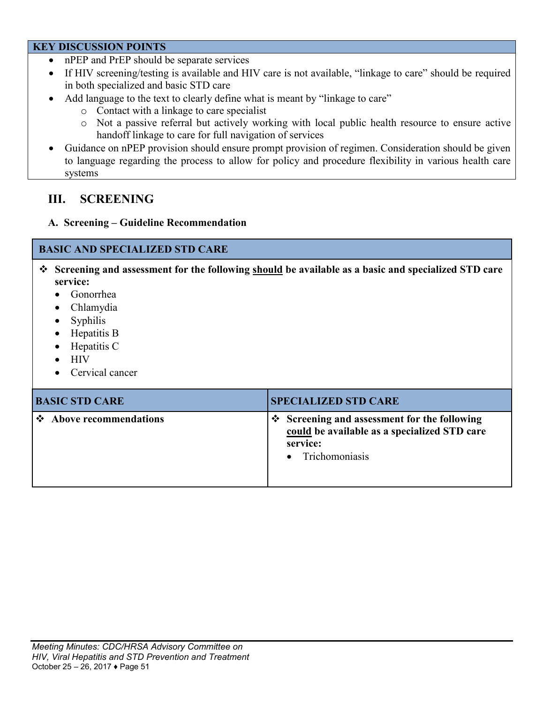#### **KEY DISCUSSION POINTS**

- nPEP and PrEP should be separate services
- If HIV screening/testing is available and HIV care is not available, "linkage to care" should be required in both specialized and basic STD care
- Add language to the text to clearly define what is meant by "linkage to care"
	- o Contact with a linkage to care specialist
	- o Not a passive referral but actively working with local public health resource to ensure active handoff linkage to care for full navigation of services
- Guidance on nPEP provision should ensure prompt provision of regimen. Consideration should be given to language regarding the process to allow for policy and procedure flexibility in various health care systems

### **III. SCREENING**

### **A. Screening – Guideline Recommendation**

### **BASIC AND SPECIALIZED STD CARE**

- **Screening and assessment for the following should be available as a basic and specialized STD care service:**
	- Gonorrhea
	- Chlamydia
	- Syphilis
	- Hepatitis B
	- Hepatitis C
	- $\bullet$  HIV
	- Cervical cancer

| <b>BASIC STD CARE</b>   | <b>SPECIALIZED STD CARE</b>                                                                                                     |
|-------------------------|---------------------------------------------------------------------------------------------------------------------------------|
| ❖ Above recommendations | $\div$ Screening and assessment for the following<br>could be available as a specialized STD care<br>service:<br>Trichomoniasis |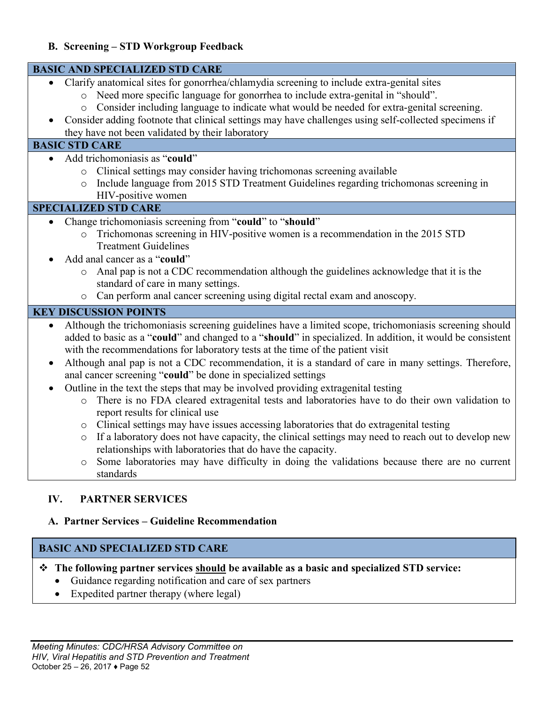| <b>B. Screening - STD Workgroup Feedback</b>                                                                                                                                                                                                                                                                                                                                                                                                                                   |
|--------------------------------------------------------------------------------------------------------------------------------------------------------------------------------------------------------------------------------------------------------------------------------------------------------------------------------------------------------------------------------------------------------------------------------------------------------------------------------|
| <b>BASIC AND SPECIALIZED STD CARE</b>                                                                                                                                                                                                                                                                                                                                                                                                                                          |
| Clarify anatomical sites for gonorrhea/chlamydia screening to include extra-genital sites<br>Need more specific language for gonorrhea to include extra-genital in "should".<br>$\circ$<br>Consider including language to indicate what would be needed for extra-genital screening.<br>$\circ$<br>Consider adding footnote that clinical settings may have challenges using self-collected specimens if<br>they have not been validated by their laboratory                   |
| <b>BASIC STD CARE</b>                                                                                                                                                                                                                                                                                                                                                                                                                                                          |
| Add trichomoniasis as "could"<br>$\bullet$<br>Clinical settings may consider having trichomonas screening available<br>Include language from 2015 STD Treatment Guidelines regarding trichomonas screening in<br>$\circ$<br>HIV-positive women                                                                                                                                                                                                                                 |
| <b>SPECIALIZED STD CARE</b>                                                                                                                                                                                                                                                                                                                                                                                                                                                    |
| Change trichomoniasis screening from "could" to "should"<br>Trichomonas screening in HIV-positive women is a recommendation in the 2015 STD<br>$\circ$<br><b>Treatment Guidelines</b><br>Add anal cancer as a "could"<br>Anal pap is not a CDC recommendation although the guidelines acknowledge that it is the                                                                                                                                                               |
| $\circ$<br>standard of care in many settings.<br>Can perform anal cancer screening using digital rectal exam and anoscopy.<br>$\circ$                                                                                                                                                                                                                                                                                                                                          |
| <b>KEY DISCUSSION POINTS</b>                                                                                                                                                                                                                                                                                                                                                                                                                                                   |
| Although the trichomoniasis screening guidelines have a limited scope, trichomoniasis screening should<br>added to basic as a "could" and changed to a "should" in specialized. In addition, it would be consistent<br>with the recommendations for laboratory tests at the time of the patient visit<br>Although anal pap is not a CDC recommendation, it is a standard of care in many settings. Therefore,<br>anal cancer screening "could" be done in specialized settings |
| Outline in the text the steps that may be involved providing extragenital testing<br>There is no FDA cleared extragenital tests and laboratories have to do their own validation to<br>$\circ$<br>report results for clinical use                                                                                                                                                                                                                                              |
| Clinical settings may have issues accessing laboratories that do extragenital testing<br>O<br>If a laboratory does not have capacity, the clinical settings may need to reach out to develop new<br>relationships with laboratories that do have the capacity.<br>Some laboratories may have difficulty in doing the validations because there are no current<br>$\circ$                                                                                                       |
| standards<br>IV.<br><b>PARTNER SERVICES</b><br>A. Partner Services – Guideline Recommendation                                                                                                                                                                                                                                                                                                                                                                                  |
| <b>BASIC AND SPECIALIZED STD CARE</b>                                                                                                                                                                                                                                                                                                                                                                                                                                          |

## **The following partner services should be available as a basic and specialized STD service:**

- Guidance regarding notification and care of sex partners
- Expedited partner therapy (where legal)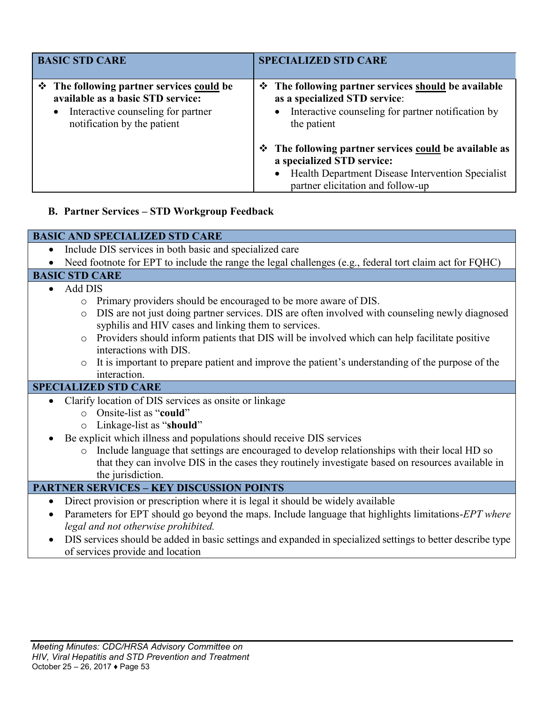| <b>BASIC STD CARE</b>                                                                                                                                            | <b>SPECIALIZED STD CARE</b>                                                                                                                                                                 |
|------------------------------------------------------------------------------------------------------------------------------------------------------------------|---------------------------------------------------------------------------------------------------------------------------------------------------------------------------------------------|
| ❖ The following partner services could be<br>available as a basic STD service:<br>Interactive counseling for partner<br>$\bullet$<br>notification by the patient | ❖ The following partner services should be available<br>as a specialized STD service:<br>• Interactive counseling for partner notification by<br>the patient                                |
|                                                                                                                                                                  | ❖ The following partner services could be available as<br>a specialized STD service:<br>Health Department Disease Intervention Specialist<br>$\bullet$<br>partner elicitation and follow-up |

### **B. Partner Services – STD Workgroup Feedback**

### **BASIC AND SPECIALIZED STD CARE**

• Include DIS services in both basic and specialized care

### • Need footnote for EPT to include the range the legal challenges (e.g., federal tort claim act for FQHC)

### **BASIC STD CARE**

- Add DIS
	- o Primary providers should be encouraged to be more aware of DIS.
	- o DIS are not just doing partner services. DIS are often involved with counseling newly diagnosed syphilis and HIV cases and linking them to services.
	- o Providers should inform patients that DIS will be involved which can help facilitate positive interactions with DIS.
	- o It is important to prepare patient and improve the patient's understanding of the purpose of the interaction.

### **SPECIALIZED STD CARE**

- Clarify location of DIS services as onsite or linkage
	- o Onsite-list as "**could**"
	- o Linkage-list as "**should**"
- Be explicit which illness and populations should receive DIS services
	- o Include language that settings are encouraged to develop relationships with their local HD so that they can involve DIS in the cases they routinely investigate based on resources available in the jurisdiction.

### **PARTNER SERVICES – KEY DISCUSSION POINTS**

- Direct provision or prescription where it is legal it should be widely available
- Parameters for EPT should go beyond the maps. Include language that highlights limitations-*EPT where legal and not otherwise prohibited.*
- DIS services should be added in basic settings and expanded in specialized settings to better describe type of services provide and location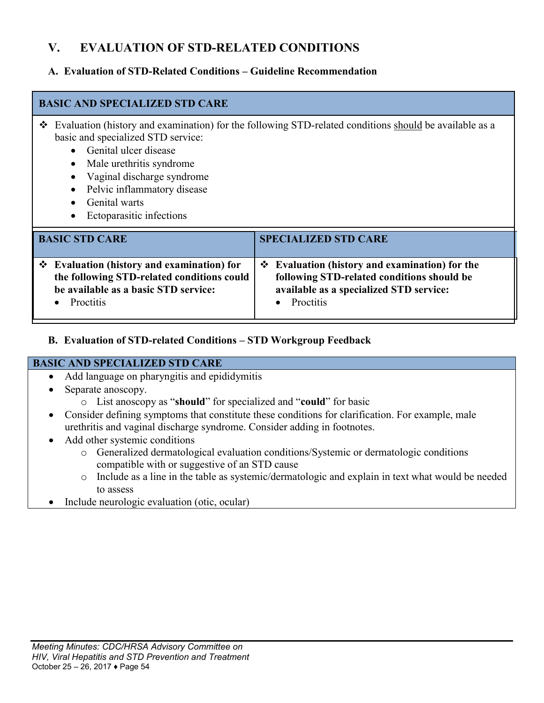## **V. EVALUATION OF STD-RELATED CONDITIONS**

### **A. Evaluation of STD-Related Conditions – Guideline Recommendation**

### **BASIC AND SPECIALIZED STD CARE**

- Evaluation (history and examination) for the following STD-related conditions should be available as a basic and specialized STD service:
	- Genital ulcer disease
	- Male urethritis syndrome
	- Vaginal discharge syndrome
	- Pelvic inflammatory disease
	- Genital warts
	- Ectoparasitic infections

| <b>BASIC STD CARE</b>                      | <b>SPECIALIZED STD CARE</b>                         |
|--------------------------------------------|-----------------------------------------------------|
| ❖ Evaluation (history and examination) for | $\div$ Evaluation (history and examination) for the |
| the following STD-related conditions could | following STD-related conditions should be          |
| be available as a basic STD service:       | available as a specialized STD service:             |
| <b>Proctitis</b>                           | • Proctitis                                         |

**B. Evaluation of STD-related Conditions – STD Workgroup Feedback**

### **BASIC AND SPECIALIZED STD CARE**

- Add language on pharyngitis and epididymitis
- Separate anoscopy.
	- o List anoscopy as "**should**" for specialized and "**could**" for basic
- Consider defining symptoms that constitute these conditions for clarification. For example, male urethritis and vaginal discharge syndrome. Consider adding in footnotes.
- Add other systemic conditions
	- o Generalized dermatological evaluation conditions/Systemic or dermatologic conditions compatible with or suggestive of an STD cause
	- o Include as a line in the table as systemic/dermatologic and explain in text what would be needed to assess
- Include neurologic evaluation (otic, ocular)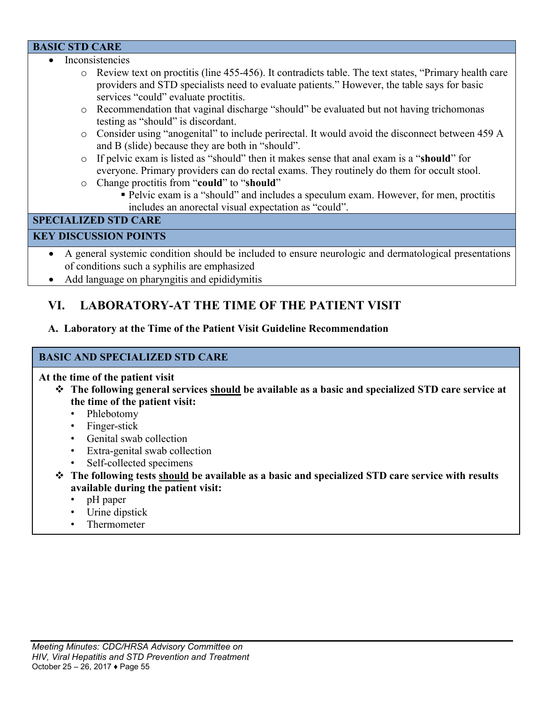#### **BASIC STD CARE**

- Inconsistencies
	- o Review text on proctitis (line 455-456). It contradicts table. The text states, "Primary health care providers and STD specialists need to evaluate patients." However, the table says for basic services "could" evaluate proctitis.
	- o Recommendation that vaginal discharge "should" be evaluated but not having trichomonas testing as "should" is discordant.
	- o Consider using "anogenital" to include perirectal. It would avoid the disconnect between 459 A and B (slide) because they are both in "should".
	- o If pelvic exam is listed as "should" then it makes sense that anal exam is a "**should**" for everyone. Primary providers can do rectal exams. They routinely do them for occult stool.
	- o Change proctitis from "**could**" to "**should**"
		- Pelvic exam is a "should" and includes a speculum exam. However, for men, proctitis includes an anorectal visual expectation as "could".

### **SPECIALIZED STD CARE**

### **KEY DISCUSSION POINTS**

- A general systemic condition should be included to ensure neurologic and dermatological presentations of conditions such a syphilis are emphasized
- Add language on pharyngitis and epididymitis

### **VI. LABORATORY-AT THE TIME OF THE PATIENT VISIT**

### **A. Laboratory at the Time of the Patient Visit Guideline Recommendation**

### **BASIC AND SPECIALIZED STD CARE**

#### **At the time of the patient visit**

- **The following general services should be available as a basic and specialized STD care service at the time of the patient visit:**
	- Phlebotomy
	- Finger-stick
	- Genital swab collection
	- Extra-genital swab collection
	- Self-collected specimens
- **The following tests should be available as a basic and specialized STD care service with results available during the patient visit:**
	- pH paper
	- Urine dipstick
	- Thermometer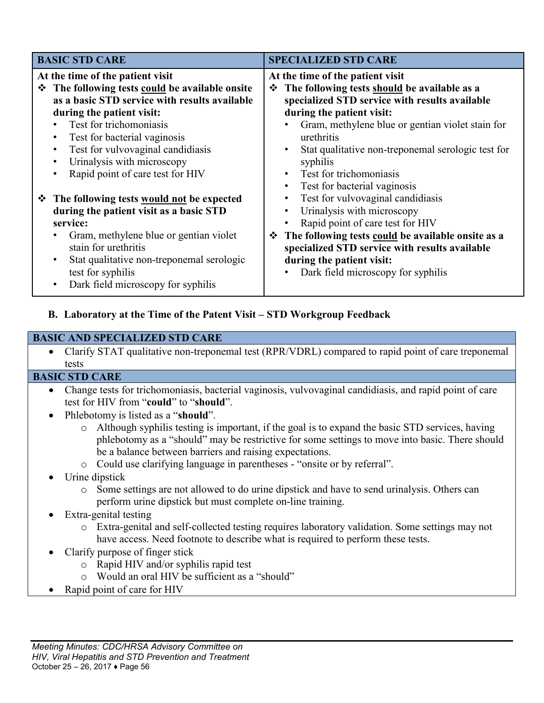| <b>BASIC STD CARE</b>                                                                                                                                                                                                                                                                                                                                                          | <b>SPECIALIZED STD CARE</b>                                                                                                                                                                                                                                                                                                                                                                                |
|--------------------------------------------------------------------------------------------------------------------------------------------------------------------------------------------------------------------------------------------------------------------------------------------------------------------------------------------------------------------------------|------------------------------------------------------------------------------------------------------------------------------------------------------------------------------------------------------------------------------------------------------------------------------------------------------------------------------------------------------------------------------------------------------------|
| At the time of the patient visit<br>The following tests could be available onsite<br>豪。<br>as a basic STD service with results available<br>during the patient visit:<br>Test for trichomoniasis<br>Test for bacterial vaginosis<br>$\bullet$<br>Test for vulvovaginal candidiasis<br>$\bullet$<br>Urinalysis with microscopy<br>$\bullet$<br>Rapid point of care test for HIV | At the time of the patient visit<br>The following tests should be available as a<br>❖<br>specialized STD service with results available<br>during the patient visit:<br>Gram, methylene blue or gentian violet stain for<br>urethritis<br>Stat qualitative non-treponemal serologic test for<br>$\bullet$<br>syphilis<br>Test for trichomoniasis<br>$\bullet$<br>Test for bacterial vaginosis<br>$\bullet$ |
| <b>❖</b> The following tests <u>would not</u> be expected<br>during the patient visit as a basic STD<br>service:<br>Gram, methylene blue or gentian violet<br>stain for urethritis<br>Stat qualitative non-treponemal serologic<br>$\bullet$<br>test for syphilis<br>Dark field microscopy for syphilis<br>$\bullet$                                                           | Test for vulvovaginal candidiasis<br>Urinalysis with microscopy<br>$\bullet$<br>Rapid point of care test for HIV<br>The following tests could be available onsite as a<br>❖<br>specialized STD service with results available<br>during the patient visit:<br>Dark field microscopy for syphilis                                                                                                           |

### **B. Laboratory at the Time of the Patent Visit – STD Workgroup Feedback**

### **BASIC AND SPECIALIZED STD CARE**

 Clarify STAT qualitative non-treponemal test (RPR/VDRL) compared to rapid point of care treponemal tests

#### **BASIC STD CARE**

- Change tests for trichomoniasis, bacterial vaginosis, vulvovaginal candidiasis, and rapid point of care test for HIV from "**could**" to "**should**".
- Phlebotomy is listed as a "**should**".
	- o Although syphilis testing is important, if the goal is to expand the basic STD services, having phlebotomy as a "should" may be restrictive for some settings to move into basic. There should be a balance between barriers and raising expectations.
	- o Could use clarifying language in parentheses "onsite or by referral".

### Urine dipstick

- o Some settings are not allowed to do urine dipstick and have to send urinalysis. Others can perform urine dipstick but must complete on-line training.
- Extra-genital testing
	- o Extra-genital and self-collected testing requires laboratory validation. Some settings may not have access. Need footnote to describe what is required to perform these tests.
- Clarify purpose of finger stick
	- o Rapid HIV and/or syphilis rapid test
	- o Would an oral HIV be sufficient as a "should"
- Rapid point of care for HIV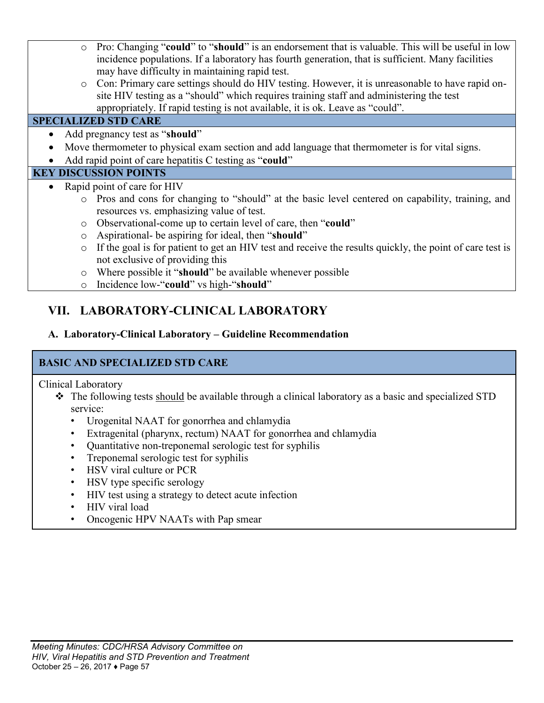- o Pro: Changing "**could**" to "**should**" is an endorsement that is valuable. This will be useful in low incidence populations. If a laboratory has fourth generation, that is sufficient. Many facilities may have difficulty in maintaining rapid test.
- o Con: Primary care settings should do HIV testing. However, it is unreasonable to have rapid onsite HIV testing as a "should" which requires training staff and administering the test appropriately. If rapid testing is not available, it is ok. Leave as "could".

### **SPECIALIZED STD CARE**

- Add pregnancy test as "**should**"
- Move thermometer to physical exam section and add language that thermometer is for vital signs.
- Add rapid point of care hepatitis C testing as "**could**"

### **KEY DISCUSSION POINTS**

- Rapid point of care for HIV
	- o Pros and cons for changing to "should" at the basic level centered on capability, training, and resources vs. emphasizing value of test.
	- o Observational-come up to certain level of care, then "**could**"
	- o Aspirational- be aspiring for ideal, then "**should**"
	- o If the goal is for patient to get an HIV test and receive the results quickly, the point of care test is not exclusive of providing this
	- o Where possible it "**should**" be available whenever possible
	- o Incidence low-"**could**" vs high-"**should**"

## **VII. LABORATORY-CLINICAL LABORATORY**

### **A. Laboratory-Clinical Laboratory – Guideline Recommendation**

### **BASIC AND SPECIALIZED STD CARE**

Clinical Laboratory

- The following tests should be available through a clinical laboratory as a basic and specialized STD service:
	- Urogenital NAAT for gonorrhea and chlamydia
	- Extragenital (pharynx, rectum) NAAT for gonorrhea and chlamydia
	- Quantitative non-treponemal serologic test for syphilis
	- Treponemal serologic test for syphilis
	- HSV viral culture or PCR
	- HSV type specific serology
	- HIV test using a strategy to detect acute infection
	- HIV viral load
	- Oncogenic HPV NAATs with Pap smear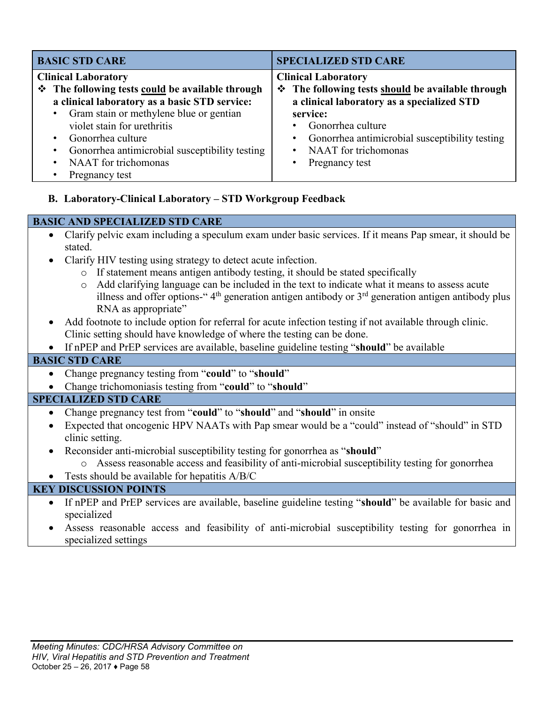| <b>BASIC STD CARE</b>                                                                                                                                                                                                                                                                                                                                  | <b>SPECIALIZED STD CARE</b>                                                                                                                                                                                                                                                  |
|--------------------------------------------------------------------------------------------------------------------------------------------------------------------------------------------------------------------------------------------------------------------------------------------------------------------------------------------------------|------------------------------------------------------------------------------------------------------------------------------------------------------------------------------------------------------------------------------------------------------------------------------|
| <b>Clinical Laboratory</b><br>❖ The following tests could be available through<br>a clinical laboratory as a basic STD service:<br>• Gram stain or methylene blue or gentian<br>violet stain for urethritis<br>Gonorrhea culture<br>$\bullet$<br>Gonorrhea antimicrobial susceptibility testing<br>NAAT for trichomonas<br>$\bullet$<br>Pregnancy test | <b>Clinical Laboratory</b><br>❖ The following tests should be available through<br>a clinical laboratory as a specialized STD<br>service:<br>Gonorrhea culture<br>Gonorrhea antimicrobial susceptibility testing<br>NAAT for trichomonas<br>$\bullet$<br>Pregnancy test<br>٠ |

**B. Laboratory-Clinical Laboratory – STD Workgroup Feedback**

#### **BASIC AND SPECIALIZED STD CARE**

- Clarify pelvic exam including a speculum exam under basic services. If it means Pap smear, it should be stated.
- Clarify HIV testing using strategy to detect acute infection.
	- o If statement means antigen antibody testing, it should be stated specifically
	- o Add clarifying language can be included in the text to indicate what it means to assess acute illness and offer options-"  $4<sup>th</sup>$  generation antigen antibody or  $3<sup>rd</sup>$  generation antigen antibody plus RNA as appropriate"
- Add footnote to include option for referral for acute infection testing if not available through clinic. Clinic setting should have knowledge of where the testing can be done.
- If nPEP and PrEP services are available, baseline guideline testing "**should**" be available

### **BASIC STD CARE**

- Change pregnancy testing from "**could**" to "**should**"
- Change trichomoniasis testing from "**could**" to "**should**"

### **SPECIALIZED STD CARE**

- Change pregnancy test from "**could**" to "**should**" and "**should**" in onsite
- Expected that oncogenic HPV NAATs with Pap smear would be a "could" instead of "should" in STD clinic setting.
- Reconsider anti-microbial susceptibility testing for gonorrhea as "**should**"
	- o Assess reasonable access and feasibility of anti-microbial susceptibility testing for gonorrhea
- Tests should be available for hepatitis A/B/C

### **KEY DISCUSSION POINTS**

- If nPEP and PrEP services are available, baseline guideline testing "**should**" be available for basic and specialized
- Assess reasonable access and feasibility of anti-microbial susceptibility testing for gonorrhea in specialized settings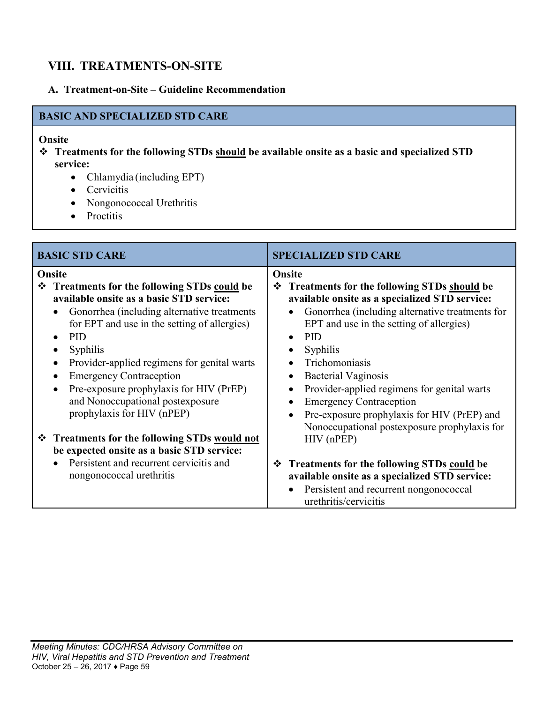## **VIII. TREATMENTS-ON-SITE**

### **A. Treatment-on-Site – Guideline Recommendation**

### **BASIC AND SPECIALIZED STD CARE**

#### **Onsite**

- **Treatments for the following STDs should be available onsite as a basic and specialized STD service:**
	- Chlamydia (including EPT)
	- Cervicitis
	- Nongonococcal Urethritis
	- Proctitis

| <b>BASIC STD CARE</b>                                                                                                                                                                                                                                                                                                                                                                                                                                | <b>SPECIALIZED STD CARE</b>                                                                                                                                                                                                                                                                                                                                                                                                  |
|------------------------------------------------------------------------------------------------------------------------------------------------------------------------------------------------------------------------------------------------------------------------------------------------------------------------------------------------------------------------------------------------------------------------------------------------------|------------------------------------------------------------------------------------------------------------------------------------------------------------------------------------------------------------------------------------------------------------------------------------------------------------------------------------------------------------------------------------------------------------------------------|
| Onsite<br>❖ Treatments for the following STDs could be<br>available onsite as a basic STD service:<br>Gonorrhea (including alternative treatments)<br>for EPT and use in the setting of allergies)<br><b>PID</b><br>Syphilis<br>$\bullet$<br>Provider-applied regimens for genital warts<br>$\bullet$<br><b>Emergency Contraception</b><br>Pre-exposure prophylaxis for HIV (PrEP)<br>and Nonoccupational postexposure<br>prophylaxis for HIV (nPEP) | Onsite<br><b>Treatments for the following STDs should be</b><br>❖<br>available onsite as a specialized STD service:<br>Gonorrhea (including alternative treatments for<br>EPT and use in the setting of allergies)<br><b>PID</b><br>Syphilis<br>Trichomoniasis<br><b>Bacterial Vaginosis</b><br>Provider-applied regimens for genital warts<br><b>Emergency Contraception</b><br>Pre-exposure prophylaxis for HIV (PrEP) and |
| ❖ Treatments for the following STDs would not<br>be expected onsite as a basic STD service:<br>Persistent and recurrent cervicitis and<br>nongonococcal urethritis                                                                                                                                                                                                                                                                                   | Nonoccupational postexposure prophylaxis for<br>$HIV$ (nPEP)<br>Treatments for the following STDs could be<br>❖<br>available onsite as a specialized STD service:<br>Persistent and recurrent nongonococcal<br>urethritis/cervicitis                                                                                                                                                                                         |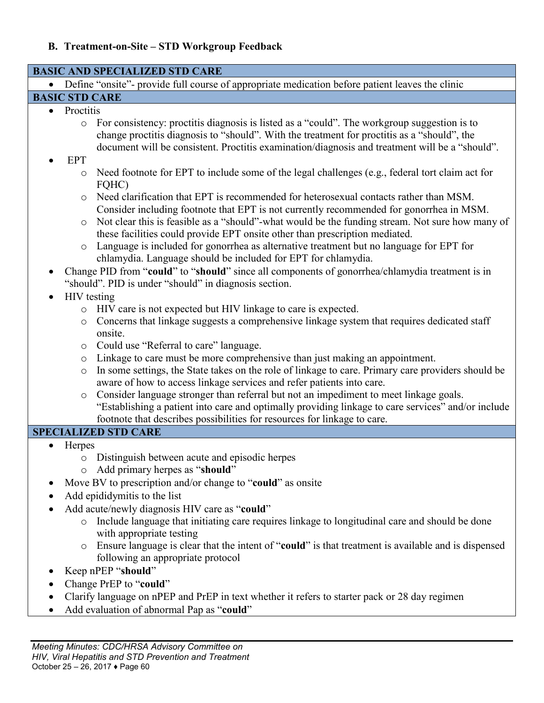## **B. Treatment-on-Site – STD Workgroup Feedback**

| <b>BASIC AND SPECIALIZED STD CARE</b>                                                                        |                                                                                                                                                                                                                                                                                              |  |  |  |
|--------------------------------------------------------------------------------------------------------------|----------------------------------------------------------------------------------------------------------------------------------------------------------------------------------------------------------------------------------------------------------------------------------------------|--|--|--|
| Define "onsite"- provide full course of appropriate medication before patient leaves the clinic<br>$\bullet$ |                                                                                                                                                                                                                                                                                              |  |  |  |
| <b>BASIC STD CARE</b>                                                                                        |                                                                                                                                                                                                                                                                                              |  |  |  |
| Proctitis<br>$\bullet$                                                                                       |                                                                                                                                                                                                                                                                                              |  |  |  |
| $\circ$                                                                                                      | For consistency: proctitis diagnosis is listed as a "could". The workgroup suggestion is to<br>change proctitis diagnosis to "should". With the treatment for proctitis as a "should", the<br>document will be consistent. Proctitis examination/diagnosis and treatment will be a "should". |  |  |  |
| <b>EPT</b>                                                                                                   |                                                                                                                                                                                                                                                                                              |  |  |  |
| $\circ$                                                                                                      | Need footnote for EPT to include some of the legal challenges (e.g., federal tort claim act for<br>FQHC)                                                                                                                                                                                     |  |  |  |
| $\circ$                                                                                                      | Need clarification that EPT is recommended for heterosexual contacts rather than MSM.<br>Consider including footnote that EPT is not currently recommended for gonorrhea in MSM.                                                                                                             |  |  |  |
| $\circ$                                                                                                      | Not clear this is feasible as a "should"-what would be the funding stream. Not sure how many of<br>these facilities could provide EPT onsite other than prescription mediated.                                                                                                               |  |  |  |
| $\circ$                                                                                                      | Language is included for gonorrhea as alternative treatment but no language for EPT for<br>chlamydia. Language should be included for EPT for chlamydia.                                                                                                                                     |  |  |  |
|                                                                                                              | Change PID from "could" to "should" since all components of gonorrhea/chlamydia treatment is in                                                                                                                                                                                              |  |  |  |
|                                                                                                              | "should". PID is under "should" in diagnosis section.                                                                                                                                                                                                                                        |  |  |  |
|                                                                                                              | <b>HIV</b> testing                                                                                                                                                                                                                                                                           |  |  |  |
|                                                                                                              | HIV care is not expected but HIV linkage to care is expected.                                                                                                                                                                                                                                |  |  |  |
| $\circ$                                                                                                      | Concerns that linkage suggests a comprehensive linkage system that requires dedicated staff<br>onsite.                                                                                                                                                                                       |  |  |  |
| $\circ$                                                                                                      | Could use "Referral to care" language.                                                                                                                                                                                                                                                       |  |  |  |
| $\circ$                                                                                                      | Linkage to care must be more comprehensive than just making an appointment.                                                                                                                                                                                                                  |  |  |  |
| $\circlearrowright$                                                                                          | In some settings, the State takes on the role of linkage to care. Primary care providers should be                                                                                                                                                                                           |  |  |  |
|                                                                                                              | aware of how to access linkage services and refer patients into care.                                                                                                                                                                                                                        |  |  |  |
| $\circ$                                                                                                      | Consider language stronger than referral but not an impediment to meet linkage goals.                                                                                                                                                                                                        |  |  |  |
|                                                                                                              | "Establishing a patient into care and optimally providing linkage to care services" and/or include                                                                                                                                                                                           |  |  |  |
|                                                                                                              | footnote that describes possibilities for resources for linkage to care.                                                                                                                                                                                                                     |  |  |  |
| <b>SPECIALIZED STD CARE</b>                                                                                  |                                                                                                                                                                                                                                                                                              |  |  |  |
| Herpes                                                                                                       |                                                                                                                                                                                                                                                                                              |  |  |  |
|                                                                                                              | o Distinguish between acute and episodic herpes                                                                                                                                                                                                                                              |  |  |  |
|                                                                                                              | o Add primary herpes as "should"                                                                                                                                                                                                                                                             |  |  |  |
|                                                                                                              | Move BV to prescription and/or change to "could" as onsite                                                                                                                                                                                                                                   |  |  |  |
| Add epididymitis to the list                                                                                 |                                                                                                                                                                                                                                                                                              |  |  |  |
| Add acute/newly diagnosis HIV care as "could"                                                                |                                                                                                                                                                                                                                                                                              |  |  |  |
| $\circ$                                                                                                      | Include language that initiating care requires linkage to longitudinal care and should be done<br>with appropriate testing                                                                                                                                                                   |  |  |  |
|                                                                                                              | Ensure language is clear that the intent of "could" is that treatment is available and is dispensed<br>following an appropriate protocol                                                                                                                                                     |  |  |  |
| Keep nPEP "should"                                                                                           |                                                                                                                                                                                                                                                                                              |  |  |  |
|                                                                                                              |                                                                                                                                                                                                                                                                                              |  |  |  |
| Change PrEP to "could"                                                                                       |                                                                                                                                                                                                                                                                                              |  |  |  |
| $\bullet$                                                                                                    | Clarify language on nPEP and PrEP in text whether it refers to starter pack or 28 day regimen                                                                                                                                                                                                |  |  |  |
|                                                                                                              |                                                                                                                                                                                                                                                                                              |  |  |  |
|                                                                                                              | Add evaluation of abnormal Pap as "could"                                                                                                                                                                                                                                                    |  |  |  |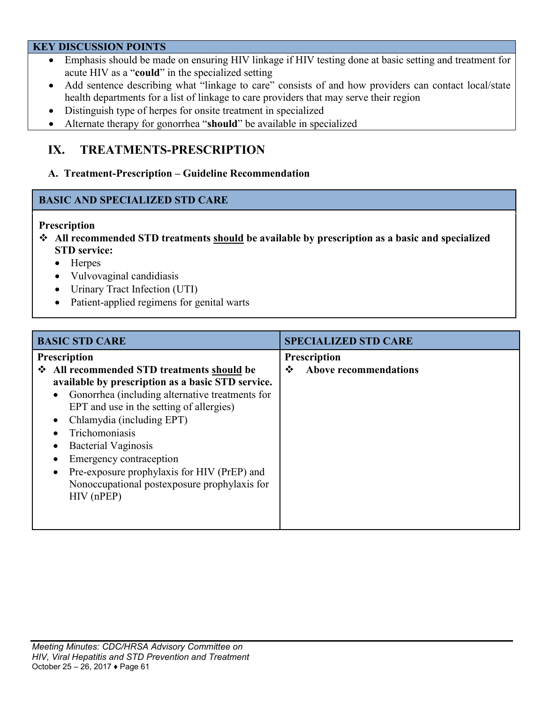#### **KEY DISCUSSION POINTS**

- Emphasis should be made on ensuring HIV linkage if HIV testing done at basic setting and treatment for acute HIV as a "**could**" in the specialized setting
- Add sentence describing what "linkage to care" consists of and how providers can contact local/state health departments for a list of linkage to care providers that may serve their region
- Distinguish type of herpes for onsite treatment in specialized
- Alternate therapy for gonorrhea "**should**" be available in specialized

## **IX. TREATMENTS-PRESCRIPTION**

#### **A. Treatment-Prescription – Guideline Recommendation**

### **BASIC AND SPECIALIZED STD CARE**

#### **Prescription**

- **All recommended STD treatments should be available by prescription as a basic and specialized STD service:**
	- Herpes
	- Vulvovaginal candidiasis
	- Urinary Tract Infection (UTI)
	- Patient-applied regimens for genital warts

| <b>BASIC STD CARE</b>                                        | <b>SPECIALIZED STD CARE</b>       |
|--------------------------------------------------------------|-----------------------------------|
| Prescription                                                 | Prescription                      |
| ❖ All recommended STD treatments should be                   | <b>Above recommendations</b><br>❖ |
| available by prescription as a basic STD service.            |                                   |
| Gonorrhea (including alternative treatments for<br>$\bullet$ |                                   |
| EPT and use in the setting of allergies)                     |                                   |
| Chlamydia (including EPT)<br>$\bullet$                       |                                   |
| Trichomoniasis                                               |                                   |
| <b>Bacterial Vaginosis</b><br>٠                              |                                   |
| Emergency contraception                                      |                                   |
| Pre-exposure prophylaxis for HIV (PrEP) and<br>$\bullet$     |                                   |
| Nonoccupational postexposure prophylaxis for                 |                                   |
| $HIV$ (nPEP)                                                 |                                   |
|                                                              |                                   |
|                                                              |                                   |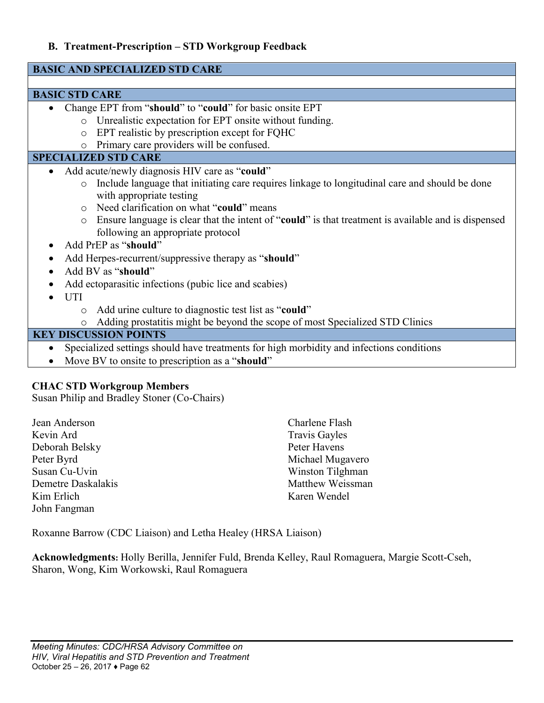### **B. Treatment-Prescription – STD Workgroup Feedback**

| <b>BASIC AND SPECIALIZED STD CARE</b>                                                                                                               |  |  |
|-----------------------------------------------------------------------------------------------------------------------------------------------------|--|--|
|                                                                                                                                                     |  |  |
| <b>BASIC STD CARE</b>                                                                                                                               |  |  |
| Change EPT from "should" to "could" for basic onsite EPT                                                                                            |  |  |
| Unrealistic expectation for EPT onsite without funding.<br>$\circ$                                                                                  |  |  |
| EPT realistic by prescription except for FQHC<br>$\circ$                                                                                            |  |  |
| Primary care providers will be confused.<br>$\circ$                                                                                                 |  |  |
| <b>SPECIALIZED STD CARE</b>                                                                                                                         |  |  |
| Add acute/newly diagnosis HIV care as "could"<br>$\bullet$                                                                                          |  |  |
| Include language that initiating care requires linkage to longitudinal care and should be done<br>$\circ$                                           |  |  |
| with appropriate testing                                                                                                                            |  |  |
| Need clarification on what "could" means<br>$\circ$                                                                                                 |  |  |
| Ensure language is clear that the intent of "could" is that treatment is available and is dispensed<br>$\circ$<br>following an appropriate protocol |  |  |
| Add PrEP as "should"                                                                                                                                |  |  |
| Add Herpes-recurrent/suppressive therapy as "should"                                                                                                |  |  |
| Add BV as "should"                                                                                                                                  |  |  |
| Add ectoparasitic infections (pubic lice and scabies)                                                                                               |  |  |
| <b>UTI</b>                                                                                                                                          |  |  |
| Add urine culture to diagnostic test list as "could"<br>O                                                                                           |  |  |
| Adding prostatitis might be beyond the scope of most Specialized STD Clinics<br>O                                                                   |  |  |
| <b>KEY DISCUSSION POINTS</b>                                                                                                                        |  |  |
| Specialized settings should have treatments for high morbidity and infections conditions                                                            |  |  |
| Move BV to onsite to prescription as a "should"                                                                                                     |  |  |
|                                                                                                                                                     |  |  |

### **CHAC STD Workgroup Members**

Susan Philip and Bradley Stoner (Co-Chairs)

Jean Anderson Kevin Ard Deborah Belsky Peter Byrd Susan Cu-Uvin Demetre Daskalakis Kim Erlich John Fangman

Charlene Flash Travis Gayles Peter Havens Michael Mugavero Winston Tilghman Matthew Weissman Karen Wendel

Roxanne Barrow (CDC Liaison) and Letha Healey (HRSA Liaison)

**Acknowledgments:** Holly Berilla, Jennifer Fuld, Brenda Kelley, Raul Romaguera, Margie Scott-Cseh, Sharon, Wong, Kim Workowski, Raul Romaguera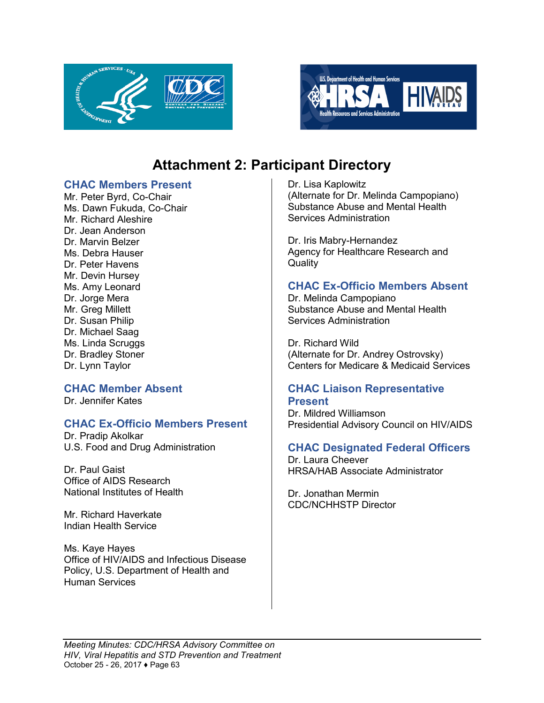



## **Attachment 2: Participant Directory**

#### <span id="page-62-0"></span>**CHAC Members Present**

Mr. Peter Byrd, Co-Chair Ms. Dawn Fukuda, Co-Chair Mr. Richard Aleshire Dr. Jean Anderson Dr. Marvin Belzer Ms. Debra Hauser Dr. Peter Havens Mr. Devin Hursey Ms. Amy Leonard Dr. Jorge Mera Mr. Greg Millett Dr. Susan Philip Dr. Michael Saag Ms. Linda Scruggs Dr. Bradley Stoner Dr. Lynn Taylor

#### **CHAC Member Absent**

Dr. Jennifer Kates

#### **CHAC Ex-Officio Members Present**

Dr. Pradip Akolkar U.S. Food and Drug Administration

Dr. Paul Gaist Office of AIDS Research National Institutes of Health

Mr. Richard Haverkate Indian Health Service

Ms. Kaye Hayes Office of HIV/AIDS and Infectious Disease Policy, U.S. Department of Health and Human Services

Dr. Lisa Kaplowitz (Alternate for Dr. Melinda Campopiano) Substance Abuse and Mental Health Services Administration

Dr. Iris Mabry-Hernandez Agency for Healthcare Research and **Quality** 

### **CHAC Ex-Officio Members Absent**

Dr. Melinda Campopiano Substance Abuse and Mental Health Services Administration

Dr. Richard Wild (Alternate for Dr. Andrey Ostrovsky) Centers for Medicare & Medicaid Services

### **CHAC Liaison Representative Present**

Dr. Mildred Williamson Presidential Advisory Council on HIV/AIDS

#### **CHAC Designated Federal Officers**

Dr. Laura Cheever HRSA/HAB Associate Administrator

Dr. Jonathan Mermin CDC/NCHHSTP Director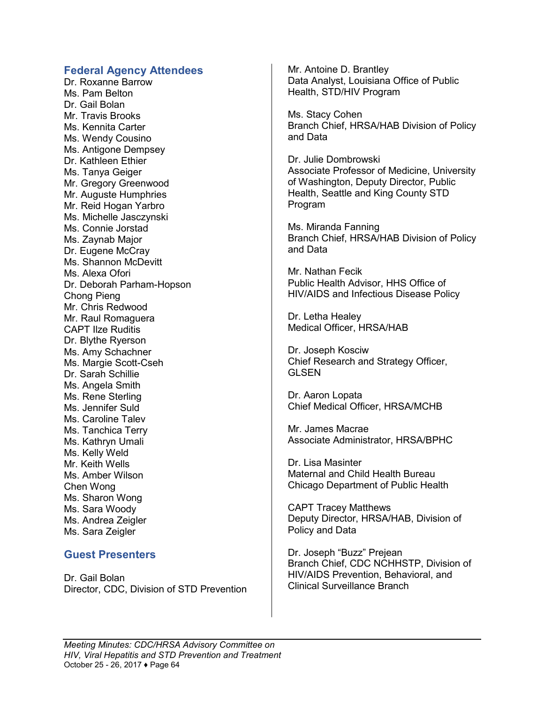#### **Federal Agency Attendees**

Dr. Roxanne Barrow Ms. Pam Belton Dr. Gail Bolan Mr. Travis Brooks Ms. Kennita Carter Ms. Wendy Cousino Ms. Antigone Dempsey Dr. Kathleen Ethier Ms. Tanya Geiger Mr. Gregory Greenwood Mr. Auguste Humphries Mr. Reid Hogan Yarbro Ms. Michelle Jasczynski Ms. Connie Jorstad Ms. Zaynab Major Dr. Eugene McCray Ms. Shannon McDevitt Ms. Alexa Ofori Dr. Deborah Parham-Hopson Chong Pieng Mr. Chris Redwood Mr. Raul Romaguera CAPT Ilze Ruditis Dr. Blythe Ryerson Ms. Amy Schachner Ms. Margie Scott-Cseh Dr. Sarah Schillie Ms. Angela Smith Ms. Rene Sterling Ms. Jennifer Suld Ms. Caroline Talev Ms. Tanchica Terry Ms. Kathryn Umali Ms. Kelly Weld Mr. Keith Wells Ms. Amber Wilson Chen Wong Ms. Sharon Wong Ms. Sara Woody Ms. Andrea Zeigler Ms. Sara Zeigler

#### **Guest Presenters**

Dr. Gail Bolan Director, CDC, Division of STD Prevention Mr. Antoine D. Brantley Data Analyst, Louisiana Office of Public Health, STD/HIV Program

Ms. Stacy Cohen Branch Chief, HRSA/HAB Division of Policy and Data

Dr. Julie Dombrowski Associate Professor of Medicine, University of Washington, Deputy Director, Public Health, Seattle and King County STD Program

Ms. Miranda Fanning Branch Chief, HRSA/HAB Division of Policy and Data

Mr. Nathan Fecik Public Health Advisor, HHS Office of HIV/AIDS and Infectious Disease Policy

Dr. Letha Healey Medical Officer, HRSA/HAB

Dr. Joseph Kosciw Chief Research and Strategy Officer, GLSEN

Dr. Aaron Lopata Chief Medical Officer, HRSA/MCHB

Mr. James Macrae Associate Administrator, HRSA/BPHC

Dr. Lisa Masinter Maternal and Child Health Bureau Chicago Department of Public Health

CAPT Tracey Matthews Deputy Director, HRSA/HAB, Division of Policy and Data

Dr. Joseph "Buzz" Prejean Branch Chief, CDC NCHHSTP, Division of HIV/AIDS Prevention, Behavioral, and Clinical Surveillance Branch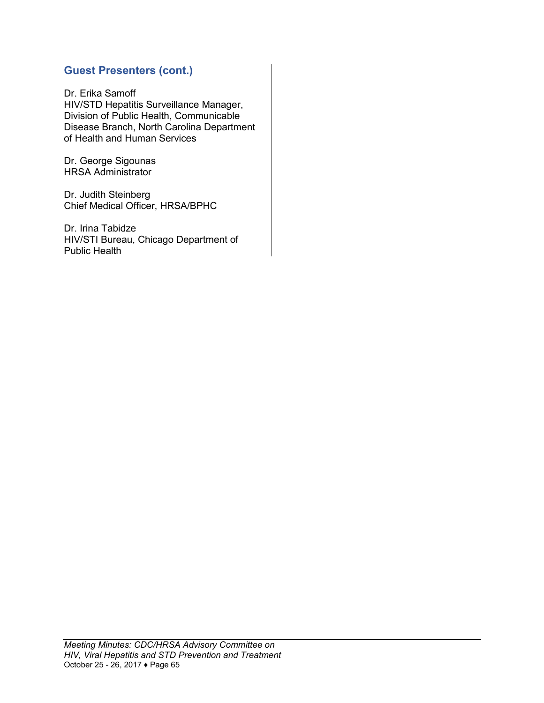### **Guest Presenters (cont.)**

Dr. Erika Samoff HIV/STD Hepatitis Surveillance Manager, Division of Public Health, Communicable Disease Branch, North Carolina Department of Health and Human Services

Dr. George Sigounas HRSA Administrator

Dr. Judith Steinberg Chief Medical Officer, HRSA/BPHC

Dr. Irina Tabidze HIV/STI Bureau, Chicago Department of Public Health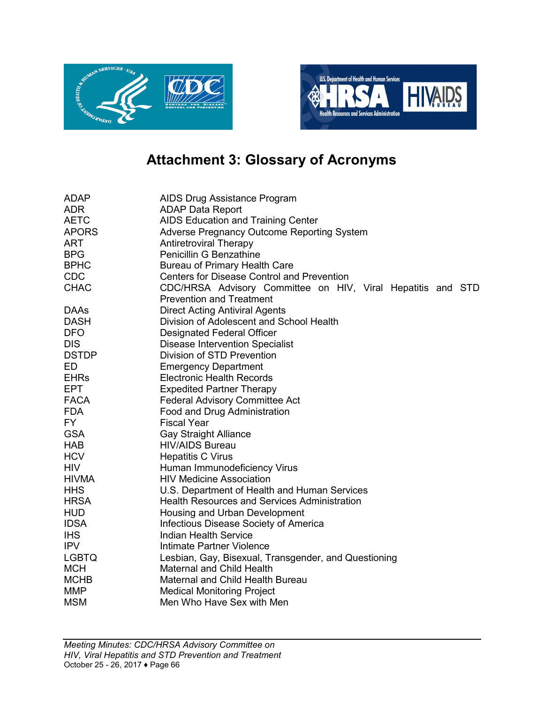



# **Attachment 3: Glossary of Acronyms**

<span id="page-65-0"></span>

| <b>ADAP</b>  | AIDS Drug Assistance Program                                |
|--------------|-------------------------------------------------------------|
| <b>ADR</b>   | <b>ADAP Data Report</b>                                     |
| <b>AETC</b>  | AIDS Education and Training Center                          |
| <b>APORS</b> | Adverse Pregnancy Outcome Reporting System                  |
| <b>ART</b>   | <b>Antiretroviral Therapy</b>                               |
| <b>BPG</b>   | Penicillin G Benzathine                                     |
| <b>BPHC</b>  | Bureau of Primary Health Care                               |
| <b>CDC</b>   | <b>Centers for Disease Control and Prevention</b>           |
| <b>CHAC</b>  | CDC/HRSA Advisory Committee on HIV, Viral Hepatitis and STD |
|              | <b>Prevention and Treatment</b>                             |
| <b>DAAs</b>  | <b>Direct Acting Antiviral Agents</b>                       |
| <b>DASH</b>  | Division of Adolescent and School Health                    |
| <b>DFO</b>   | <b>Designated Federal Officer</b>                           |
| <b>DIS</b>   | <b>Disease Intervention Specialist</b>                      |
| <b>DSTDP</b> | Division of STD Prevention                                  |
| ED           | <b>Emergency Department</b>                                 |
| <b>EHRs</b>  | <b>Electronic Health Records</b>                            |
| <b>EPT</b>   | <b>Expedited Partner Therapy</b>                            |
| <b>FACA</b>  | <b>Federal Advisory Committee Act</b>                       |
| <b>FDA</b>   | Food and Drug Administration                                |
| FY.          | <b>Fiscal Year</b>                                          |
| <b>GSA</b>   | <b>Gay Straight Alliance</b>                                |
| <b>HAB</b>   | <b>HIV/AIDS Bureau</b>                                      |
| <b>HCV</b>   | <b>Hepatitis C Virus</b>                                    |
| <b>HIV</b>   | Human Immunodeficiency Virus                                |
| <b>HIVMA</b> | <b>HIV Medicine Association</b>                             |
| <b>HHS</b>   | U.S. Department of Health and Human Services                |
| <b>HRSA</b>  | <b>Health Resources and Services Administration</b>         |
| <b>HUD</b>   | Housing and Urban Development                               |
| <b>IDSA</b>  | Infectious Disease Society of America                       |
| <b>IHS</b>   | <b>Indian Health Service</b>                                |
| <b>IPV</b>   | Intimate Partner Violence                                   |
| <b>LGBTQ</b> | Lesbian, Gay, Bisexual, Transgender, and Questioning        |
| <b>MCH</b>   | <b>Maternal and Child Health</b>                            |
| <b>MCHB</b>  | Maternal and Child Health Bureau                            |
| <b>MMP</b>   | <b>Medical Monitoring Project</b>                           |
| <b>MSM</b>   | Men Who Have Sex with Men                                   |